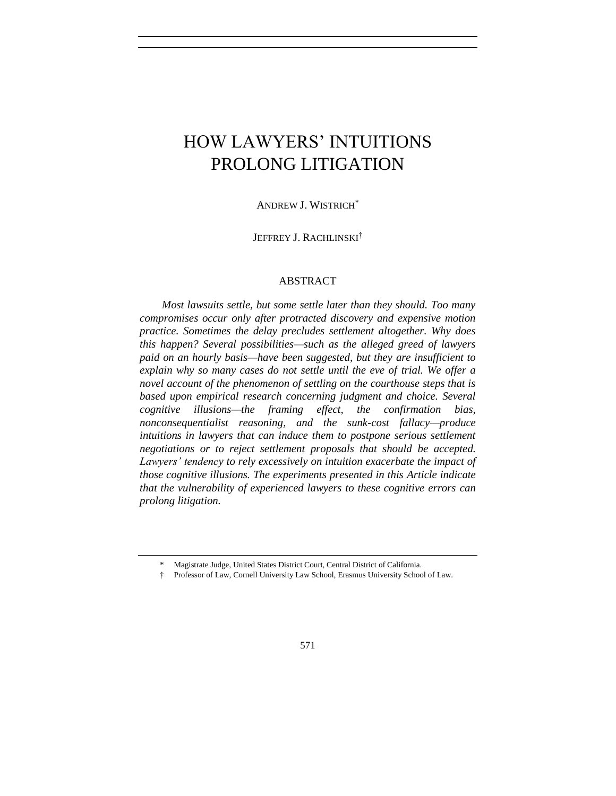# HOW LAWYERS' INTUITIONS PROLONG LITIGATION

ANDREW J. WISTRICH\*

JEFFREY J. RACHLINSKI†

## ABSTRACT

*Most lawsuits settle, but some settle later than they should. Too many compromises occur only after protracted discovery and expensive motion practice. Sometimes the delay precludes settlement altogether. Why does this happen? Several possibilities—such as the alleged greed of lawyers paid on an hourly basis—have been suggested, but they are insufficient to explain why so many cases do not settle until the eve of trial. We offer a novel account of the phenomenon of settling on the courthouse steps that is based upon empirical research concerning judgment and choice. Several cognitive illusions—the framing effect, the confirmation bias, nonconsequentialist reasoning, and the sunk-cost fallacy—produce*  intuitions in lawyers that can induce them to postpone serious settlement *negotiations or to reject settlement proposals that should be accepted. Lawyers' tendency to rely excessively on intuition exacerbate the impact of those cognitive illusions. The experiments presented in this Article indicate that the vulnerability of experienced lawyers to these cognitive errors can prolong litigation.*

<sup>\*</sup> Magistrate Judge, United States District Court, Central District of California.

<sup>†</sup> Professor of Law, Cornell University Law School, Erasmus University School of Law.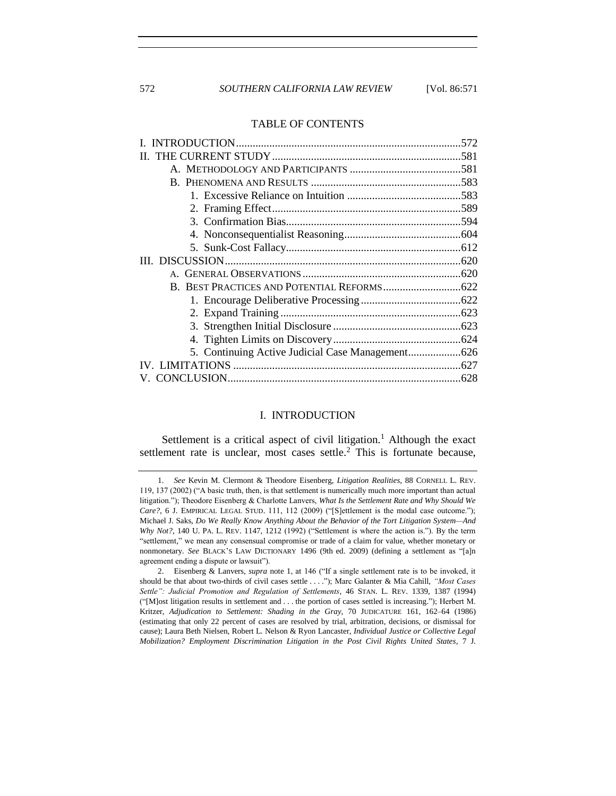572 *SOUTHERN CALIFORNIA LAW REVIEW* [Vol. 86:571

## TABLE OF CONTENTS

# <span id="page-1-2"></span><span id="page-1-1"></span>I. INTRODUCTION

<span id="page-1-0"></span>Settlement is a critical aspect of civil litigation.<sup>1</sup> Although the exact settlement rate is unclear, most cases settle.<sup>2</sup> This is fortunate because,

<sup>1.</sup> *See* Kevin M. Clermont & Theodore Eisenberg, *Litigation Realities*, 88 CORNELL L. REV. 119, 137 (2002) ("A basic truth, then, is that settlement is numerically much more important than actual litigation."); Theodore Eisenberg & Charlotte Lanvers, *What Is the Settlement Rate and Why Should We*  Care?, 6 J. EMPIRICAL LEGAL STUD. 111, 112 (2009) ("[S]ettlement is the modal case outcome."); Michael J. Saks, *Do We Really Know Anything About the Behavior of the Tort Litigation System—And Why Not?*, 140 U. PA. L. REV. 1147, 1212 (1992) ("Settlement is where the action is."). By the term "settlement," we mean any consensual compromise or trade of a claim for value, whether monetary or nonmonetary. *See* BLACK'S LAW DICTIONARY 1496 (9th ed. 2009) (defining a settlement as "[a]n agreement ending a dispute or lawsuit").

<sup>2.</sup> Eisenberg & Lanvers, *supra* note [1,](#page-1-1) at 146 ("If a single settlement rate is to be invoked, it should be that about two-thirds of civil cases settle . . . ."); Marc Galanter & Mia Cahill, *"Most Cases Settle": Judicial Promotion and Regulation of Settlements*, 46 STAN. L. REV. 1339, 1387 (1994) ("[M]ost litigation results in settlement and . . . the portion of cases settled is increasing."); Herbert M. Kritzer, *Adjudication to Settlement: Shading in the Gray*, 70 JUDICATURE 161, 162–64 (1986) (estimating that only 22 percent of cases are resolved by trial, arbitration, decisions, or dismissal for cause); Laura Beth Nielsen, Robert L. Nelson & Ryon Lancaster, *Individual Justice or Collective Legal Mobilization? Employment Discrimination Litigation in the Post Civil Rights United States*, 7 J.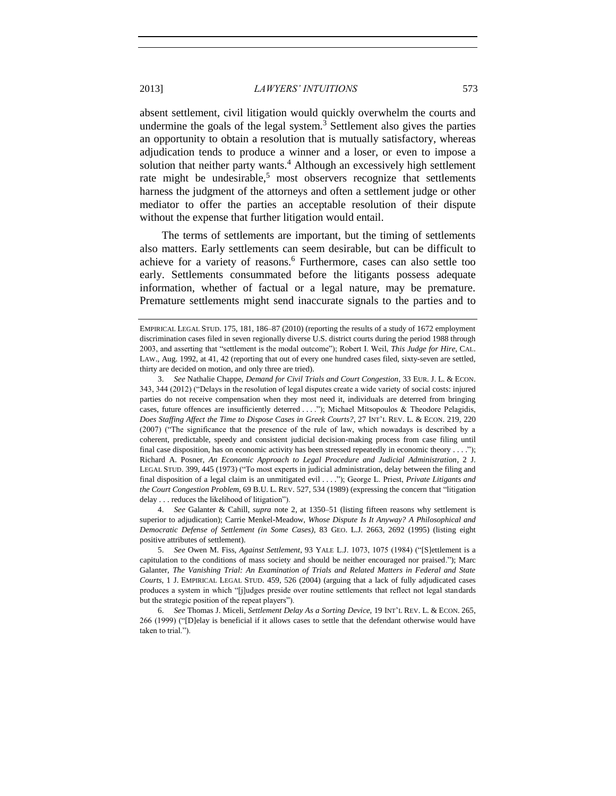absent settlement, civil litigation would quickly overwhelm the courts and undermine the goals of the legal system.<sup>3</sup> Settlement also gives the parties an opportunity to obtain a resolution that is mutually satisfactory, whereas adjudication tends to produce a winner and a loser, or even to impose a solution that neither party wants.<sup>4</sup> Although an excessively high settlement rate might be undesirable,<sup>5</sup> most observers recognize that settlements harness the judgment of the attorneys and often a settlement judge or other mediator to offer the parties an acceptable resolution of their dispute without the expense that further litigation would entail.

<span id="page-2-1"></span><span id="page-2-0"></span>The terms of settlements are important, but the timing of settlements also matters. Early settlements can seem desirable, but can be difficult to achieve for a variety of reasons.<sup>6</sup> Furthermore, cases can also settle too early. Settlements consummated before the litigants possess adequate information, whether of factual or a legal nature, may be premature. Premature settlements might send inaccurate signals to the parties and to

4. *See* Galanter & Cahill, *supra* note [2,](#page-1-2) at 1350–51 (listing fifteen reasons why settlement is superior to adjudication); Carrie Menkel-Meadow, *Whose Dispute Is It Anyway? A Philosophical and Democratic Defense of Settlement (in Some Cases)*, 83 GEO. L.J. 2663, 2692 (1995) (listing eight positive attributes of settlement).

5. *See* Owen M. Fiss, *Against Settlement*, 93 YALE L.J. 1073, 1075 (1984) ("[S]ettlement is a capitulation to the conditions of mass society and should be neither encouraged nor praised."); Marc Galanter, *The Vanishing Trial: An Examination of Trials and Related Matters in Federal and State Courts*, 1 J. EMPIRICAL LEGAL STUD. 459, 526 (2004) (arguing that a lack of fully adjudicated cases produces a system in which "[j]udges preside over routine settlements that reflect not legal standards but the strategic position of the repeat players").

6. *See* Thomas J. Miceli, *Settlement Delay As a Sorting Device*, 19 INT'L REV. L. & ECON. 265, 266 (1999) ("[D]elay is beneficial if it allows cases to settle that the defendant otherwise would have taken to trial.").

EMPIRICAL LEGAL STUD. 175, 181, 186–87 (2010) (reporting the results of a study of 1672 employment discrimination cases filed in seven regionally diverse U.S. district courts during the period 1988 through 2003, and asserting that "settlement is the modal outcome"); Robert I. Weil, *This Judge for Hire*, CAL. LAW., Aug. 1992, at 41, 42 (reporting that out of every one hundred cases filed, sixty-seven are settled, thirty are decided on motion, and only three are tried).

<sup>3.</sup> *See* Nathalie Chappe, *Demand for Civil Trials and Court Congestion*, 33 EUR. J. L. & ECON. 343, 344 (2012) ("Delays in the resolution of legal disputes create a wide variety of social costs: injured parties do not receive compensation when they most need it, individuals are deterred from bringing cases, future offences are insufficiently deterred . . . ."); Michael Mitsopoulos & Theodore Pelagidis, *Does Staffing Affect the Time to Dispose Cases in Greek Courts?*, 27 INT'L REV. L. & ECON. 219, 220 (2007) ("The significance that the presence of the rule of law, which nowadays is described by a coherent, predictable, speedy and consistent judicial decision-making process from case filing until final case disposition, has on economic activity has been stressed repeatedly in economic theory . . . ."); Richard A. Posner, *An Economic Approach to Legal Procedure and Judicial Administration*, 2 J. LEGAL STUD. 399, 445 (1973) ("To most experts in judicial administration, delay between the filing and final disposition of a legal claim is an unmitigated evil . . . ."); George L. Priest, *Private Litigants and the Court Congestion Problem*, 69 B.U. L. REV. 527, 534 (1989) (expressing the concern that "litigation delay . . . reduces the likelihood of litigation").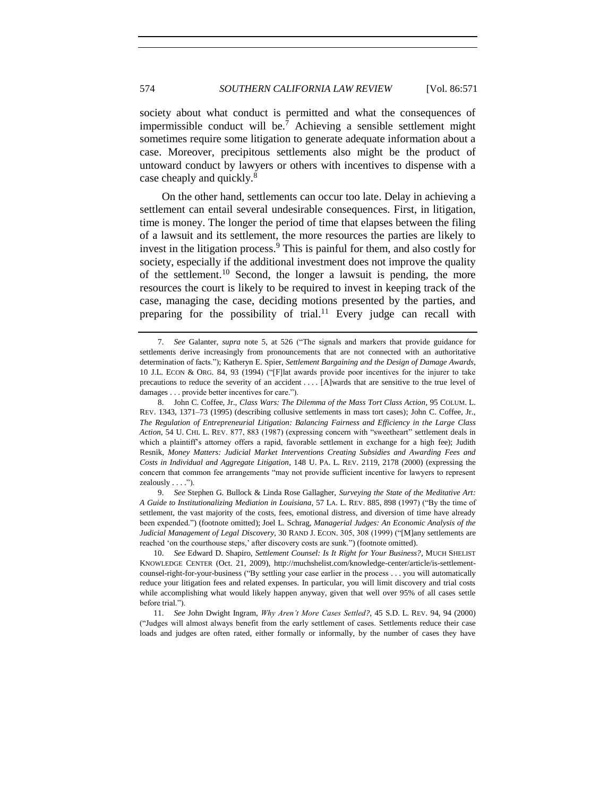society about what conduct is permitted and what the consequences of impermissible conduct will be.<sup>7</sup> Achieving a sensible settlement might sometimes require some litigation to generate adequate information about a case. Moreover, precipitous settlements also might be the product of untoward conduct by lawyers or others with incentives to dispense with a case cheaply and quickly.<sup>8</sup>

<span id="page-3-0"></span>On the other hand, settlements can occur too late. Delay in achieving a settlement can entail several undesirable consequences. First, in litigation, time is money. The longer the period of time that elapses between the filing of a lawsuit and its settlement, the more resources the parties are likely to invest in the litigation process.<sup>9</sup> This is painful for them, and also costly for society, especially if the additional investment does not improve the quality of the settlement.<sup>10</sup> Second, the longer a lawsuit is pending, the more resources the court is likely to be required to invest in keeping track of the case, managing the case, deciding motions presented by the parties, and preparing for the possibility of trial.<sup>11</sup> Every judge can recall with

9. *See* Stephen G. Bullock & Linda Rose Gallagher, *Surveying the State of the Meditative Art: A Guide to Institutionalizing Mediation in Louisiana*, 57 LA. L. REV. 885, 898 (1997) ("By the time of settlement, the vast majority of the costs, fees, emotional distress, and diversion of time have already been expended.") (footnote omitted); Joel L. Schrag, *Managerial Judges: An Economic Analysis of the Judicial Management of Legal Discovery*, 30 RAND J. ECON. 305, 308 (1999) ("[M]any settlements are reached 'on the courthouse steps,' after discovery costs are sunk.") (footnote omitted).

10. *See* Edward D. Shapiro, *Settlement Counsel: Is It Right for Your Business?*, MUCH SHELIST KNOWLEDGE CENTER (Oct. 21, 2009), http://muchshelist.com/knowledge-center/article/is-settlementcounsel-right-for-your-business ("By settling your case earlier in the process . . . you will automatically reduce your litigation fees and related expenses. In particular, you will limit discovery and trial costs while accomplishing what would likely happen anyway, given that well over 95% of all cases settle before trial.").

11. *See* John Dwight Ingram, *Why Aren't More Cases Settled?*, 45 S.D. L. REV. 94, 94 (2000) ("Judges will almost always benefit from the early settlement of cases. Settlements reduce their case loads and judges are often rated, either formally or informally, by the number of cases they have

<span id="page-3-1"></span><sup>7.</sup> *See* Galanter, *supra* note [5,](#page-2-0) at 526 ("The signals and markers that provide guidance for settlements derive increasingly from pronouncements that are not connected with an authoritative determination of facts."); Katheryn E. Spier, *Settlement Bargaining and the Design of Damage Awards*, 10 J.L. ECON & ORG. 84, 93 (1994) ("[F]lat awards provide poor incentives for the injurer to take precautions to reduce the severity of an accident . . . . [A]wards that are sensitive to the true level of damages . . . provide better incentives for care.").

<sup>8.</sup> John C. Coffee, Jr., *Class Wars: The Dilemma of the Mass Tort Class Action*, 95 COLUM. L. REV. 1343, 1371–73 (1995) (describing collusive settlements in mass tort cases); John C. Coffee, Jr., *The Regulation of Entrepreneurial Litigation: Balancing Fairness and Efficiency in the Large Class Action*, 54 U. CHI. L. REV. 877, 883 (1987) (expressing concern with "sweetheart" settlement deals in which a plaintiff's attorney offers a rapid, favorable settlement in exchange for a high fee); Judith Resnik, *Money Matters: Judicial Market Interventions Creating Subsidies and Awarding Fees and Costs in Individual and Aggregate Litigation*, 148 U. PA. L. REV. 2119, 2178 (2000) (expressing the concern that common fee arrangements "may not provide sufficient incentive for lawyers to represent zealously  $\dots$ .").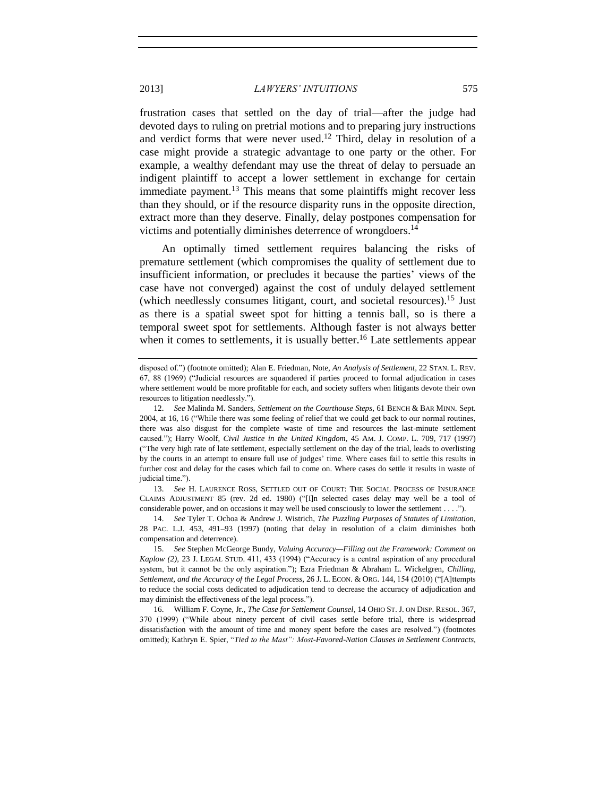<span id="page-4-1"></span>frustration cases that settled on the day of trial—after the judge had devoted days to ruling on pretrial motions and to preparing jury instructions and verdict forms that were never used.<sup>12</sup> Third, delay in resolution of a case might provide a strategic advantage to one party or the other. For example, a wealthy defendant may use the threat of delay to persuade an indigent plaintiff to accept a lower settlement in exchange for certain immediate payment.<sup>13</sup> This means that some plaintiffs might recover less than they should, or if the resource disparity runs in the opposite direction, extract more than they deserve. Finally, delay postpones compensation for victims and potentially diminishes deterrence of wrongdoers. 14

<span id="page-4-3"></span><span id="page-4-0"></span>An optimally timed settlement requires balancing the risks of premature settlement (which compromises the quality of settlement due to insufficient information, or precludes it because the parties' views of the case have not converged) against the cost of unduly delayed settlement (which needlessly consumes litigant, court, and societal resources).<sup>15</sup> Just as there is a spatial sweet spot for hitting a tennis ball, so is there a temporal sweet spot for settlements. Although faster is not always better when it comes to settlements, it is usually better.<sup>16</sup> Late settlements appear

13. *See* H. LAURENCE ROSS, SETTLED OUT OF COURT: THE SOCIAL PROCESS OF INSURANCE CLAIMS ADJUSTMENT 85 (rev. 2d ed. 1980) ("[I]n selected cases delay may well be a tool of considerable power, and on occasions it may well be used consciously to lower the settlement . . . .").

14. *See* Tyler T. Ochoa & Andrew J. Wistrich, *The Puzzling Purposes of Statutes of Limitation*, 28 PAC. L.J. 453, 491–93 (1997) (noting that delay in resolution of a claim diminishes both compensation and deterrence).

15. *See* Stephen McGeorge Bundy, *Valuing Accuracy—Filling out the Framework: Comment on Kaplow (2)*, 23 J. LEGAL STUD. 411, 433 (1994) ("Accuracy is a central aspiration of any procedural system, but it cannot be the only aspiration."); Ezra Friedman & Abraham L. Wickelgren, *Chilling, Settlement, and the Accuracy of the Legal Process*, 26 J. L. ECON. & ORG. 144, 154 (2010) ("[A]ttempts to reduce the social costs dedicated to adjudication tend to decrease the accuracy of adjudication and may diminish the effectiveness of the legal process.").

16. William F. Coyne, Jr., *The Case for Settlement Counsel*, 14 OHIO ST. J. ON DISP. RESOL. 367, 370 (1999) ("While about ninety percent of civil cases settle before trial, there is widespread dissatisfaction with the amount of time and money spent before the cases are resolved.") (footnotes omitted); Kathryn E. Spier, "*Tied to the Mast": Most-Favored-Nation Clauses in Settlement Contracts*,

<span id="page-4-2"></span>disposed of.") (footnote omitted); Alan E. Friedman, Note, *An Analysis of Settlement*, 22 STAN. L. REV. 67, 88 (1969) ("Judicial resources are squandered if parties proceed to formal adjudication in cases where settlement would be more profitable for each, and society suffers when litigants devote their own resources to litigation needlessly.").

<sup>12.</sup> *See* Malinda M. Sanders, *Settlement on the Courthouse Steps*, 61 BENCH & BAR MINN. Sept. 2004, at 16, 16 ("While there was some feeling of relief that we could get back to our normal routines, there was also disgust for the complete waste of time and resources the last-minute settlement caused."); Harry Woolf, *Civil Justice in the United Kingdom*, 45 AM. J. COMP. L. 709, 717 (1997) ("The very high rate of late settlement, especially settlement on the day of the trial, leads to overlisting by the courts in an attempt to ensure full use of judges' time. Where cases fail to settle this results in further cost and delay for the cases which fail to come on. Where cases do settle it results in waste of judicial time.").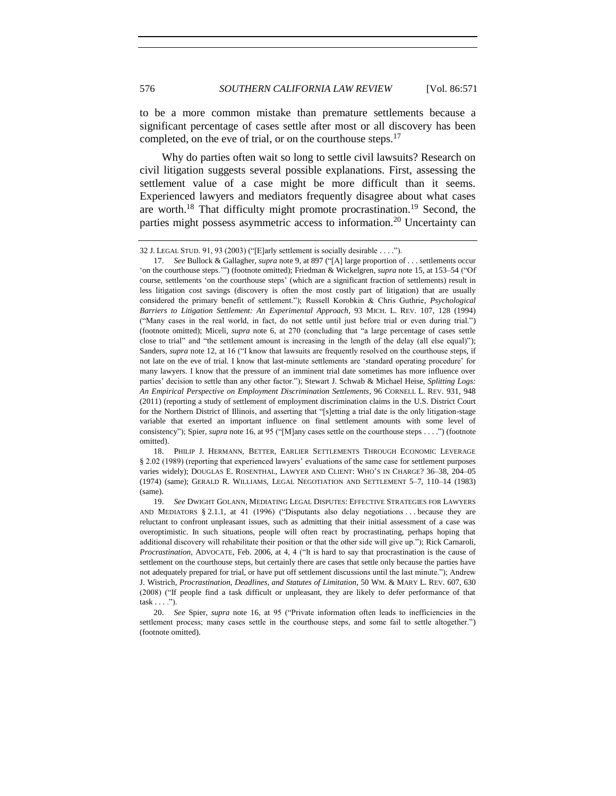<span id="page-5-0"></span>to be a more common mistake than premature settlements because a significant percentage of cases settle after most or all discovery has been completed, on the eve of trial, or on the courthouse steps. $17$ 

Why do parties often wait so long to settle civil lawsuits? Research on civil litigation suggests several possible explanations. First, assessing the settlement value of a case might be more difficult than it seems. Experienced lawyers and mediators frequently disagree about what cases are worth.<sup>18</sup> That difficulty might promote procrastination.<sup>19</sup> Second, the parties might possess asymmetric access to information.<sup>20</sup> Uncertainty can

18. PHILIP J. HERMANN, BETTER, EARLIER SETTLEMENTS THROUGH ECONOMIC LEVERAGE § 2.02 (1989) (reporting that experienced lawyers' evaluations of the same case for settlement purposes varies widely); DOUGLAS E. ROSENTHAL, LAWYER AND CLIENT: WHO'S IN CHARGE? 36–38, 204–05 (1974) (same); GERALD R. WILLIAMS, LEGAL NEGOTIATION AND SETTLEMENT 5–7, 110–14 (1983) (same).

<sup>32</sup> J. LEGAL STUD. 91, 93 (2003) ("[E]arly settlement is socially desirable . . . .").

<sup>17.</sup> *See* Bullock & Gallagher, *supra* not[e 9,](#page-3-0) at 897 ("[A] large proportion of . . . settlements occur 'on the courthouse steps.'") (footnote omitted); Friedman & Wickelgren, *supra* not[e 15,](#page-4-0) at 153–54 ("Of course, settlements 'on the courthouse steps' (which are a significant fraction of settlements) result in less litigation cost savings (discovery is often the most costly part of litigation) that are usually considered the primary benefit of settlement."); Russell Korobkin & Chris Guthrie, *Psychological Barriers to Litigation Settlement: An Experimental Approach*, 93 MICH. L. REV. 107, 128 (1994) ("Many cases in the real world, in fact, do not settle until just before trial or even during trial.") (footnote omitted); Miceli, *supra* note [6,](#page-2-1) at 270 (concluding that "a large percentage of cases settle close to trial" and "the settlement amount is increasing in the length of the delay (all else equal)"); Sanders, *supra* not[e 12,](#page-4-1) at 16 ("I know that lawsuits are frequently resolved on the courthouse steps, if not late on the eve of trial. I know that last-minute settlements are 'standard operating procedure' for many lawyers. I know that the pressure of an imminent trial date sometimes has more influence over parties' decision to settle than any other factor."); Stewart J. Schwab & Michael Heise, *Splitting Logs: An Empirical Perspective on Employment Discrimination Settlements*, 96 CORNELL L. REV. 931, 948 (2011) (reporting a study of settlement of employment discrimination claims in the U.S. District Court for the Northern District of Illinois, and asserting that "[s]etting a trial date is the only litigation-stage variable that exerted an important influence on final settlement amounts with some level of consistency"); Spier, *supra* not[e 16,](#page-4-2) at 95 ("[M]any cases settle on the courthouse steps . . . .") (footnote omitted).

<sup>19.</sup> *See* DWIGHT GOLANN, MEDIATING LEGAL DISPUTES: EFFECTIVE STRATEGIES FOR LAWYERS AND MEDIATORS § 2.1.1, at 41 (1996) ("Disputants also delay negotiations . . . because they are reluctant to confront unpleasant issues, such as admitting that their initial assessment of a case was overoptimistic. In such situations, people will often react by procrastinating, perhaps hoping that additional discovery will rehabilitate their position or that the other side will give up."); Rick Carnaroli, *Procrastination*, ADVOCATE, Feb. 2006, at 4, 4 ("It is hard to say that procrastination is the cause of settlement on the courthouse steps, but certainly there are cases that settle only because the parties have not adequately prepared for trial, or have put off settlement discussions until the last minute."); Andrew J. Wistrich, *Procrastination, Deadlines, and Statutes of Limitation*, 50 WM. & MARY L. REV. 607, 630 (2008) ("If people find a task difficult or unpleasant, they are likely to defer performance of that  $task . . . .").$ 

<sup>20.</sup> *See* Spier, *supra* note [16,](#page-4-2) at 95 ("Private information often leads to inefficiencies in the settlement process; many cases settle in the courthouse steps, and some fail to settle altogether.") (footnote omitted).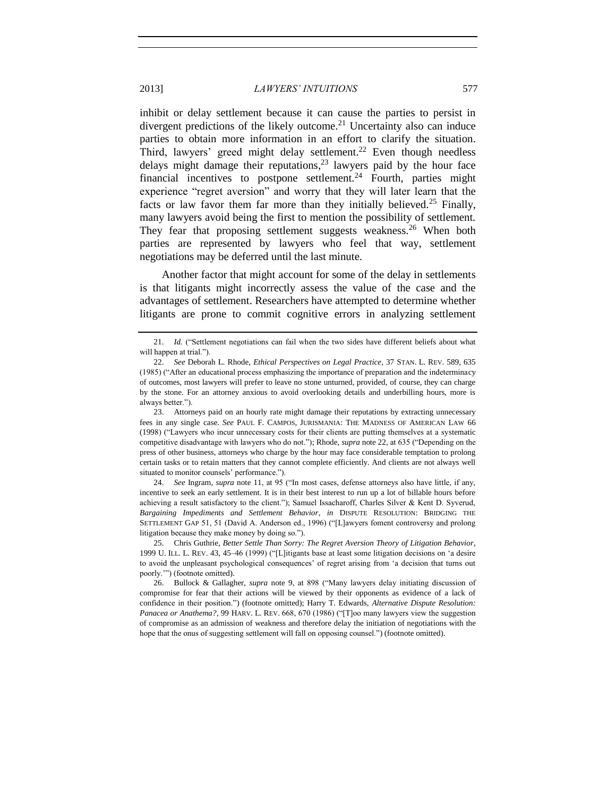<span id="page-6-1"></span><span id="page-6-0"></span>inhibit or delay settlement because it can cause the parties to persist in divergent predictions of the likely outcome.<sup>21</sup> Uncertainty also can induce parties to obtain more information in an effort to clarify the situation. Third, lawyers' greed might delay settlement.<sup>22</sup> Even though needless delays might damage their reputations, <sup>23</sup> lawyers paid by the hour face financial incentives to postpone settlement.<sup>24</sup> Fourth, parties might experience "regret aversion" and worry that they will later learn that the facts or law favor them far more than they initially believed.<sup>25</sup> Finally, many lawyers avoid being the first to mention the possibility of settlement. They fear that proposing settlement suggests weakness.<sup>26</sup> When both parties are represented by lawyers who feel that way, settlement negotiations may be deferred until the last minute.

Another factor that might account for some of the delay in settlements is that litigants might incorrectly assess the value of the case and the advantages of settlement. Researchers have attempted to determine whether litigants are prone to commit cognitive errors in analyzing settlement

24. *See* Ingram, *supra* note [11,](#page-3-1) at 95 ("In most cases, defense attorneys also have little, if any, incentive to seek an early settlement. It is in their best interest to run up a lot of billable hours before achieving a result satisfactory to the client."); Samuel Issacharoff, Charles Silver & Kent D. Syverud, *Bargaining Impediments and Settlement Behavior*, *in* DISPUTE RESOLUTION: BRIDGING THE SETTLEMENT GAP 51, 51 (David A. Anderson ed., 1996) ("[L]awyers foment controversy and prolong litigation because they make money by doing so.").

25. Chris Guthrie, *Better Settle Than Sorry: The Regret Aversion Theory of Litigation Behavior*, 1999 U. ILL. L. REV. 43, 45–46 (1999) ("[L]itigants base at least some litigation decisions on 'a desire to avoid the unpleasant psychological consequences' of regret arising from 'a decision that turns out poorly.'") (footnote omitted).

<sup>21.</sup> *Id.* ("Settlement negotiations can fail when the two sides have different beliefs about what will happen at trial.").

<sup>22.</sup> *See* Deborah L. Rhode, *Ethical Perspectives on Legal Practice*, 37 STAN. L. REV. 589, 635 (1985) ("After an educational process emphasizing the importance of preparation and the indeterminacy of outcomes, most lawyers will prefer to leave no stone unturned, provided, of course, they can charge by the stone. For an attorney anxious to avoid overlooking details and underbilling hours, more is always better.").

<sup>23.</sup> Attorneys paid on an hourly rate might damage their reputations by extracting unnecessary fees in any single case. *See* PAUL F. CAMPOS, JURISMANIA: THE MADNESS OF AMERICAN LAW 66 (1998) ("Lawyers who incur unnecessary costs for their clients are putting themselves at a systematic competitive disadvantage with lawyers who do not."); Rhode, *supra* not[e 22,](#page-6-0) at 635 ("Depending on the press of other business, attorneys who charge by the hour may face considerable temptation to prolong certain tasks or to retain matters that they cannot complete efficiently. And clients are not always well situated to monitor counsels' performance.").

<sup>26.</sup> Bullock & Gallagher, *supra* note [9,](#page-3-0) at 898 ("Many lawyers delay initiating discussion of compromise for fear that their actions will be viewed by their opponents as evidence of a lack of confidence in their position.") (footnote omitted); Harry T. Edwards, *Alternative Dispute Resolution: Panacea or Anathema?*, 99 HARV. L. REV. 668, 670 (1986) ("[T]oo many lawyers view the suggestion of compromise as an admission of weakness and therefore delay the initiation of negotiations with the hope that the onus of suggesting settlement will fall on opposing counsel.") (footnote omitted).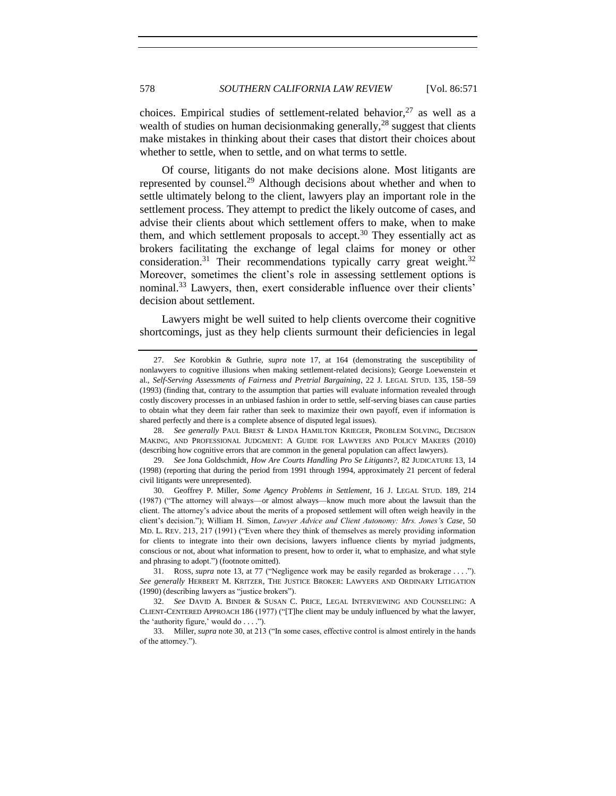<span id="page-7-1"></span>choices. Empirical studies of settlement-related behavior,  $27$  as well as a wealth of studies on human decision making generally,  $^{28}$  suggest that clients make mistakes in thinking about their cases that distort their choices about whether to settle, when to settle, and on what terms to settle.

<span id="page-7-0"></span>Of course, litigants do not make decisions alone. Most litigants are represented by counsel.<sup>29</sup> Although decisions about whether and when to settle ultimately belong to the client, lawyers play an important role in the settlement process. They attempt to predict the likely outcome of cases, and advise their clients about which settlement offers to make, when to make them, and which settlement proposals to accept.<sup>30</sup> They essentially act as brokers facilitating the exchange of legal claims for money or other consideration.<sup>31</sup> Their recommendations typically carry great weight.<sup>32</sup> Moreover, sometimes the client's role in assessing settlement options is nominal.<sup>33</sup> Lawyers, then, exert considerable influence over their clients' decision about settlement.

Lawyers might be well suited to help clients overcome their cognitive shortcomings, just as they help clients surmount their deficiencies in legal

<span id="page-7-2"></span>

<sup>27.</sup> *See* Korobkin & Guthrie, *supra* note [17,](#page-5-0) at 164 (demonstrating the susceptibility of nonlawyers to cognitive illusions when making settlement-related decisions); George Loewenstein et al., *Self-Serving Assessments of Fairness and Pretrial Bargaining*, 22 J. LEGAL STUD. 135, 158–59 (1993) (finding that, contrary to the assumption that parties will evaluate information revealed through costly discovery processes in an unbiased fashion in order to settle, self-serving biases can cause parties to obtain what they deem fair rather than seek to maximize their own payoff, even if information is shared perfectly and there is a complete absence of disputed legal issues).

<sup>28.</sup> *See generally* PAUL BREST & LINDA HAMILTON KRIEGER, PROBLEM SOLVING, DECISION MAKING, AND PROFESSIONAL JUDGMENT: A GUIDE FOR LAWYERS AND POLICY MAKERS (2010) (describing how cognitive errors that are common in the general population can affect lawyers).

<sup>29.</sup> *See* Jona Goldschmidt, *How Are Courts Handling Pro Se Litigants?*, 82 JUDICATURE 13, 14 (1998) (reporting that during the period from 1991 through 1994, approximately 21 percent of federal civil litigants were unrepresented).

<sup>30.</sup> Geoffrey P. Miller, *Some Agency Problems in Settlement*, 16 J. LEGAL STUD. 189, 214 (1987) ("The attorney will always—or almost always—know much more about the lawsuit than the client. The attorney's advice about the merits of a proposed settlement will often weigh heavily in the client's decision."); William H. Simon, *Lawyer Advice and Client Autonomy: Mrs. Jones's Case*, 50 MD. L. REV. 213, 217 (1991) ("Even where they think of themselves as merely providing information for clients to integrate into their own decisions, lawyers influence clients by myriad judgments, conscious or not, about what information to present, how to order it, what to emphasize, and what style and phrasing to adopt.") (footnote omitted).

<sup>31.</sup> ROSS, *supra* note [13,](#page-4-3) at 77 ("Negligence work may be easily regarded as brokerage . . . ."). *See generally* HERBERT M. KRITZER, THE JUSTICE BROKER: LAWYERS AND ORDINARY LITIGATION (1990) (describing lawyers as "justice brokers").

<sup>32.</sup> *See* DAVID A. BINDER & SUSAN C. PRICE, LEGAL INTERVIEWING AND COUNSELING: A CLIENT-CENTERED APPROACH 186 (1977) ("[T]he client may be unduly influenced by what the lawyer, the 'authority figure,' would do . . . .").

<sup>33.</sup> Miller, *supra* not[e 30,](#page-7-0) at 213 ("In some cases, effective control is almost entirely in the hands of the attorney.").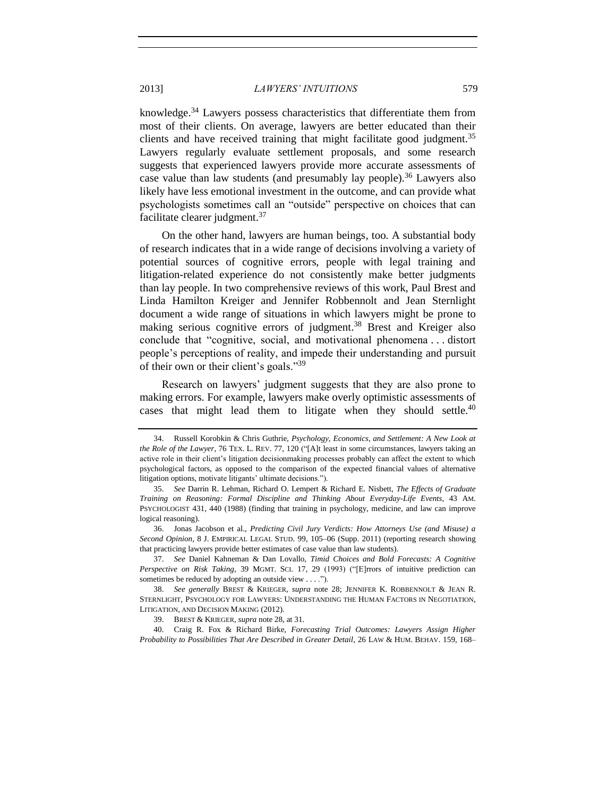<span id="page-8-1"></span>knowledge.<sup>34</sup> Lawyers possess characteristics that differentiate them from most of their clients. On average, lawyers are better educated than their clients and have received training that might facilitate good judgment.<sup>35</sup> Lawyers regularly evaluate settlement proposals, and some research suggests that experienced lawyers provide more accurate assessments of case value than law students (and presumably lay people).<sup>36</sup> Lawyers also likely have less emotional investment in the outcome, and can provide what psychologists sometimes call an "outside" perspective on choices that can facilitate clearer judgment.<sup>37</sup>

<span id="page-8-0"></span>On the other hand, lawyers are human beings, too. A substantial body of research indicates that in a wide range of decisions involving a variety of potential sources of cognitive errors, people with legal training and litigation-related experience do not consistently make better judgments than lay people. In two comprehensive reviews of this work, Paul Brest and Linda Hamilton Kreiger and Jennifer Robbennolt and Jean Sternlight document a wide range of situations in which lawyers might be prone to making serious cognitive errors of judgment.<sup>38</sup> Brest and Kreiger also conclude that "cognitive, social, and motivational phenomena . . . distort people's perceptions of reality, and impede their understanding and pursuit of their own or their client's goals."<sup>39</sup>

<span id="page-8-2"></span>Research on lawyers' judgment suggests that they are also prone to making errors. For example, lawyers make overly optimistic assessments of cases that might lead them to litigate when they should settle. $40$ 

<sup>34.</sup> Russell Korobkin & Chris Guthrie, *Psychology, Economics, and Settlement: A New Look at the Role of the Lawyer*, 76 TEX. L. REV. 77, 120 ("[A]t least in some circumstances, lawyers taking an active role in their client's litigation decisionmaking processes probably can affect the extent to which psychological factors, as opposed to the comparison of the expected financial values of alternative litigation options, motivate litigants' ultimate decisions.").

<sup>35.</sup> *See* Darrin R. Lehman, Richard O. Lempert & Richard E. Nisbett, *The Effects of Graduate Training on Reasoning: Formal Discipline and Thinking About Everyday-Life Events*, 43 AM. PSYCHOLOGIST 431, 440 (1988) (finding that training in psychology, medicine, and law can improve logical reasoning).

<sup>36.</sup> Jonas Jacobson et al., *Predicting Civil Jury Verdicts: How Attorneys Use (and Misuse) a Second Opinion*, 8 J. EMPIRICAL LEGAL STUD. 99, 105–06 (Supp. 2011) (reporting research showing that practicing lawyers provide better estimates of case value than law students).

<sup>37.</sup> *See* Daniel Kahneman & Dan Lovallo, *Timid Choices and Bold Forecasts: A Cognitive Perspective on Risk Taking*, 39 MGMT. SCI. 17, 29 (1993) ("[E]rrors of intuitive prediction can sometimes be reduced by adopting an outside view . . . .").

<sup>38.</sup> *See generally* BREST & KRIEGER, *supra* note [28;](#page-7-1) JENNIFER K. ROBBENNOLT & JEAN R. STERNLIGHT, PSYCHOLOGY FOR LAWYERS: UNDERSTANDING THE HUMAN FACTORS IN NEGOTIATION, LITIGATION, AND DECISION MAKING (2012).

<sup>39.</sup> BREST & KRIEGER, *supra* not[e 28,](#page-7-1) at 31.

<sup>40.</sup> Craig R. Fox & Richard Birke, *Forecasting Trial Outcomes: Lawyers Assign Higher Probability to Possibilities That Are Described in Greater Detail*, 26 LAW & HUM. BEHAV. 159, 168–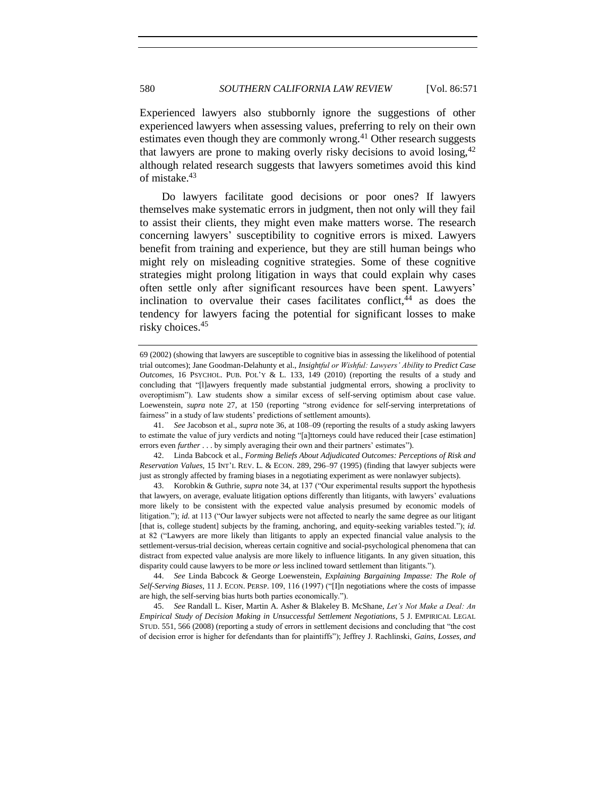<span id="page-9-1"></span>Experienced lawyers also stubbornly ignore the suggestions of other experienced lawyers when assessing values, preferring to rely on their own estimates even though they are commonly wrong.<sup>41</sup> Other research suggests that lawyers are prone to making overly risky decisions to avoid losing,  $42$ although related research suggests that lawyers sometimes avoid this kind of mistake.<sup>43</sup>

Do lawyers facilitate good decisions or poor ones? If lawyers themselves make systematic errors in judgment, then not only will they fail to assist their clients, they might even make matters worse. The research concerning lawyers' susceptibility to cognitive errors is mixed. Lawyers benefit from training and experience, but they are still human beings who might rely on misleading cognitive strategies. Some of these cognitive strategies might prolong litigation in ways that could explain why cases often settle only after significant resources have been spent. Lawyers' inclination to overvalue their cases facilitates conflict,  $44$  as does the tendency for lawyers facing the potential for significant losses to make risky choices.<sup>45</sup>

43. Korobkin & Guthrie, *supra* note [34,](#page-8-1) at 137 ("Our experimental results support the hypothesis that lawyers, on average, evaluate litigation options differently than litigants, with lawyers' evaluations more likely to be consistent with the expected value analysis presumed by economic models of litigation."); *id.* at 113 ("Our lawyer subjects were not affected to nearly the same degree as our litigant [that is, college student] subjects by the framing, anchoring, and equity-seeking variables tested."); *id.* at 82 ("Lawyers are more likely than litigants to apply an expected financial value analysis to the settlement-versus-trial decision, whereas certain cognitive and social-psychological phenomena that can distract from expected value analysis are more likely to influence litigants. In any given situation, this disparity could cause lawyers to be more *or* less inclined toward settlement than litigants.").

44. *See* Linda Babcock & George Loewenstein, *Explaining Bargaining Impasse: The Role of Self-Serving Biases*, 11 J. ECON. PERSP. 109, 116 (1997) ("[I]n negotiations where the costs of impasse are high, the self-serving bias hurts both parties economically.").

45. *See* Randall L. Kiser, Martin A. Asher & Blakeley B. McShane, *Let's Not Make a Deal: An Empirical Study of Decision Making in Unsuccessful Settlement Negotiations*, 5 J. EMPIRICAL LEGAL STUD. 551, 566 (2008) (reporting a study of errors in settlement decisions and concluding that "the cost of decision error is higher for defendants than for plaintiffs"); Jeffrey J. Rachlinski, *Gains, Losses, and* 

<span id="page-9-0"></span><sup>69 (2002) (</sup>showing that lawyers are susceptible to cognitive bias in assessing the likelihood of potential trial outcomes); Jane Goodman-Delahunty et al., *Insightful or Wishful: Lawyers' Ability to Predict Case Outcomes*, 16 PSYCHOL. PUB. POL'Y  $\⊂>1.33$ , 149 (2010) (reporting the results of a study and concluding that "[l]awyers frequently made substantial judgmental errors, showing a proclivity to overoptimism"). Law students show a similar excess of self-serving optimism about case value. Loewenstein, *supra* note [27,](#page-7-2) at 150 (reporting "strong evidence for self-serving interpretations of fairness" in a study of law students' predictions of settlement amounts).

<sup>41.</sup> *See* Jacobson et al., *supra* not[e 36,](#page-8-0) at 108–09 (reporting the results of a study asking lawyers to estimate the value of jury verdicts and noting "[a]ttorneys could have reduced their [case estimation] errors even *further* . . . by simply averaging their own and their partners' estimates").

<sup>42.</sup> Linda Babcock et al., *Forming Beliefs About Adjudicated Outcomes: Perceptions of Risk and Reservation Values*, 15 INT'L REV. L. & ECON. 289, 296–97 (1995) (finding that lawyer subjects were just as strongly affected by framing biases in a negotiating experiment as were nonlawyer subjects).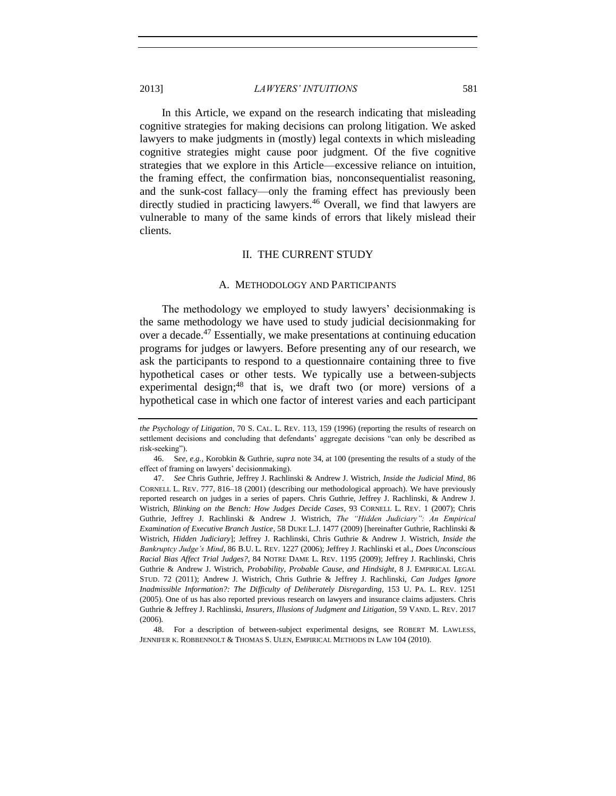In this Article, we expand on the research indicating that misleading cognitive strategies for making decisions can prolong litigation. We asked lawyers to make judgments in (mostly) legal contexts in which misleading cognitive strategies might cause poor judgment. Of the five cognitive strategies that we explore in this Article—excessive reliance on intuition, the framing effect, the confirmation bias, nonconsequentialist reasoning, and the sunk-cost fallacy—only the framing effect has previously been directly studied in practicing lawyers.<sup>46</sup> Overall, we find that lawyers are vulnerable to many of the same kinds of errors that likely mislead their clients.

## II. THE CURRENT STUDY

#### <span id="page-10-3"></span><span id="page-10-2"></span>A. METHODOLOGY AND PARTICIPANTS

<span id="page-10-1"></span><span id="page-10-0"></span>The methodology we employed to study lawyers' decisionmaking is the same methodology we have used to study judicial decisionmaking for over a decade.<sup>47</sup> Essentially, we make presentations at continuing education programs for judges or lawyers. Before presenting any of our research, we ask the participants to respond to a questionnaire containing three to five hypothetical cases or other tests. We typically use a between-subjects experimental design; $48$  that is, we draft two (or more) versions of a hypothetical case in which one factor of interest varies and each participant

*the Psychology of Litigation*, 70 S. CAL. L. REV. 113, 159 (1996) (reporting the results of research on settlement decisions and concluding that defendants' aggregate decisions "can only be described as risk-seeking").

<sup>46.</sup> S*ee, e.g.*, Korobkin & Guthrie, *supra* note [34,](#page-8-1) at 100 (presenting the results of a study of the effect of framing on lawyers' decisionmaking).

<sup>47.</sup> *See* Chris Guthrie, Jeffrey J. Rachlinski & Andrew J. Wistrich, *Inside the Judicial Mind*, 86 CORNELL L. REV. 777, 816–18 (2001) (describing our methodological approach). We have previously reported research on judges in a series of papers. Chris Guthrie, Jeffrey J. Rachlinski, & Andrew J. Wistrich, *Blinking on the Bench: How Judges Decide Cases*, 93 CORNELL L. REV. 1 (2007); Chris Guthrie, Jeffrey J. Rachlinski & Andrew J. Wistrich, *The "Hidden Judiciary": An Empirical Examination of Executive Branch Justice*, 58 DUKE L.J. 1477 (2009) [hereinafter Guthrie, Rachlinski & Wistrich, *Hidden Judiciary*]; Jeffrey J. Rachlinski, Chris Guthrie & Andrew J. Wistrich, *Inside the Bankruptcy Judge's Mind*, 86 B.U. L. REV. 1227 (2006); Jeffrey J. Rachlinski et al., *Does Unconscious Racial Bias Affect Trial Judges?*, 84 NOTRE DAME L. REV. 1195 (2009); Jeffrey J. Rachlinski, Chris Guthrie & Andrew J. Wistrich, *Probability, Probable Cause, and Hindsight*, 8 J. EMPIRICAL LEGAL STUD. 72 (2011); Andrew J. Wistrich, Chris Guthrie & Jeffrey J. Rachlinski, *Can Judges Ignore Inadmissible Information?: The Difficulty of Deliberately Disregarding*, 153 U. PA. L. REV. 1251 (2005). One of us has also reported previous research on lawyers and insurance claims adjusters. Chris Guthrie & Jeffrey J. Rachlinski, *Insurers, Illusions of Judgment and Litigation*, 59 VAND. L. REV. 2017 (2006).

<sup>48.</sup> For a description of between-subject experimental designs, see ROBERT M. LAWLESS, JENNIFER K. ROBBENNOLT & THOMAS S. ULEN, EMPIRICAL METHODS IN LAW 104 (2010).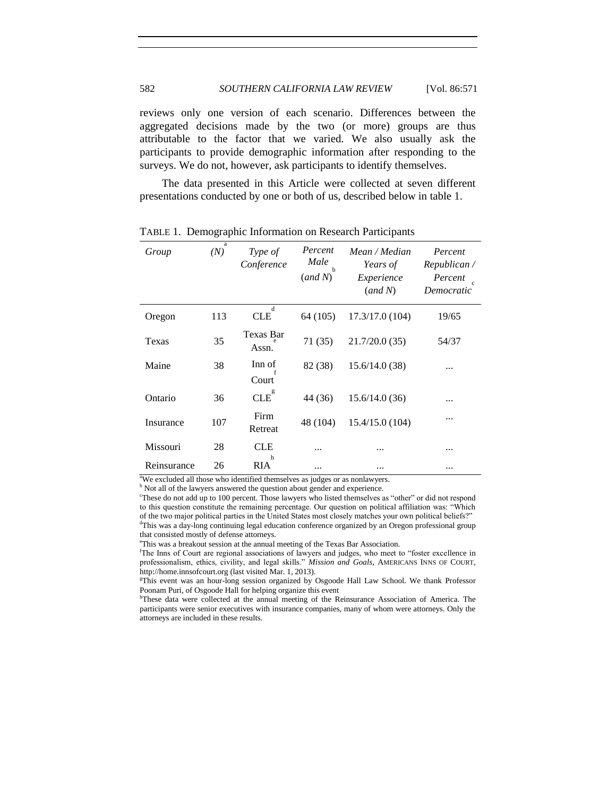reviews only one version of each scenario. Differences between the aggregated decisions made by the two (or more) groups are thus attributable to the factor that we varied. We also usually ask the participants to provide demographic information after responding to the surveys. We do not, however, ask participants to identify themselves.

The data presented in this Article were collected at seven different presentations conducted by one or both of us, described below in table 1.

| Group       | a<br>(N) | Type of<br>Conference | Percent<br>Male<br>h<br>(and N) | Mean / Median<br>Years of<br>Experience<br>(and N) | Percent<br>Republican/<br>Percent<br>$\mathcal{C}$<br>Democratic |
|-------------|----------|-----------------------|---------------------------------|----------------------------------------------------|------------------------------------------------------------------|
| Oregon      | 113      | d<br><b>CLE</b>       | 64 (105)                        | 17.3/17.0(104)                                     | 19/65                                                            |
| Texas       | 35       | Texas Bar<br>Assn.    | 71(35)                          | 21.7/20.0(35)                                      | 54/37                                                            |
| Maine       | 38       | Inn of<br>Court       | 82 (38)                         | 15.6/14.0(38)                                      |                                                                  |
| Ontario     | 36       | $CLE^{g}$             | 44 (36)                         | 15.6/14.0(36)                                      | .                                                                |
| Insurance   | 107      | Firm<br>Retreat       | 48 (104)                        | 15.4/15.0(104)                                     |                                                                  |
| Missouri    | 28       | <b>CLE</b>            |                                 |                                                    | .                                                                |
| Reinsurance | 26       | h<br>RIA              |                                 |                                                    | .                                                                |

TABLE 1. Demographic Information on Research Participants

<sup>a</sup>We excluded all those who identified themselves as judges or as nonlawyers.

**b** Not all of the lawyers answered the question about gender and experience.

<sup>c</sup>These do not add up to 100 percent. Those lawyers who listed themselves as "other" or did not respond to this question constitute the remaining percentage. Our question on political affiliation was: "Which of the two major political parties in the United States most closely matches your own political beliefs?" <sup>d</sup>This was a day-long continuing legal education conference organized by an Oregon professional group that consisted mostly of defense attorneys.

<sup>e</sup>This was a breakout session at the annual meeting of the Texas Bar Association.

<sup>f</sup>The Inns of Court are regional associations of lawyers and judges, who meet to "foster excellence in professionalism, ethics, civility, and legal skills." *Mission and Goals*, AMERICANS INNS OF COURT, http://home.innsofcourt.org (last visited Mar. 1, 2013).

<sup>g</sup>This event was an hour-long session organized by Osgoode Hall Law School. We thank Professor Poonam Puri, of Osgoode Hall for helping organize this event

hThese data were collected at the annual meeting of the Reinsurance Association of America. The participants were senior executives with insurance companies, many of whom were attorneys. Only the attorneys are included in these results.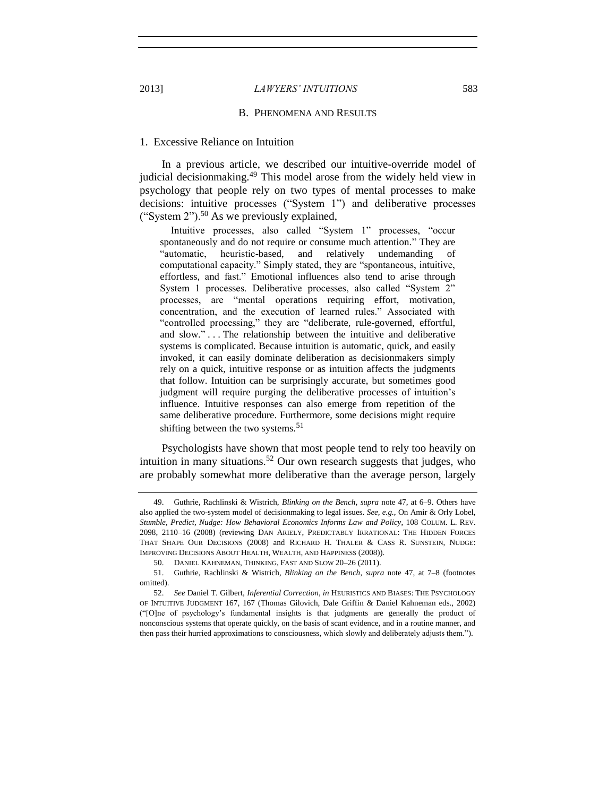#### B. PHENOMENA AND RESULTS

## <span id="page-12-1"></span>1. Excessive Reliance on Intuition

In a previous article, we described our intuitive-override model of judicial decisionmaking.<sup>49</sup> This model arose from the widely held view in psychology that people rely on two types of mental processes to make decisions: intuitive processes ("System 1") and deliberative processes ("System  $2$ ").<sup>50</sup> As we previously explained,

<span id="page-12-2"></span>Intuitive processes, also called "System 1" processes, "occur spontaneously and do not require or consume much attention." They are "automatic, heuristic-based, and relatively undemanding of computational capacity." Simply stated, they are "spontaneous, intuitive, effortless, and fast." Emotional influences also tend to arise through System 1 processes. Deliberative processes, also called "System 2" processes, are "mental operations requiring effort, motivation, concentration, and the execution of learned rules." Associated with "controlled processing," they are "deliberate, rule-governed, effortful, and slow." . . . The relationship between the intuitive and deliberative systems is complicated. Because intuition is automatic, quick, and easily invoked, it can easily dominate deliberation as decisionmakers simply rely on a quick, intuitive response or as intuition affects the judgments that follow. Intuition can be surprisingly accurate, but sometimes good judgment will require purging the deliberative processes of intuition's influence. Intuitive responses can also emerge from repetition of the same deliberative procedure. Furthermore, some decisions might require shifting between the two systems.<sup>51</sup>

Psychologists have shown that most people tend to rely too heavily on intuition in many situations.<sup>52</sup> Our own research suggests that judges, who are probably somewhat more deliberative than the average person, largely

<span id="page-12-0"></span>

<sup>49.</sup> Guthrie, Rachlinski & Wistrich, *Blinking on the Bench*, *supra* note [47,](#page-10-2) at 6–9. Others have also applied the two-system model of decisionmaking to legal issues. *See, e.g.*, On Amir & Orly Lobel, *Stumble, Predict, Nudge: How Behavioral Economics Informs Law and Policy*, 108 COLUM. L. REV. 2098, 2110–16 (2008) (reviewing DAN ARIELY, PREDICTABLY IRRATIONAL: THE HIDDEN FORCES THAT SHAPE OUR DECISIONS (2008) and RICHARD H. THALER & CASS R. SUNSTEIN, NUDGE: IMPROVING DECISIONS ABOUT HEALTH, WEALTH, AND HAPPINESS (2008)).

<sup>50.</sup> DANIEL KAHNEMAN, THINKING, FAST AND SLOW 20–26 (2011).

<sup>51.</sup> Guthrie, Rachlinski & Wistrich, *Blinking on the Bench*, *supra* note [47,](#page-10-2) at 7–8 (footnotes omitted).

<sup>52.</sup> *See* Daniel T. Gilbert, *Inferential Correction*, *in* HEURISTICS AND BIASES: THE PSYCHOLOGY OF INTUITIVE JUDGMENT 167, 167 (Thomas Gilovich, Dale Griffin & Daniel Kahneman eds., 2002) ("[O]ne of psychology's fundamental insights is that judgments are generally the product of nonconscious systems that operate quickly, on the basis of scant evidence, and in a routine manner, and then pass their hurried approximations to consciousness, which slowly and deliberately adjusts them.").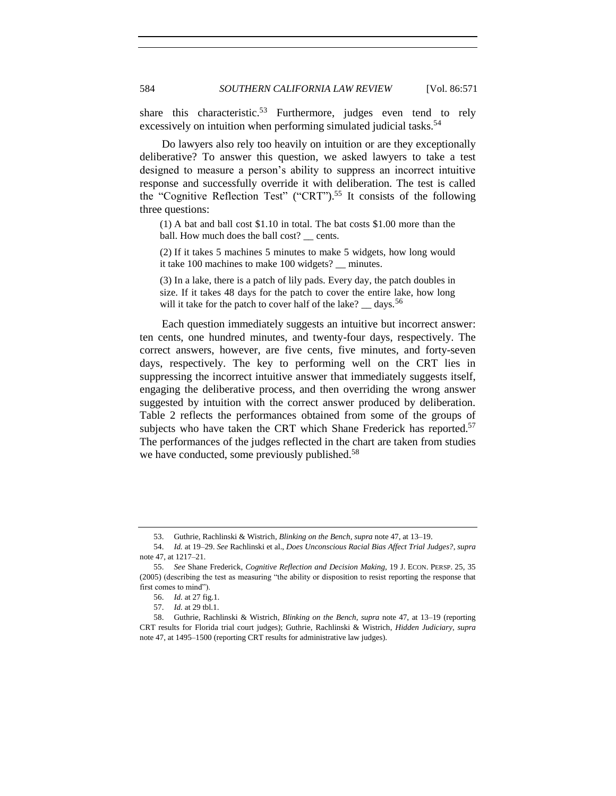share this characteristic.<sup>53</sup> Furthermore, judges even tend to rely excessively on intuition when performing simulated judicial tasks.<sup>54</sup>

Do lawyers also rely too heavily on intuition or are they exceptionally deliberative? To answer this question, we asked lawyers to take a test designed to measure a person's ability to suppress an incorrect intuitive response and successfully override it with deliberation. The test is called the "Cognitive Reflection Test" ("CRT").<sup>55</sup> It consists of the following three questions:

<span id="page-13-0"></span>(1) A bat and ball cost \$1.10 in total. The bat costs \$1.00 more than the ball. How much does the ball cost? \_\_ cents.

(2) If it takes 5 machines 5 minutes to make 5 widgets, how long would it take 100 machines to make 100 widgets? \_\_ minutes.

(3) In a lake, there is a patch of lily pads. Every day, the patch doubles in size. If it takes 48 days for the patch to cover the entire lake, how long will it take for the patch to cover half of the lake?  $\_\text{days}$ .<sup>56</sup>

Each question immediately suggests an intuitive but incorrect answer: ten cents, one hundred minutes, and twenty-four days, respectively. The correct answers, however, are five cents, five minutes, and forty-seven days, respectively. The key to performing well on the CRT lies in suppressing the incorrect intuitive answer that immediately suggests itself, engaging the deliberative process, and then overriding the wrong answer suggested by intuition with the correct answer produced by deliberation. Table 2 reflects the performances obtained from some of the groups of subjects who have taken the CRT which Shane Frederick has reported.<sup>57</sup> The performances of the judges reflected in the chart are taken from studies we have conducted, some previously published.<sup>58</sup>

<sup>53.</sup> Guthrie, Rachlinski & Wistrich, *Blinking on the Bench*, *supra* not[e 47,](#page-10-2) at 13–19.

<sup>54.</sup> *Id.* at 19–29. *See* Rachlinski et al., *Does Unconscious Racial Bias Affect Trial Judges?*, *supra*  note [47,](#page-10-2) at 1217–21.

<sup>55.</sup> *See* Shane Frederick, *Cognitive Reflection and Decision Making*, 19 J. ECON. PERSP. 25, 35 (2005) (describing the test as measuring "the ability or disposition to resist reporting the response that first comes to mind").

<sup>56.</sup> *Id.* at 27 fig.1.

<sup>57.</sup> *Id.* at 29 tbl.1.

<sup>58.</sup> Guthrie, Rachlinski & Wistrich, *Blinking on the Bench*, *supra* note [47,](#page-10-2) at 13–19 (reporting CRT results for Florida trial court judges); Guthrie, Rachlinski & Wistrich, *Hidden Judiciary*, *supra* note [47,](#page-10-2) at 1495–1500 (reporting CRT results for administrative law judges).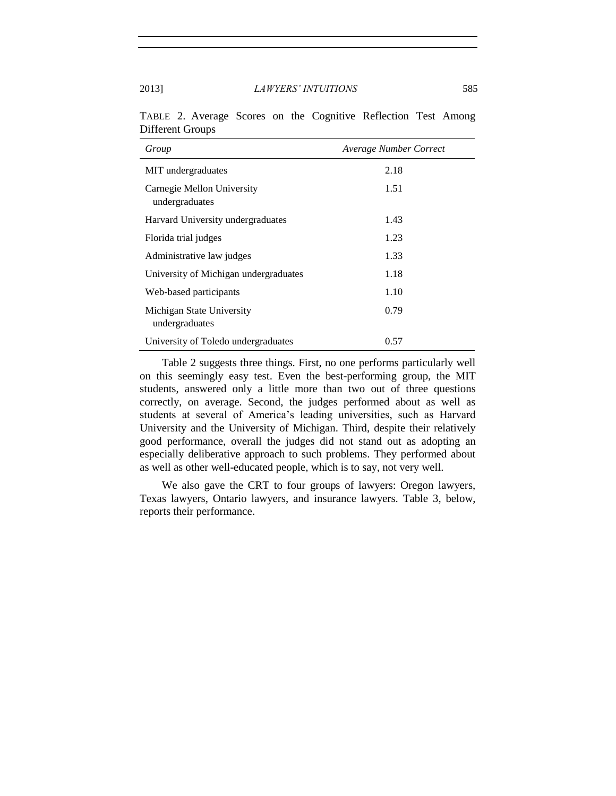| Group                                        | Average Number Correct |
|----------------------------------------------|------------------------|
| MIT undergraduates                           | 2.18                   |
| Carnegie Mellon University<br>undergraduates | 1.51                   |
| Harvard University undergraduates            | 1.43                   |
| Florida trial judges                         | 1.23                   |
| Administrative law judges                    | 1.33                   |
| University of Michigan undergraduates        | 1.18                   |
| Web-based participants                       | 1.10                   |
| Michigan State University<br>undergraduates  | 0.79                   |
| University of Toledo undergraduates          | 0.57                   |

TABLE 2. Average Scores on the Cognitive Reflection Test Among Different Groups

Table 2 suggests three things. First, no one performs particularly well on this seemingly easy test. Even the best-performing group, the MIT students, answered only a little more than two out of three questions correctly, on average. Second, the judges performed about as well as students at several of America's leading universities, such as Harvard University and the University of Michigan. Third, despite their relatively good performance, overall the judges did not stand out as adopting an especially deliberative approach to such problems. They performed about as well as other well-educated people, which is to say, not very well.

We also gave the CRT to four groups of lawyers: Oregon lawyers, Texas lawyers, Ontario lawyers, and insurance lawyers. Table 3, below, reports their performance.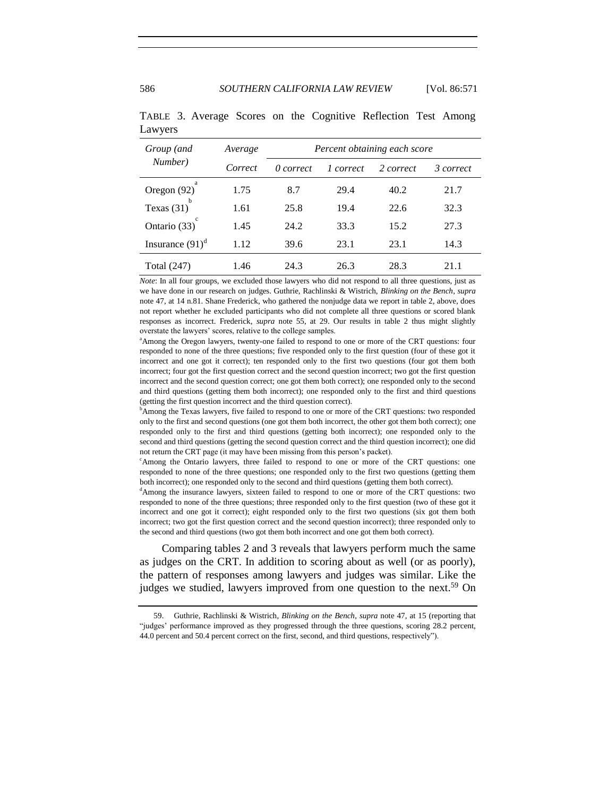| Group (and         | Average | Percent obtaining each score |           |           |           |
|--------------------|---------|------------------------------|-----------|-----------|-----------|
| Number)            | Correct | 0 correct                    | 1 correct | 2 correct | 3 correct |
| Oregon (92)        | 1.75    | 8.7                          | 29.4      | 40.2      | 21.7      |
| h<br>Texas $(31)$  | 1.61    | 25.8                         | 19.4      | 22.6      | 32.3      |
| Ontario (33)       | 1.45    | 24.2                         | 33.3      | 15.2      | 27.3      |
| Insurance $(91)^d$ | 1.12    | 39.6                         | 23.1      | 23.1      | 14.3      |
| Total (247)        | 1.46    | 24.3                         | 26.3      | 28.3      | 21.1      |

TABLE 3. Average Scores on the Cognitive Reflection Test Among Lawyers

*Note*: In all four groups, we excluded those lawyers who did not respond to all three questions, just as we have done in our research on judges. Guthrie, Rachlinski & Wistrich, *Blinking on the Bench*, *supra* note [47,](#page-10-2) at 14 n.81. Shane Frederick, who gathered the nonjudge data we report in table 2, above, does not report whether he excluded participants who did not complete all three questions or scored blank responses as incorrect. Frederick, *supra* note [55,](#page-13-0) at 29. Our results in table 2 thus might slightly overstate the lawyers' scores, relative to the college samples.

<sup>a</sup>Among the Oregon lawyers, twenty-one failed to respond to one or more of the CRT questions: four responded to none of the three questions; five responded only to the first question (four of these got it incorrect and one got it correct); ten responded only to the first two questions (four got them both incorrect; four got the first question correct and the second question incorrect; two got the first question incorrect and the second question correct; one got them both correct); one responded only to the second and third questions (getting them both incorrect); one responded only to the first and third questions (getting the first question incorrect and the third question correct).

<sup>b</sup>Among the Texas lawyers, five failed to respond to one or more of the CRT questions: two responded only to the first and second questions (one got them both incorrect, the other got them both correct); one responded only to the first and third questions (getting both incorrect); one responded only to the second and third questions (getting the second question correct and the third question incorrect); one did not return the CRT page (it may have been missing from this person's packet).

<sup>c</sup>Among the Ontario lawyers, three failed to respond to one or more of the CRT questions: one responded to none of the three questions; one responded only to the first two questions (getting them both incorrect); one responded only to the second and third questions (getting them both correct).

<sup>d</sup>Among the insurance lawyers, sixteen failed to respond to one or more of the CRT questions: two responded to none of the three questions; three responded only to the first question (two of these got it incorrect and one got it correct); eight responded only to the first two questions (six got them both incorrect; two got the first question correct and the second question incorrect); three responded only to the second and third questions (two got them both incorrect and one got them both correct).

Comparing tables 2 and 3 reveals that lawyers perform much the same as judges on the CRT. In addition to scoring about as well (or as poorly), the pattern of responses among lawyers and judges was similar. Like the judges we studied, lawyers improved from one question to the next.<sup>59</sup> On

<sup>59.</sup> Guthrie, Rachlinski & Wistrich, *Blinking on the Bench*, *supra* not[e 47,](#page-10-2) at 15 (reporting that "judges' performance improved as they progressed through the three questions, scoring 28.2 percent, 44.0 percent and 50.4 percent correct on the first, second, and third questions, respectively").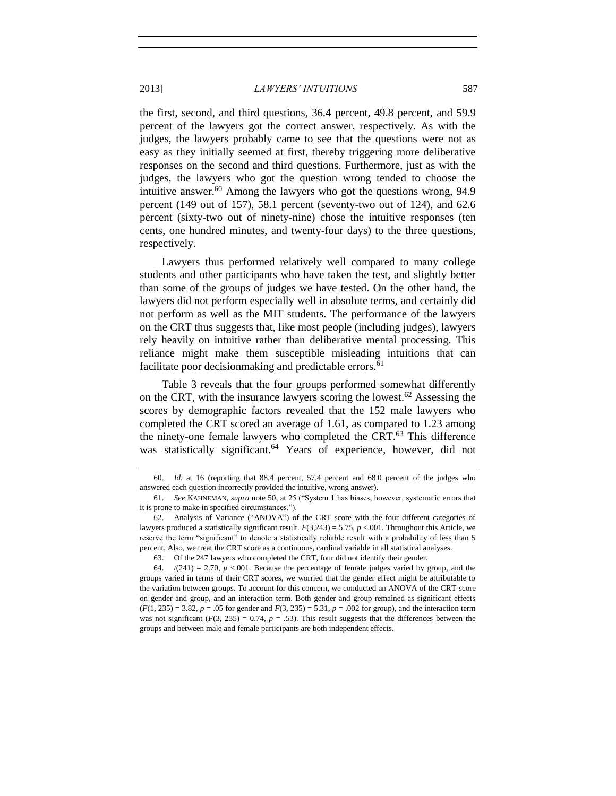the first, second, and third questions, 36.4 percent, 49.8 percent, and 59.9 percent of the lawyers got the correct answer, respectively. As with the judges, the lawyers probably came to see that the questions were not as easy as they initially seemed at first, thereby triggering more deliberative responses on the second and third questions. Furthermore, just as with the judges, the lawyers who got the question wrong tended to choose the intuitive answer.<sup>60</sup> Among the lawyers who got the questions wrong, 94.9 percent (149 out of 157), 58.1 percent (seventy-two out of 124), and 62.6 percent (sixty-two out of ninety-nine) chose the intuitive responses (ten cents, one hundred minutes, and twenty-four days) to the three questions, respectively.

Lawyers thus performed relatively well compared to many college students and other participants who have taken the test, and slightly better than some of the groups of judges we have tested. On the other hand, the lawyers did not perform especially well in absolute terms, and certainly did not perform as well as the MIT students. The performance of the lawyers on the CRT thus suggests that, like most people (including judges), lawyers rely heavily on intuitive rather than deliberative mental processing. This reliance might make them susceptible misleading intuitions that can facilitate poor decisionmaking and predictable errors.<sup>61</sup>

Table 3 reveals that the four groups performed somewhat differently on the CRT, with the insurance lawyers scoring the lowest.<sup>62</sup> Assessing the scores by demographic factors revealed that the 152 male lawyers who completed the CRT scored an average of 1.61, as compared to 1.23 among the ninety-one female lawyers who completed the CRT.<sup>63</sup> This difference was statistically significant.<sup>64</sup> Years of experience, however, did not

63. Of the 247 lawyers who completed the CRT, four did not identify their gender.

<sup>60.</sup> *Id.* at 16 (reporting that 88.4 percent, 57.4 percent and 68.0 percent of the judges who answered each question incorrectly provided the intuitive, wrong answer).

<sup>61.</sup> *See* KAHNEMAN, *supra* not[e 50,](#page-12-2) at 25 ("System 1 has biases, however, systematic errors that it is prone to make in specified circumstances.").

<sup>62.</sup> Analysis of Variance ("ANOVA") of the CRT score with the four different categories of lawyers produced a statistically significant result. *F*(3,243) = 5.75, *p* <.001. Throughout this Article, we reserve the term "significant" to denote a statistically reliable result with a probability of less than 5 percent. Also, we treat the CRT score as a continuous, cardinal variable in all statistical analyses.

<sup>64.</sup>  $t(241) = 2.70$ ,  $p < 0.001$ . Because the percentage of female judges varied by group, and the groups varied in terms of their CRT scores, we worried that the gender effect might be attributable to the variation between groups. To account for this concern, we conducted an ANOVA of the CRT score on gender and group, and an interaction term. Both gender and group remained as significant effects (*F*(1, 235) = 3.82, *p* = .05 for gender and *F*(3, 235) = 5.31, *p* = .002 for group), and the interaction term was not significant  $(F(3, 235) = 0.74$ ,  $p = .53)$ . This result suggests that the differences between the groups and between male and female participants are both independent effects.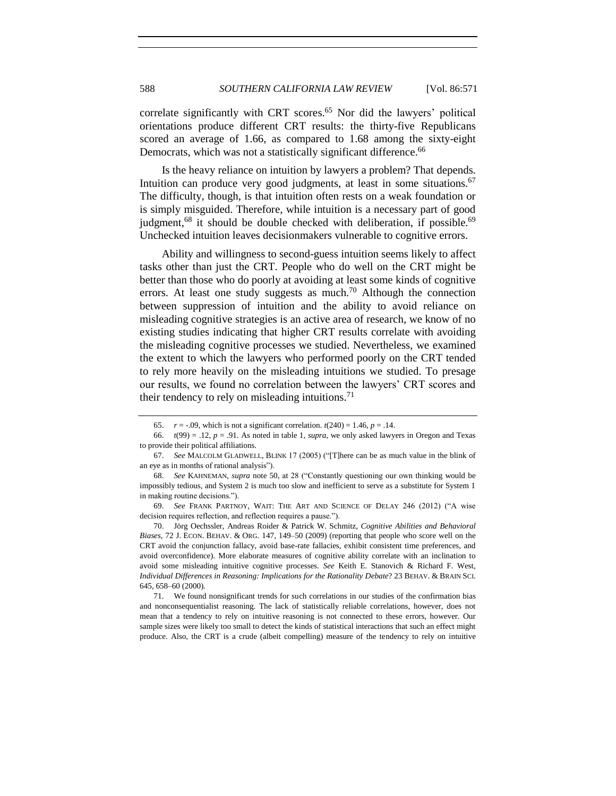correlate significantly with CRT scores. <sup>65</sup> Nor did the lawyers' political orientations produce different CRT results: the thirty-five Republicans scored an average of 1.66, as compared to 1.68 among the sixty-eight Democrats, which was not a statistically significant difference.<sup>66</sup>

Is the heavy reliance on intuition by lawyers a problem? That depends. Intuition can produce very good judgments, at least in some situations.  $67$ The difficulty, though, is that intuition often rests on a weak foundation or is simply misguided. Therefore, while intuition is a necessary part of good judgment,<sup>68</sup> it should be double checked with deliberation, if possible.<sup>69</sup> Unchecked intuition leaves decisionmakers vulnerable to cognitive errors.

Ability and willingness to second-guess intuition seems likely to affect tasks other than just the CRT. People who do well on the CRT might be better than those who do poorly at avoiding at least some kinds of cognitive errors. At least one study suggests as much.<sup>70</sup> Although the connection between suppression of intuition and the ability to avoid reliance on misleading cognitive strategies is an active area of research, we know of no existing studies indicating that higher CRT results correlate with avoiding the misleading cognitive processes we studied. Nevertheless, we examined the extent to which the lawyers who performed poorly on the CRT tended to rely more heavily on the misleading intuitions we studied. To presage our results, we found no correlation between the lawyers' CRT scores and their tendency to rely on misleading intuitions.<sup>71</sup>

70. Jörg Oechssler, Andreas Roider & Patrick W. Schmitz, *Cognitive Abilities and Behavioral Biases*, 72 J. ECON. BEHAV. & ORG. 147, 149–50 (2009) (reporting that people who score well on the CRT avoid the conjunction fallacy, avoid base-rate fallacies, exhibit consistent time preferences, and avoid overconfidence). More elaborate measures of cognitive ability correlate with an inclination to avoid some misleading intuitive cognitive processes. *See* Keith E. Stanovich & Richard F. West, *Individual Differences in Reasoning: Implications for the Rationality Debate*? 23 BEHAV. & BRAIN SCI. 645, 658–60 (2000).

71. We found nonsignificant trends for such correlations in our studies of the confirmation bias and nonconsequentialist reasoning. The lack of statistically reliable correlations, however, does not mean that a tendency to rely on intuitive reasoning is not connected to these errors, however. Our sample sizes were likely too small to detect the kinds of statistical interactions that such an effect might produce. Also, the CRT is a crude (albeit compelling) measure of the tendency to rely on intuitive

<sup>65.</sup> *r* = -.09, which is not a significant correlation.  $t(240) = 1.46$ ,  $p = .14$ .

<sup>66.</sup>  $t(99) = .12$ ,  $p = .91$ . As noted in table 1, *supra*, we only asked lawyers in Oregon and Texas to provide their political affiliations.

<sup>67.</sup> *See* MALCOLM GLADWELL, BLINK 17 (2005) ("[T]here can be as much value in the blink of an eye as in months of rational analysis").

<sup>68.</sup> *See* KAHNEMAN, *supra* note [50,](#page-12-2) at 28 ("Constantly questioning our own thinking would be impossibly tedious, and System 2 is much too slow and inefficient to serve as a substitute for System 1 in making routine decisions.").

<sup>69.</sup> *See* FRANK PARTNOY, WAIT: THE ART AND SCIENCE OF DELAY 246 (2012) ("A wise decision requires reflection, and reflection requires a pause.").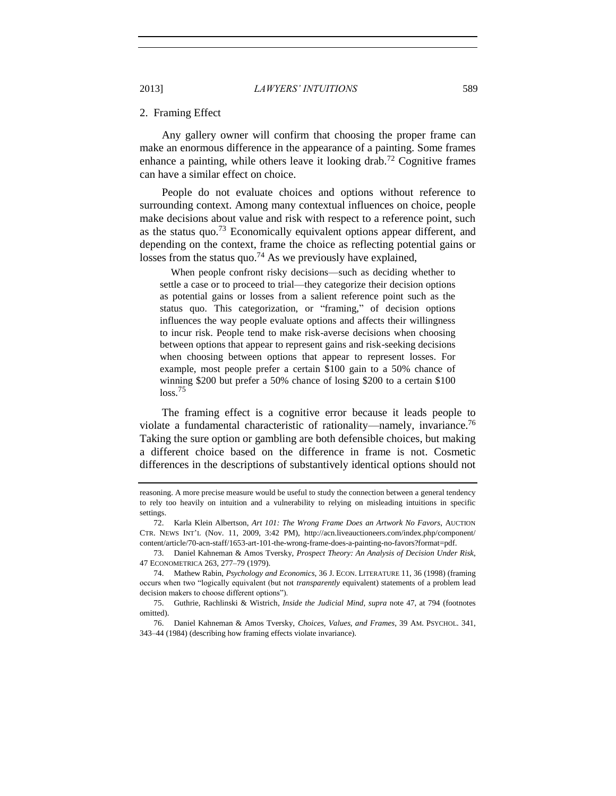#### <span id="page-18-0"></span>2. Framing Effect

Any gallery owner will confirm that choosing the proper frame can make an enormous difference in the appearance of a painting. Some frames enhance a painting, while others leave it looking drab.<sup>72</sup> Cognitive frames can have a similar effect on choice.

People do not evaluate choices and options without reference to surrounding context. Among many contextual influences on choice, people make decisions about value and risk with respect to a reference point, such as the status quo.<sup>73</sup> Economically equivalent options appear different, and depending on the context, frame the choice as reflecting potential gains or losses from the status quo.<sup>74</sup> As we previously have explained,

When people confront risky decisions—such as deciding whether to settle a case or to proceed to trial—they categorize their decision options as potential gains or losses from a salient reference point such as the status quo. This categorization, or "framing," of decision options influences the way people evaluate options and affects their willingness to incur risk. People tend to make risk-averse decisions when choosing between options that appear to represent gains and risk-seeking decisions when choosing between options that appear to represent losses. For example, most people prefer a certain \$100 gain to a 50% chance of winning \$200 but prefer a 50% chance of losing \$200 to a certain \$100  $loss.<sup>75</sup>$ 

The framing effect is a cognitive error because it leads people to violate a fundamental characteristic of rationality—namely, invariance.<sup>76</sup> Taking the sure option or gambling are both defensible choices, but making a different choice based on the difference in frame is not. Cosmetic differences in the descriptions of substantively identical options should not

reasoning. A more precise measure would be useful to study the connection between a general tendency to rely too heavily on intuition and a vulnerability to relying on misleading intuitions in specific settings.

<sup>72.</sup> Karla Klein Albertson, *Art 101: The Wrong Frame Does an Artwork No Favors*, AUCTION CTR. NEWS INT'L (Nov. 11, 2009, 3:42 PM), http://acn.liveauctioneers.com/index.php/component/ content/article/70-acn-staff/1653-art-101-the-wrong-frame-does-a-painting-no-favors?format=pdf.

<sup>73.</sup> Daniel Kahneman & Amos Tversky, *Prospect Theory: An Analysis of Decision Under Risk*, 47 ECONOMETRICA 263, 277–79 (1979).

<sup>74.</sup> Mathew Rabin, *Psychology and Economics*, 36 J. ECON. LITERATURE 11, 36 (1998) (framing occurs when two "logically equivalent (but not *transparently* equivalent) statements of a problem lead decision makers to choose different options").

<sup>75.</sup> Guthrie, Rachlinski & Wistrich, *Inside the Judicial Mind*, *supra* note [47,](#page-10-2) at 794 (footnotes omitted).

<sup>76.</sup> Daniel Kahneman & Amos Tversky, *Choices, Values, and Frames*, 39 AM. PSYCHOL. 341, 343–44 (1984) (describing how framing effects violate invariance).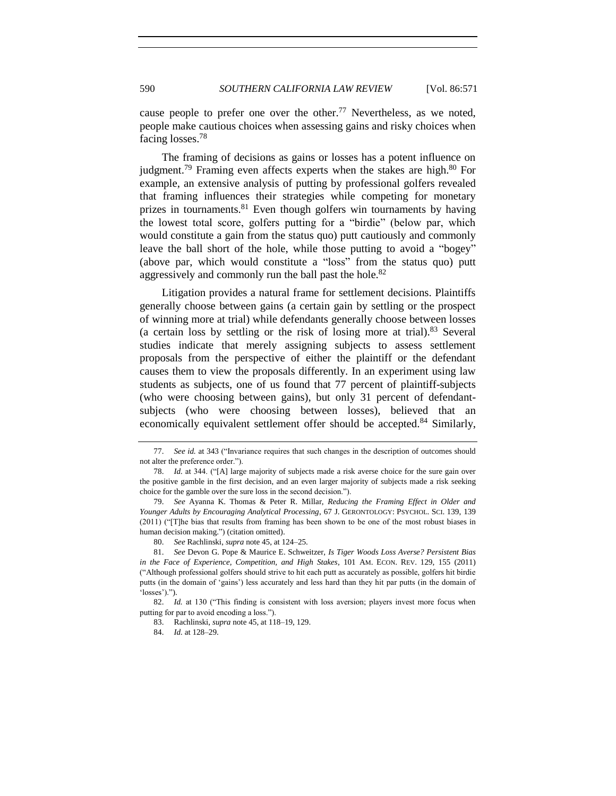cause people to prefer one over the other.<sup>77</sup> Nevertheless, as we noted, people make cautious choices when assessing gains and risky choices when facing losses.<sup>78</sup>

<span id="page-19-0"></span>The framing of decisions as gains or losses has a potent influence on judgment.<sup>79</sup> Framing even affects experts when the stakes are high.<sup>80</sup> For example, an extensive analysis of putting by professional golfers revealed that framing influences their strategies while competing for monetary prizes in tournaments.<sup>81</sup> Even though golfers win tournaments by having the lowest total score, golfers putting for a "birdie" (below par, which would constitute a gain from the status quo) putt cautiously and commonly leave the ball short of the hole, while those putting to avoid a "bogey" (above par, which would constitute a "loss" from the status quo) putt aggressively and commonly run the ball past the hole.<sup>82</sup>

Litigation provides a natural frame for settlement decisions. Plaintiffs generally choose between gains (a certain gain by settling or the prospect of winning more at trial) while defendants generally choose between losses (a certain loss by settling or the risk of losing more at trial). $83$  Several studies indicate that merely assigning subjects to assess settlement proposals from the perspective of either the plaintiff or the defendant causes them to view the proposals differently. In an experiment using law students as subjects, one of us found that 77 percent of plaintiff-subjects (who were choosing between gains), but only 31 percent of defendantsubjects (who were choosing between losses), believed that an economically equivalent settlement offer should be accepted.<sup>84</sup> Similarly,

<sup>77.</sup> *See id.* at 343 ("Invariance requires that such changes in the description of outcomes should not alter the preference order.").

<sup>78.</sup> *Id.* at 344. ("[A] large majority of subjects made a risk averse choice for the sure gain over the positive gamble in the first decision, and an even larger majority of subjects made a risk seeking choice for the gamble over the sure loss in the second decision.").

<sup>79.</sup> *See* Ayanna K. Thomas & Peter R. Millar, *Reducing the Framing Effect in Older and Younger Adults by Encouraging Analytical Processing*, 67 J. GERONTOLOGY: PSYCHOL. SCI. 139, 139 (2011) ("[T]he bias that results from framing has been shown to be one of the most robust biases in human decision making.") (citation omitted).

<sup>80.</sup> *See* Rachlinski, *supra* not[e 45,](#page-9-0) at 124–25.

<sup>81.</sup> *See* Devon G. Pope & Maurice E. Schweitzer, *Is Tiger Woods Loss Averse? Persistent Bias in the Face of Experience, Competition, and High Stakes*, 101 AM. ECON. REV. 129, 155 (2011) ("Although professional golfers should strive to hit each putt as accurately as possible, golfers hit birdie putts (in the domain of 'gains') less accurately and less hard than they hit par putts (in the domain of 'losses').").

<sup>82.</sup> *Id.* at 130 ("This finding is consistent with loss aversion; players invest more focus when putting for par to avoid encoding a loss.").

<sup>83.</sup> Rachlinski, *supra* not[e 45,](#page-9-0) at 118–19, 129.

<sup>84.</sup> *Id.* at 128–29.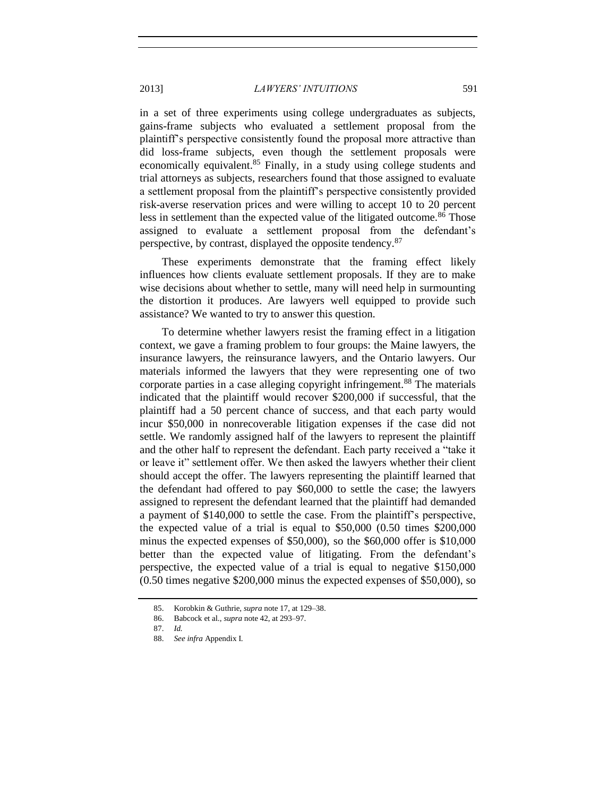in a set of three experiments using college undergraduates as subjects, gains-frame subjects who evaluated a settlement proposal from the plaintiff's perspective consistently found the proposal more attractive than did loss-frame subjects, even though the settlement proposals were economically equivalent.<sup>85</sup> Finally, in a study using college students and trial attorneys as subjects, researchers found that those assigned to evaluate a settlement proposal from the plaintiff's perspective consistently provided risk-averse reservation prices and were willing to accept 10 to 20 percent less in settlement than the expected value of the litigated outcome.<sup>86</sup> Those assigned to evaluate a settlement proposal from the defendant's perspective, by contrast, displayed the opposite tendency.<sup>87</sup>

These experiments demonstrate that the framing effect likely influences how clients evaluate settlement proposals. If they are to make wise decisions about whether to settle, many will need help in surmounting the distortion it produces. Are lawyers well equipped to provide such assistance? We wanted to try to answer this question.

To determine whether lawyers resist the framing effect in a litigation context, we gave a framing problem to four groups: the Maine lawyers, the insurance lawyers, the reinsurance lawyers, and the Ontario lawyers. Our materials informed the lawyers that they were representing one of two corporate parties in a case alleging copyright infringement.<sup>88</sup> The materials indicated that the plaintiff would recover \$200,000 if successful, that the plaintiff had a 50 percent chance of success, and that each party would incur \$50,000 in nonrecoverable litigation expenses if the case did not settle. We randomly assigned half of the lawyers to represent the plaintiff and the other half to represent the defendant. Each party received a "take it or leave it" settlement offer. We then asked the lawyers whether their client should accept the offer. The lawyers representing the plaintiff learned that the defendant had offered to pay \$60,000 to settle the case; the lawyers assigned to represent the defendant learned that the plaintiff had demanded a payment of \$140,000 to settle the case. From the plaintiff's perspective, the expected value of a trial is equal to \$50,000 (0.50 times \$200,000 minus the expected expenses of \$50,000), so the \$60,000 offer is \$10,000 better than the expected value of litigating. From the defendant's perspective, the expected value of a trial is equal to negative \$150,000 (0.50 times negative \$200,000 minus the expected expenses of \$50,000), so

<sup>85.</sup> Korobkin & Guthrie, *supra* not[e 17,](#page-5-0) at 129–38.

<sup>86.</sup> Babcock et al., *supra* not[e 42,](#page-9-1) at 293–97.

<sup>87.</sup> *Id.*

<sup>88.</sup> *See infra* Appendix I.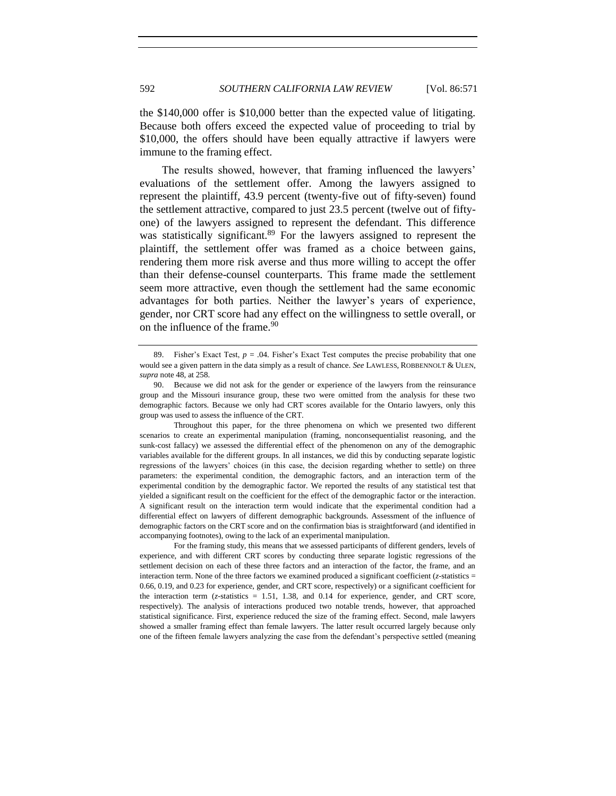the \$140,000 offer is \$10,000 better than the expected value of litigating. Because both offers exceed the expected value of proceeding to trial by \$10,000, the offers should have been equally attractive if lawyers were immune to the framing effect.

The results showed, however, that framing influenced the lawyers' evaluations of the settlement offer. Among the lawyers assigned to represent the plaintiff, 43.9 percent (twenty-five out of fifty-seven) found the settlement attractive, compared to just 23.5 percent (twelve out of fiftyone) of the lawyers assigned to represent the defendant. This difference was statistically significant.<sup>89</sup> For the lawyers assigned to represent the plaintiff, the settlement offer was framed as a choice between gains, rendering them more risk averse and thus more willing to accept the offer than their defense-counsel counterparts. This frame made the settlement seem more attractive, even though the settlement had the same economic advantages for both parties. Neither the lawyer's years of experience, gender, nor CRT score had any effect on the willingness to settle overall, or on the influence of the frame.<sup>90</sup>

For the framing study, this means that we assessed participants of different genders, levels of experience, and with different CRT scores by conducting three separate logistic regressions of the settlement decision on each of these three factors and an interaction of the factor, the frame, and an interaction term. None of the three factors we examined produced a significant coefficient  $(z$ -statistics = 0.66, 0.19, and 0.23 for experience, gender, and CRT score, respectively) or a significant coefficient for the interaction term (*z*-statistics = 1.51, 1.38, and 0.14 for experience, gender, and CRT score, respectively). The analysis of interactions produced two notable trends, however, that approached statistical significance. First, experience reduced the size of the framing effect. Second, male lawyers showed a smaller framing effect than female lawyers. The latter result occurred largely because only one of the fifteen female lawyers analyzing the case from the defendant's perspective settled (meaning

<sup>89.</sup> Fisher's Exact Test,  $p = .04$ . Fisher's Exact Test computes the precise probability that one would see a given pattern in the data simply as a result of chance. *See* LAWLESS, ROBBENNOLT & ULEN, *supra* not[e 48,](#page-10-3) at 258.

<sup>90.</sup> Because we did not ask for the gender or experience of the lawyers from the reinsurance group and the Missouri insurance group, these two were omitted from the analysis for these two demographic factors. Because we only had CRT scores available for the Ontario lawyers, only this group was used to assess the influence of the CRT.

Throughout this paper, for the three phenomena on which we presented two different scenarios to create an experimental manipulation (framing, nonconsequentialist reasoning, and the sunk-cost fallacy) we assessed the differential effect of the phenomenon on any of the demographic variables available for the different groups. In all instances, we did this by conducting separate logistic regressions of the lawyers' choices (in this case, the decision regarding whether to settle) on three parameters: the experimental condition, the demographic factors, and an interaction term of the experimental condition by the demographic factor. We reported the results of any statistical test that yielded a significant result on the coefficient for the effect of the demographic factor or the interaction. A significant result on the interaction term would indicate that the experimental condition had a differential effect on lawyers of different demographic backgrounds. Assessment of the influence of demographic factors on the CRT score and on the confirmation bias is straightforward (and identified in accompanying footnotes), owing to the lack of an experimental manipulation.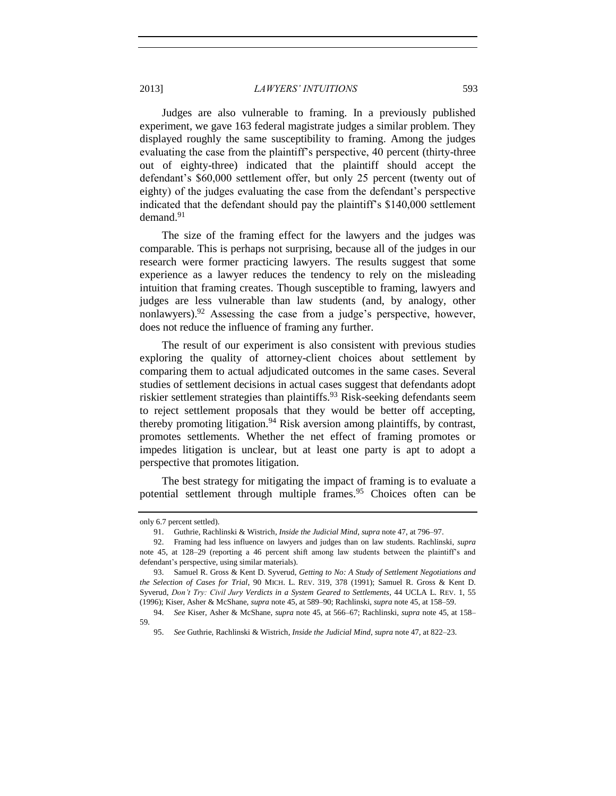Judges are also vulnerable to framing. In a previously published experiment, we gave 163 federal magistrate judges a similar problem. They displayed roughly the same susceptibility to framing. Among the judges evaluating the case from the plaintiff's perspective, 40 percent (thirty-three out of eighty-three) indicated that the plaintiff should accept the defendant's \$60,000 settlement offer, but only 25 percent (twenty out of eighty) of the judges evaluating the case from the defendant's perspective indicated that the defendant should pay the plaintiff's \$140,000 settlement demand. $91$ 

The size of the framing effect for the lawyers and the judges was comparable. This is perhaps not surprising, because all of the judges in our research were former practicing lawyers. The results suggest that some experience as a lawyer reduces the tendency to rely on the misleading intuition that framing creates. Though susceptible to framing, lawyers and judges are less vulnerable than law students (and, by analogy, other nonlawyers).<sup>92</sup> Assessing the case from a judge's perspective, however, does not reduce the influence of framing any further.

The result of our experiment is also consistent with previous studies exploring the quality of attorney-client choices about settlement by comparing them to actual adjudicated outcomes in the same cases. Several studies of settlement decisions in actual cases suggest that defendants adopt riskier settlement strategies than plaintiffs.<sup>93</sup> Risk-seeking defendants seem to reject settlement proposals that they would be better off accepting, thereby promoting litigation.<sup>94</sup> Risk aversion among plaintiffs, by contrast, promotes settlements. Whether the net effect of framing promotes or impedes litigation is unclear, but at least one party is apt to adopt a perspective that promotes litigation.

The best strategy for mitigating the impact of framing is to evaluate a potential settlement through multiple frames.<sup>95</sup> Choices often can be

only 6.7 percent settled).

<sup>91.</sup> Guthrie, Rachlinski & Wistrich, *Inside the Judicial Mind*, *supra* not[e 47,](#page-10-2) at 796–97.

<sup>92.</sup> Framing had less influence on lawyers and judges than on law students. Rachlinski, *supra* note [45,](#page-9-0) at 128–29 (reporting a 46 percent shift among law students between the plaintiff's and defendant's perspective, using similar materials).

<sup>93.</sup> Samuel R. Gross & Kent D. Syverud, *Getting to No: A Study of Settlement Negotiations and the Selection of Cases for Trial*, 90 MICH. L. REV. 319, 378 (1991); Samuel R. Gross & Kent D. Syverud, *Don't Try: Civil Jury Verdicts in a System Geared to Settlements*, 44 UCLA L. REV. 1, 55 (1996); Kiser, Asher & McShane, *supra* not[e 45,](#page-9-0) at 589–90; Rachlinski, *supra* not[e 45,](#page-9-0) at 158–59.

<sup>94.</sup> *See* Kiser, Asher & McShane, *supra* not[e 45,](#page-9-0) at 566–67; Rachlinski, *supra* note [45,](#page-9-0) at 158– 59.

<sup>95.</sup> *See* Guthrie, Rachlinski & Wistrich, *Inside the Judicial Mind*, *supra* not[e 47,](#page-10-2) at 822–23.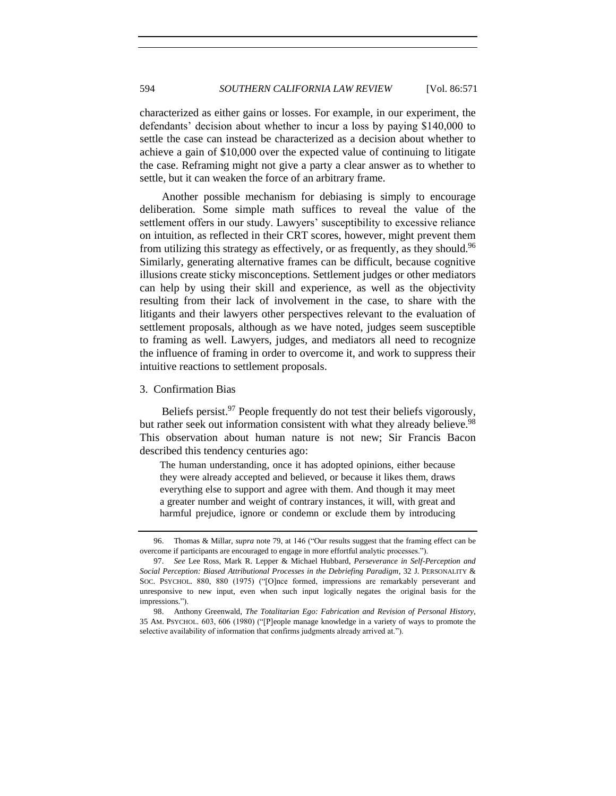characterized as either gains or losses. For example, in our experiment, the defendants' decision about whether to incur a loss by paying \$140,000 to settle the case can instead be characterized as a decision about whether to achieve a gain of \$10,000 over the expected value of continuing to litigate the case. Reframing might not give a party a clear answer as to whether to settle, but it can weaken the force of an arbitrary frame.

Another possible mechanism for debiasing is simply to encourage deliberation. Some simple math suffices to reveal the value of the settlement offers in our study. Lawyers' susceptibility to excessive reliance on intuition, as reflected in their CRT scores, however, might prevent them from utilizing this strategy as effectively, or as frequently, as they should.<sup>96</sup> Similarly, generating alternative frames can be difficult, because cognitive illusions create sticky misconceptions. Settlement judges or other mediators can help by using their skill and experience, as well as the objectivity resulting from their lack of involvement in the case, to share with the litigants and their lawyers other perspectives relevant to the evaluation of settlement proposals, although as we have noted, judges seem susceptible to framing as well. Lawyers, judges, and mediators all need to recognize the influence of framing in order to overcome it, and work to suppress their intuitive reactions to settlement proposals.

<span id="page-23-0"></span>3. Confirmation Bias

Beliefs persist. $97$  People frequently do not test their beliefs vigorously, but rather seek out information consistent with what they already believe.<sup>98</sup> This observation about human nature is not new; Sir Francis Bacon described this tendency centuries ago:

The human understanding, once it has adopted opinions, either because they were already accepted and believed, or because it likes them, draws everything else to support and agree with them. And though it may meet a greater number and weight of contrary instances, it will, with great and harmful prejudice, ignore or condemn or exclude them by introducing

<sup>96.</sup> Thomas & Millar, *supra* note [79,](#page-19-0) at 146 ("Our results suggest that the framing effect can be overcome if participants are encouraged to engage in more effortful analytic processes.").

<sup>97.</sup> *See* Lee Ross, Mark R. Lepper & Michael Hubbard, *Perseverance in Self-Perception and Social Perception: Biased Attributional Processes in the Debriefing Paradigm*, 32 J. PERSONALITY & SOC. PSYCHOL. 880, 880 (1975) ("[O]nce formed, impressions are remarkably perseverant and unresponsive to new input, even when such input logically negates the original basis for the impressions.").

<sup>98.</sup> Anthony Greenwald, *The Totalitarian Ego: Fabrication and Revision of Personal History*, 35 AM. PSYCHOL. 603, 606 (1980) ("[P]eople manage knowledge in a variety of ways to promote the selective availability of information that confirms judgments already arrived at.").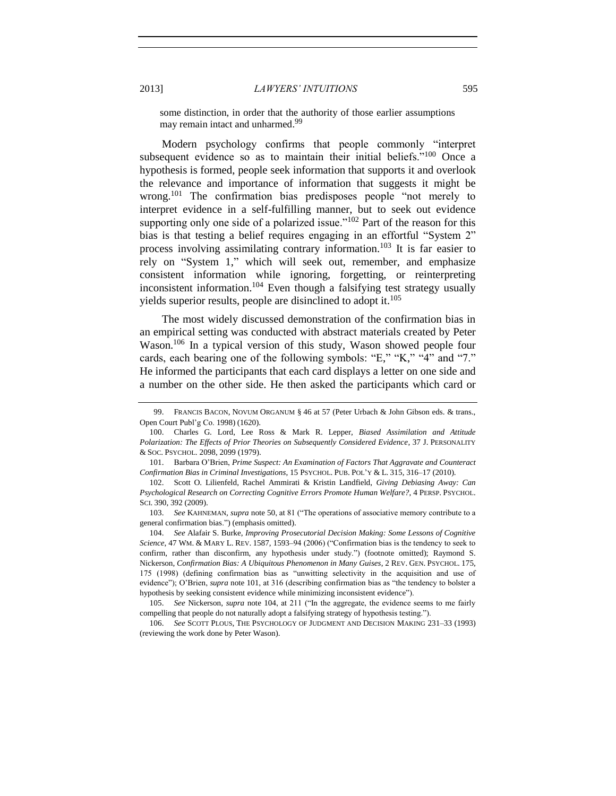<span id="page-24-3"></span><span id="page-24-2"></span>some distinction, in order that the authority of those earlier assumptions may remain intact and unharmed. 99

<span id="page-24-0"></span>Modern psychology confirms that people commonly "interpret subsequent evidence so as to maintain their initial beliefs."<sup>100</sup> Once a hypothesis is formed, people seek information that supports it and overlook the relevance and importance of information that suggests it might be wrong.<sup>101</sup> The confirmation bias predisposes people "not merely to interpret evidence in a self-fulfilling manner, but to seek out evidence supporting only one side of a polarized issue."<sup>102</sup> Part of the reason for this bias is that testing a belief requires engaging in an effortful "System 2" process involving assimilating contrary information.<sup>103</sup> It is far easier to rely on "System 1," which will seek out, remember, and emphasize consistent information while ignoring, forgetting, or reinterpreting inconsistent information.<sup>104</sup> Even though a falsifying test strategy usually yields superior results, people are disinclined to adopt it. $105$ 

<span id="page-24-1"></span>The most widely discussed demonstration of the confirmation bias in an empirical setting was conducted with abstract materials created by Peter Wason.<sup>106</sup> In a typical version of this study, Wason showed people four cards, each bearing one of the following symbols: "E," "K," "4" and "7." He informed the participants that each card displays a letter on one side and a number on the other side. He then asked the participants which card or

<sup>99.</sup> FRANCIS BACON, NOVUM ORGANUM § 46 at 57 (Peter Urbach & John Gibson eds. & trans., Open Court Publ'g Co. 1998) (1620).

<sup>100.</sup> Charles G. Lord, Lee Ross & Mark R. Lepper, *Biased Assimilation and Attitude Polarization: The Effects of Prior Theories on Subsequently Considered Evidence*, 37 J. PERSONALITY & SOC. PSYCHOL. 2098, 2099 (1979).

<sup>101.</sup> Barbara O'Brien, *Prime Suspect: An Examination of Factors That Aggravate and Counteract Confirmation Bias in Criminal Investigations*, 15 PSYCHOL. PUB. POL'Y & L. 315, 316–17 (2010).

<sup>102.</sup> Scott O. Lilienfeld, Rachel Ammirati & Kristin Landfield, *Giving Debiasing Away: Can Psychological Research on Correcting Cognitive Errors Promote Human Welfare?*, 4 PERSP. PSYCHOL. SCI. 390, 392 (2009).

<sup>103.</sup> *See* KAHNEMAN, *supra* not[e 50,](#page-12-2) at 81 ("The operations of associative memory contribute to a general confirmation bias.") (emphasis omitted).

<sup>104.</sup> *See* Alafair S. Burke, *Improving Prosecutorial Decision Making: Some Lessons of Cognitive Science*, 47 WM. & MARY L. REV. 1587, 1593–94 (2006) ("Confirmation bias is the tendency to seek to confirm, rather than disconfirm, any hypothesis under study.") (footnote omitted); Raymond S. Nickerson, *Confirmation Bias: A Ubiquitous Phenomenon in Many Guises*, 2 REV. GEN. PSYCHOL. 175, 175 (1998) (defining confirmation bias as "unwitting selectivity in the acquisition and use of evidence"); O'Brien, *supra* not[e 101,](#page-24-0) at 316 (describing confirmation bias as "the tendency to bolster a hypothesis by seeking consistent evidence while minimizing inconsistent evidence").

<sup>105.</sup> *See* Nickerson, *supra* note [104,](#page-24-1) at 211 ("In the aggregate, the evidence seems to me fairly compelling that people do not naturally adopt a falsifying strategy of hypothesis testing.").

<sup>106.</sup> *See* SCOTT PLOUS, THE PSYCHOLOGY OF JUDGMENT AND DECISION MAKING 231–33 (1993) (reviewing the work done by Peter Wason).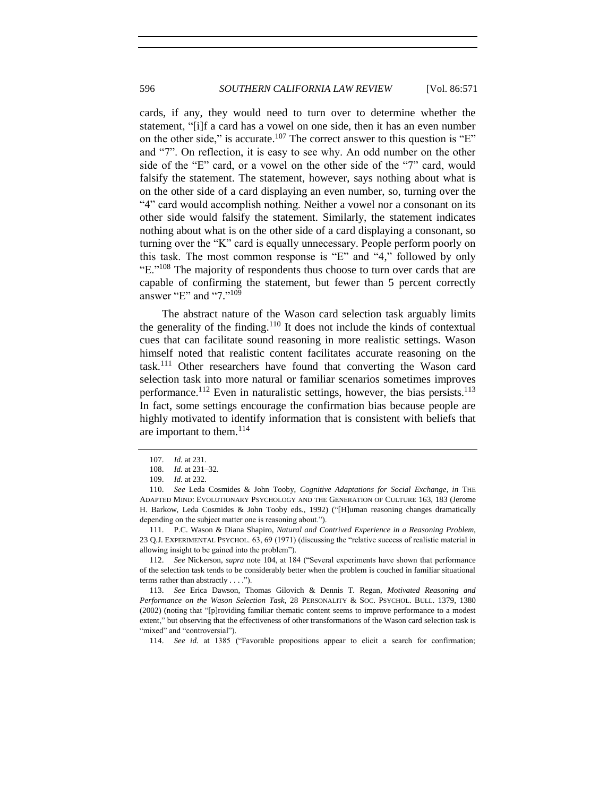cards, if any, they would need to turn over to determine whether the statement, "[i]f a card has a vowel on one side, then it has an even number on the other side," is accurate.<sup>107</sup> The correct answer to this question is "E" and "7". On reflection, it is easy to see why. An odd number on the other side of the "E" card, or a vowel on the other side of the "7" card, would falsify the statement. The statement, however, says nothing about what is on the other side of a card displaying an even number, so, turning over the "4" card would accomplish nothing. Neither a vowel nor a consonant on its other side would falsify the statement. Similarly, the statement indicates nothing about what is on the other side of a card displaying a consonant, so turning over the "K" card is equally unnecessary. People perform poorly on this task. The most common response is "E" and "4," followed by only " $E$ ."<sup>108</sup> The majority of respondents thus choose to turn over cards that are capable of confirming the statement, but fewer than 5 percent correctly answer "E" and "7." 109

<span id="page-25-2"></span><span id="page-25-1"></span>The abstract nature of the Wason card selection task arguably limits the generality of the finding.<sup>110</sup> It does not include the kinds of contextual cues that can facilitate sound reasoning in more realistic settings. Wason himself noted that realistic content facilitates accurate reasoning on the task.<sup>111</sup> Other researchers have found that converting the Wason card selection task into more natural or familiar scenarios sometimes improves performance.<sup>112</sup> Even in naturalistic settings, however, the bias persists.<sup>113</sup> In fact, some settings encourage the confirmation bias because people are highly motivated to identify information that is consistent with beliefs that are important to them.<sup>114</sup>

114. *See id.* at 1385 ("Favorable propositions appear to elicit a search for confirmation;

<span id="page-25-0"></span><sup>107.</sup> *Id.* at 231.

<sup>108.</sup> *Id.* at 231–32.

<sup>109.</sup> *Id.* at 232.

<sup>110.</sup> *See* Leda Cosmides & John Tooby, *Cognitive Adaptations for Social Exchange*, *in* THE ADAPTED MIND: EVOLUTIONARY PSYCHOLOGY AND THE GENERATION OF CULTURE 163, 183 (Jerome H. Barkow, Leda Cosmides & John Tooby eds., 1992) ("[H]uman reasoning changes dramatically depending on the subject matter one is reasoning about.").

<sup>111.</sup> P.C. Wason & Diana Shapiro, *Natural and Contrived Experience in a Reasoning Problem*, 23 Q.J. EXPERIMENTAL PSYCHOL. 63, 69 (1971) (discussing the "relative success of realistic material in allowing insight to be gained into the problem").

<sup>112.</sup> *See* Nickerson, *supra* note [104,](#page-24-1) at 184 ("Several experiments have shown that performance of the selection task tends to be considerably better when the problem is couched in familiar situational terms rather than abstractly . . . .").

<sup>113.</sup> *See* Erica Dawson, Thomas Gilovich & Dennis T. Regan, *Motivated Reasoning and Performance on the Wason Selection Task*, 28 PERSONALITY & SOC. PSYCHOL. BULL. 1379, 1380 (2002) (noting that "[p]roviding familiar thematic content seems to improve performance to a modest extent," but observing that the effectiveness of other transformations of the Wason card selection task is "mixed" and "controversial").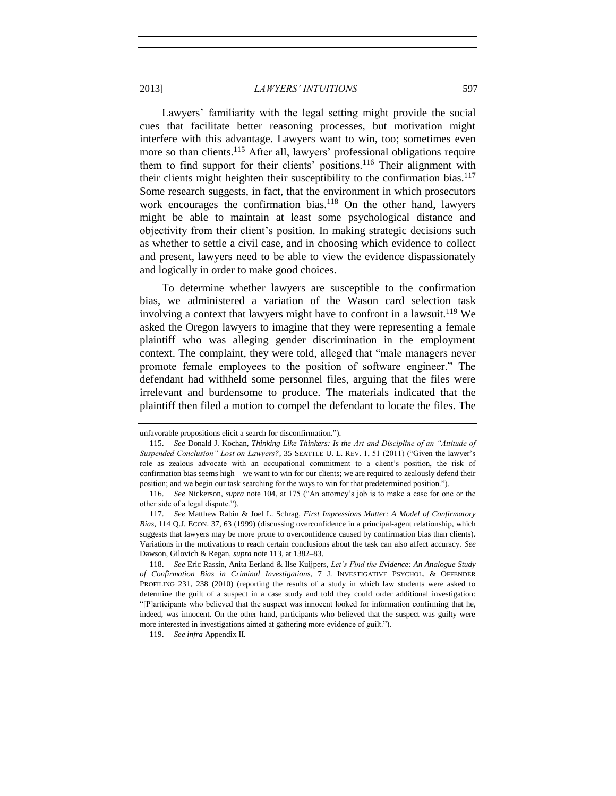<span id="page-26-0"></span>Lawyers' familiarity with the legal setting might provide the social cues that facilitate better reasoning processes, but motivation might interfere with this advantage. Lawyers want to win, too; sometimes even more so than clients.<sup>115</sup> After all, lawyers' professional obligations require them to find support for their clients' positions.<sup>116</sup> Their alignment with their clients might heighten their susceptibility to the confirmation bias.<sup>117</sup> Some research suggests, in fact, that the environment in which prosecutors work encourages the confirmation bias.<sup>118</sup> On the other hand, lawyers might be able to maintain at least some psychological distance and objectivity from their client's position. In making strategic decisions such as whether to settle a civil case, and in choosing which evidence to collect and present, lawyers need to be able to view the evidence dispassionately and logically in order to make good choices.

To determine whether lawyers are susceptible to the confirmation bias, we administered a variation of the Wason card selection task involving a context that lawyers might have to confront in a lawsuit.<sup>119</sup> We asked the Oregon lawyers to imagine that they were representing a female plaintiff who was alleging gender discrimination in the employment context. The complaint, they were told, alleged that "male managers never promote female employees to the position of software engineer." The defendant had withheld some personnel files, arguing that the files were irrelevant and burdensome to produce. The materials indicated that the plaintiff then filed a motion to compel the defendant to locate the files. The

unfavorable propositions elicit a search for disconfirmation.").

<sup>115.</sup> *See* Donald J. Kochan, *Thinking Like Thinkers: Is the Art and Discipline of an "Attitude of Suspended Conclusion" Lost on Lawyers?*, 35 SEATTLE U. L. REV. 1, 51 (2011) ("Given the lawyer's role as zealous advocate with an occupational commitment to a client's position, the risk of confirmation bias seems high—we want to win for our clients; we are required to zealously defend their position; and we begin our task searching for the ways to win for that predetermined position.").

<sup>116.</sup> *See* Nickerson, *supra* note [104,](#page-24-1) at 175 ("An attorney's job is to make a case for one or the other side of a legal dispute.").

<sup>117.</sup> *See* Matthew Rabin & Joel L. Schrag, *First Impressions Matter: A Model of Confirmatory Bias*, 114 Q.J. ECON. 37, 63 (1999) (discussing overconfidence in a principal-agent relationship, which suggests that lawyers may be more prone to overconfidence caused by confirmation bias than clients). Variations in the motivations to reach certain conclusions about the task can also affect accuracy. *See* Dawson, Gilovich & Regan, *supra* note [113,](#page-25-0) at 1382–83.

<sup>118.</sup> *See* Eric Rassin, Anita Eerland & Ilse Kuijpers, *Let's Find the Evidence: An Analogue Study of Confirmation Bias in Criminal Investigations*, 7 J. INVESTIGATIVE PSYCHOL. & OFFENDER PROFILING 231, 238 (2010) (reporting the results of a study in which law students were asked to determine the guilt of a suspect in a case study and told they could order additional investigation: "[P]articipants who believed that the suspect was innocent looked for information confirming that he, indeed, was innocent. On the other hand, participants who believed that the suspect was guilty were more interested in investigations aimed at gathering more evidence of guilt.").

<sup>119.</sup> *See infra* Appendix II.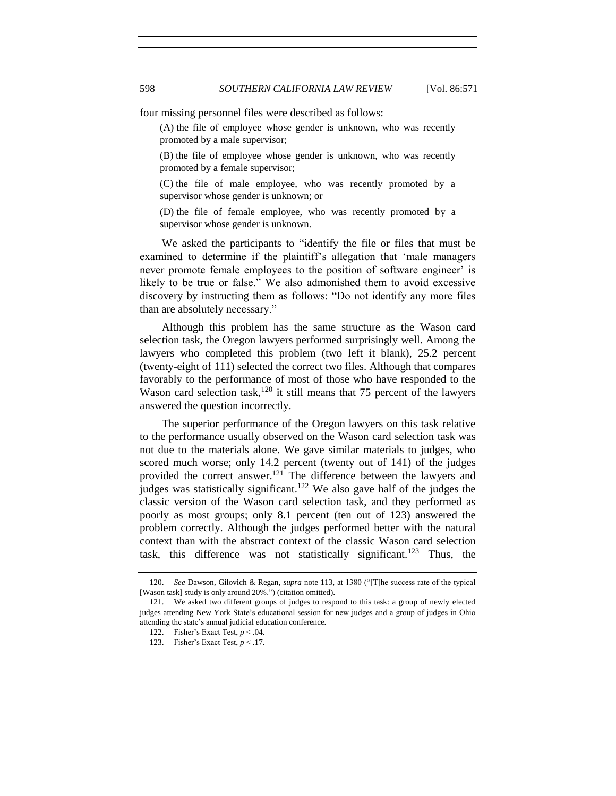four missing personnel files were described as follows:

(A) the file of employee whose gender is unknown, who was recently promoted by a male supervisor;

(B) the file of employee whose gender is unknown, who was recently promoted by a female supervisor;

(C) the file of male employee, who was recently promoted by a supervisor whose gender is unknown; or

(D) the file of female employee, who was recently promoted by a supervisor whose gender is unknown.

We asked the participants to "identify the file or files that must be examined to determine if the plaintiff's allegation that 'male managers never promote female employees to the position of software engineer' is likely to be true or false." We also admonished them to avoid excessive discovery by instructing them as follows: "Do not identify any more files than are absolutely necessary."

Although this problem has the same structure as the Wason card selection task, the Oregon lawyers performed surprisingly well. Among the lawyers who completed this problem (two left it blank), 25.2 percent (twenty-eight of 111) selected the correct two files. Although that compares favorably to the performance of most of those who have responded to the Wason card selection task,<sup>120</sup> it still means that 75 percent of the lawyers answered the question incorrectly.

The superior performance of the Oregon lawyers on this task relative to the performance usually observed on the Wason card selection task was not due to the materials alone. We gave similar materials to judges, who scored much worse; only 14.2 percent (twenty out of 141) of the judges provided the correct answer.<sup>121</sup> The difference between the lawyers and judges was statistically significant.<sup>122</sup> We also gave half of the judges the classic version of the Wason card selection task, and they performed as poorly as most groups; only 8.1 percent (ten out of 123) answered the problem correctly. Although the judges performed better with the natural context than with the abstract context of the classic Wason card selection task, this difference was not statistically significant.<sup>123</sup> Thus, the

<sup>120.</sup> *See* Dawson, Gilovich & Regan, *supra* not[e 113,](#page-25-0) at 1380 ("[T]he success rate of the typical [Wason task] study is only around 20%.") (citation omitted).

<sup>121.</sup> We asked two different groups of judges to respond to this task: a group of newly elected judges attending New York State's educational session for new judges and a group of judges in Ohio attending the state's annual judicial education conference.

<sup>122.</sup> Fisher's Exact Test, *p* < .04.

<sup>123.</sup> Fisher's Exact Test, *p* < .17.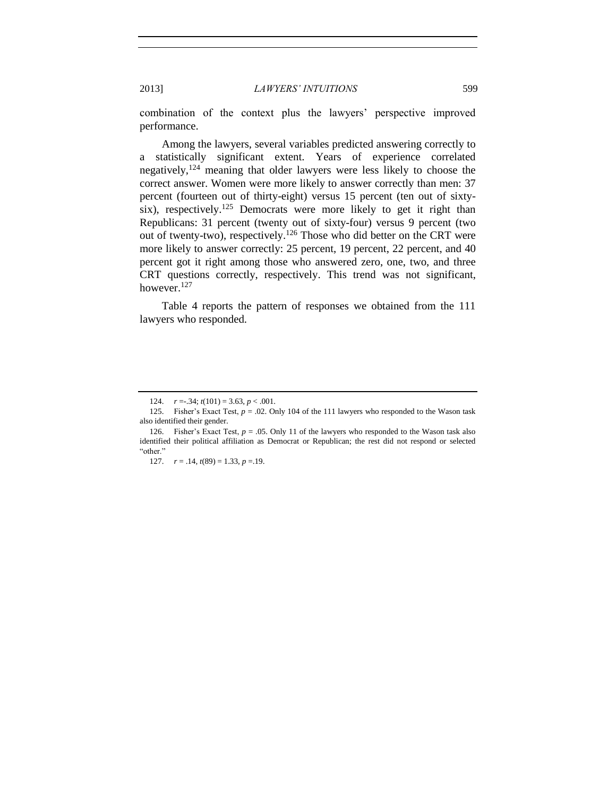combination of the context plus the lawyers' perspective improved performance.

Among the lawyers, several variables predicted answering correctly to a statistically significant extent. Years of experience correlated negatively,<sup>124</sup> meaning that older lawyers were less likely to choose the correct answer. Women were more likely to answer correctly than men: 37 percent (fourteen out of thirty-eight) versus 15 percent (ten out of sixtysix), respectively.<sup>125</sup> Democrats were more likely to get it right than Republicans: 31 percent (twenty out of sixty-four) versus 9 percent (two out of twenty-two), respectively.<sup>126</sup> Those who did better on the CRT were more likely to answer correctly: 25 percent, 19 percent, 22 percent, and 40 percent got it right among those who answered zero, one, two, and three CRT questions correctly, respectively. This trend was not significant, however.<sup>127</sup>

Table 4 reports the pattern of responses we obtained from the 111 lawyers who responded.

<sup>124.</sup>  $r = 0.34$ ;  $t(101) = 3.63$ ,  $p < 0.001$ .

<sup>125.</sup> Fisher's Exact Test, *p* = .02. Only 104 of the 111 lawyers who responded to the Wason task also identified their gender.

<sup>126.</sup> Fisher's Exact Test, *p* = .05. Only 11 of the lawyers who responded to the Wason task also identified their political affiliation as Democrat or Republican; the rest did not respond or selected "other."

<sup>127.</sup>  $r = .14$ ,  $t(89) = 1.33$ ,  $p = .19$ .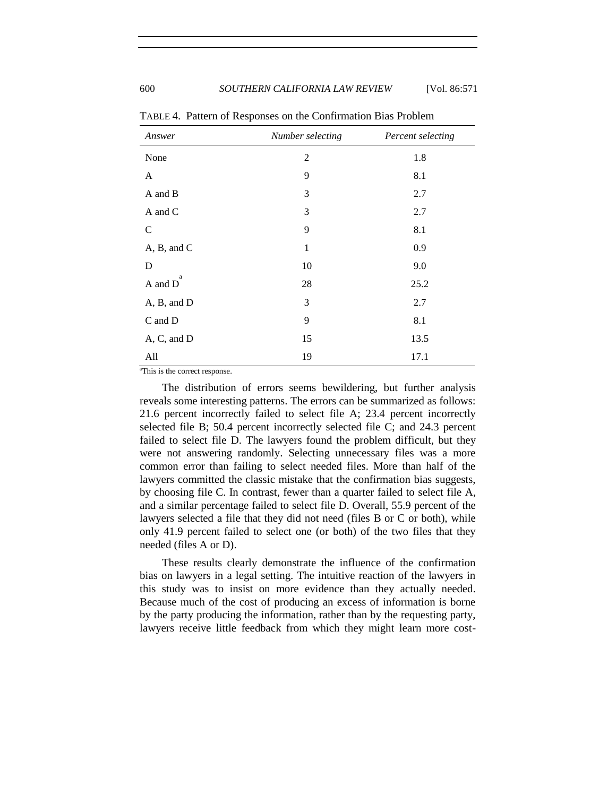| Answer        | Number selecting | Percent selecting |  |
|---------------|------------------|-------------------|--|
| None          | $\overline{c}$   | 1.8               |  |
| A             | 9                | 8.1               |  |
| A and B       | 3                | 2.7               |  |
| A and C       | 3                | 2.7               |  |
| $\mathcal{C}$ | 9                | 8.1               |  |
| A, B, and C   | $\mathbf{1}$     | 0.9               |  |
| D             | 10               | 9.0               |  |
| a<br>A and D  | 28               | 25.2              |  |
| A, B, and D   | 3                | 2.7               |  |
| C and D       | 9                | 8.1               |  |
| A, C, and D   | 15               | 13.5              |  |
| All           | 19               | 17.1              |  |

TABLE 4. Pattern of Responses on the Confirmation Bias Problem

<sup>a</sup>This is the correct response.

The distribution of errors seems bewildering, but further analysis reveals some interesting patterns. The errors can be summarized as follows: 21.6 percent incorrectly failed to select file A; 23.4 percent incorrectly selected file B; 50.4 percent incorrectly selected file C; and 24.3 percent failed to select file D. The lawyers found the problem difficult, but they were not answering randomly. Selecting unnecessary files was a more common error than failing to select needed files. More than half of the lawyers committed the classic mistake that the confirmation bias suggests, by choosing file C. In contrast, fewer than a quarter failed to select file A, and a similar percentage failed to select file D. Overall, 55.9 percent of the lawyers selected a file that they did not need (files B or C or both), while only 41.9 percent failed to select one (or both) of the two files that they needed (files A or D).

These results clearly demonstrate the influence of the confirmation bias on lawyers in a legal setting. The intuitive reaction of the lawyers in this study was to insist on more evidence than they actually needed. Because much of the cost of producing an excess of information is borne by the party producing the information, rather than by the requesting party, lawyers receive little feedback from which they might learn more cost-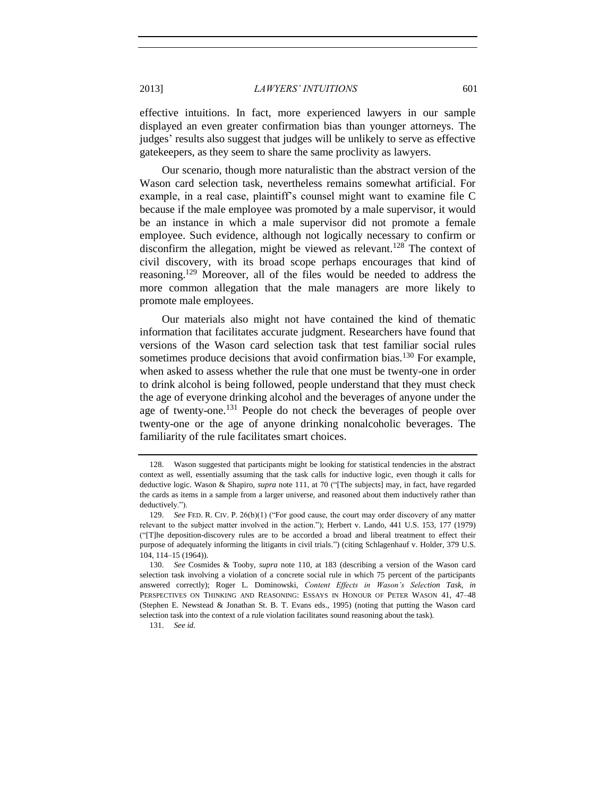effective intuitions. In fact, more experienced lawyers in our sample displayed an even greater confirmation bias than younger attorneys. The judges' results also suggest that judges will be unlikely to serve as effective gatekeepers, as they seem to share the same proclivity as lawyers.

Our scenario, though more naturalistic than the abstract version of the Wason card selection task, nevertheless remains somewhat artificial. For example, in a real case, plaintiff's counsel might want to examine file C because if the male employee was promoted by a male supervisor, it would be an instance in which a male supervisor did not promote a female employee. Such evidence, although not logically necessary to confirm or disconfirm the allegation, might be viewed as relevant.<sup>128</sup> The context of civil discovery, with its broad scope perhaps encourages that kind of reasoning.<sup>129</sup> Moreover, all of the files would be needed to address the more common allegation that the male managers are more likely to promote male employees.

Our materials also might not have contained the kind of thematic information that facilitates accurate judgment. Researchers have found that versions of the Wason card selection task that test familiar social rules sometimes produce decisions that avoid confirmation bias.<sup>130</sup> For example, when asked to assess whether the rule that one must be twenty-one in order to drink alcohol is being followed, people understand that they must check the age of everyone drinking alcohol and the beverages of anyone under the age of twenty-one.<sup>131</sup> People do not check the beverages of people over twenty-one or the age of anyone drinking nonalcoholic beverages. The familiarity of the rule facilitates smart choices.

<sup>128.</sup> Wason suggested that participants might be looking for statistical tendencies in the abstract context as well, essentially assuming that the task calls for inductive logic, even though it calls for deductive logic. Wason & Shapiro, *supra* note [111,](#page-25-1) at 70 ("[The subjects] may, in fact, have regarded the cards as items in a sample from a larger universe, and reasoned about them inductively rather than deductively.").

<sup>129.</sup> *See* FED. R. CIV. P. 26(b)(1) ("For good cause, the court may order discovery of any matter relevant to the subject matter involved in the action."); Herbert v. Lando, 441 U.S. 153, 177 (1979) ("[T]he deposition-discovery rules are to be accorded a broad and liberal treatment to effect their purpose of adequately informing the litigants in civil trials.") (citing Schlagenhauf v. Holder, 379 U.S. 104, 114–15 (1964)).

<sup>130.</sup> *See* Cosmides & Tooby, *supra* note [110,](#page-25-2) at 183 (describing a version of the Wason card selection task involving a violation of a concrete social rule in which 75 percent of the participants answered correctly); Roger L. Dominowski, *Content Effects in Wason's Selection Task*, *in* PERSPECTIVES ON THINKING AND REASONING: ESSAYS IN HONOUR OF PETER WASON 41, 47–48 (Stephen E. Newstead & Jonathan St. B. T. Evans eds., 1995) (noting that putting the Wason card selection task into the context of a rule violation facilitates sound reasoning about the task).

<sup>131.</sup> *See id.*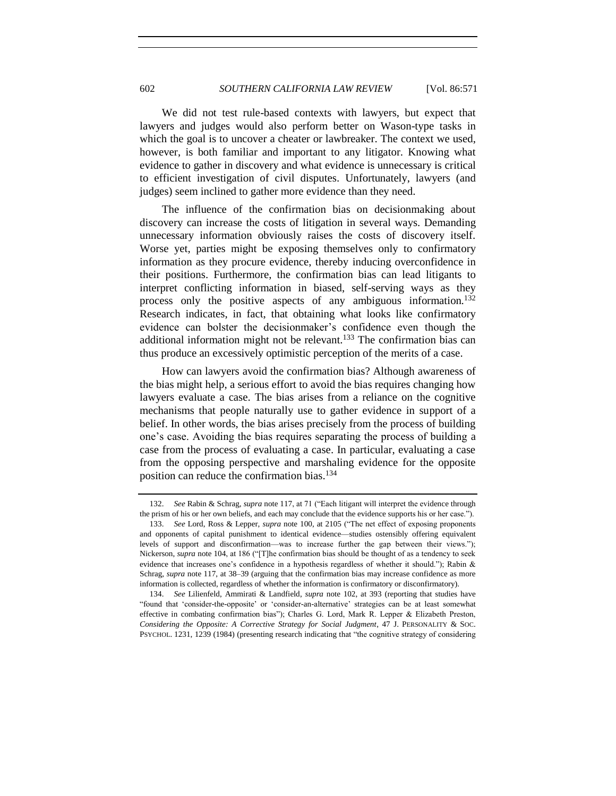We did not test rule-based contexts with lawyers, but expect that lawyers and judges would also perform better on Wason-type tasks in which the goal is to uncover a cheater or lawbreaker. The context we used, however, is both familiar and important to any litigator. Knowing what evidence to gather in discovery and what evidence is unnecessary is critical to efficient investigation of civil disputes. Unfortunately, lawyers (and judges) seem inclined to gather more evidence than they need.

The influence of the confirmation bias on decisionmaking about discovery can increase the costs of litigation in several ways. Demanding unnecessary information obviously raises the costs of discovery itself. Worse yet, parties might be exposing themselves only to confirmatory information as they procure evidence, thereby inducing overconfidence in their positions. Furthermore, the confirmation bias can lead litigants to interpret conflicting information in biased, self-serving ways as they process only the positive aspects of any ambiguous information.<sup>132</sup> Research indicates, in fact, that obtaining what looks like confirmatory evidence can bolster the decisionmaker's confidence even though the additional information might not be relevant.<sup>133</sup> The confirmation bias can thus produce an excessively optimistic perception of the merits of a case.

How can lawyers avoid the confirmation bias? Although awareness of the bias might help, a serious effort to avoid the bias requires changing how lawyers evaluate a case. The bias arises from a reliance on the cognitive mechanisms that people naturally use to gather evidence in support of a belief. In other words, the bias arises precisely from the process of building one's case. Avoiding the bias requires separating the process of building a case from the process of evaluating a case. In particular, evaluating a case from the opposing perspective and marshaling evidence for the opposite position can reduce the confirmation bias.<sup>134</sup>

134. *See* Lilienfeld, Ammirati & Landfield, *supra* note [102,](#page-24-3) at 393 (reporting that studies have "found that 'consider-the-opposite' or 'consider-an-alternative' strategies can be at least somewhat effective in combating confirmation bias"); Charles G. Lord, Mark R. Lepper & Elizabeth Preston, *Considering the Opposite: A Corrective Strategy for Social Judgment*, 47 J. PERSONALITY & SOC. PSYCHOL. 1231, 1239 (1984) (presenting research indicating that "the cognitive strategy of considering

<sup>132.</sup> *See* Rabin & Schrag, *supra* not[e 117,](#page-26-0) at 71 ("Each litigant will interpret the evidence through the prism of his or her own beliefs, and each may conclude that the evidence supports his or her case.").

<sup>133.</sup> *See* Lord, Ross & Lepper, *supra* note [100,](#page-24-2) at 2105 ("The net effect of exposing proponents and opponents of capital punishment to identical evidence—studies ostensibly offering equivalent levels of support and disconfirmation—was to increase further the gap between their views."); Nickerson, *supra* not[e 104,](#page-24-1) at 186 ("[T]he confirmation bias should be thought of as a tendency to seek evidence that increases one's confidence in a hypothesis regardless of whether it should."); Rabin & Schrag, *supra* not[e 117,](#page-26-0) at 38–39 (arguing that the confirmation bias may increase confidence as more information is collected, regardless of whether the information is confirmatory or disconfirmatory).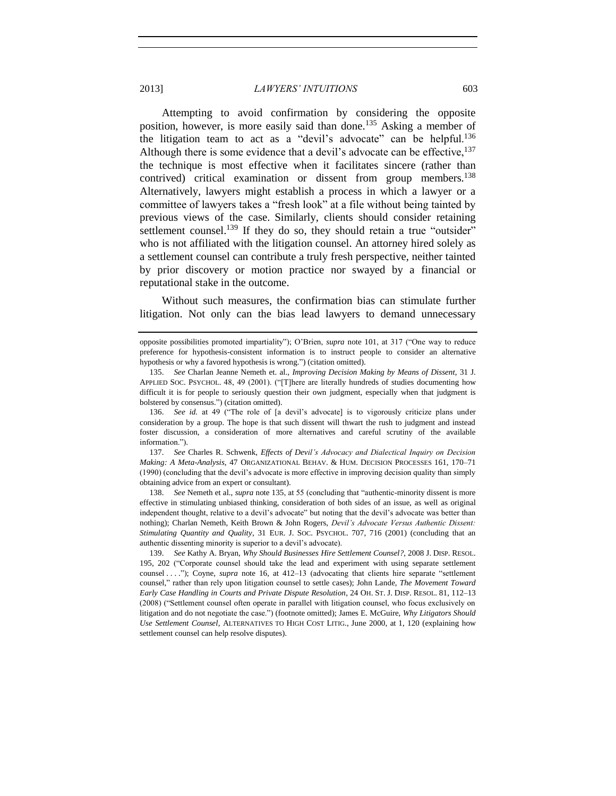<span id="page-32-0"></span>Attempting to avoid confirmation by considering the opposite position, however, is more easily said than done.<sup>135</sup> Asking a member of the litigation team to act as a "devil's advocate" can be helpful.<sup>136</sup> Although there is some evidence that a devil's advocate can be effective,  $137$ the technique is most effective when it facilitates sincere (rather than contrived) critical examination or dissent from group members.<sup>138</sup> Alternatively, lawyers might establish a process in which a lawyer or a committee of lawyers takes a "fresh look" at a file without being tainted by previous views of the case. Similarly, clients should consider retaining settlement counsel.<sup>139</sup> If they do so, they should retain a true "outsider" who is not affiliated with the litigation counsel. An attorney hired solely as a settlement counsel can contribute a truly fresh perspective, neither tainted by prior discovery or motion practice nor swayed by a financial or reputational stake in the outcome.

Without such measures, the confirmation bias can stimulate further litigation. Not only can the bias lead lawyers to demand unnecessary

136. *See id.* at 49 ("The role of [a devil's advocate] is to vigorously criticize plans under consideration by a group. The hope is that such dissent will thwart the rush to judgment and instead foster discussion, a consideration of more alternatives and careful scrutiny of the available information.").

137. *See* Charles R. Schwenk, *Effects of Devil's Advocacy and Dialectical Inquiry on Decision Making: A Meta-Analysis*, 47 ORGANIZATIONAL BEHAV. & HUM. DECISION PROCESSES 161, 170–71 (1990) (concluding that the devil's advocate is more effective in improving decision quality than simply obtaining advice from an expert or consultant).

138. *See* Nemeth et al., *supra* not[e 135,](#page-32-0) at 55 (concluding that "authentic-minority dissent is more effective in stimulating unbiased thinking, consideration of both sides of an issue, as well as original independent thought, relative to a devil's advocate" but noting that the devil's advocate was better than nothing); Charlan Nemeth, Keith Brown & John Rogers, *Devil's Advocate Versus Authentic Dissent: Stimulating Quantity and Quality*, 31 EUR. J. SOC. PSYCHOL. 707, 716 (2001) (concluding that an authentic dissenting minority is superior to a devil's advocate).

139. *See* Kathy A. Bryan, *Why Should Businesses Hire Settlement Counsel?*, 2008 J. DISP. RESOL. 195, 202 ("Corporate counsel should take the lead and experiment with using separate settlement counsel . . . ."); Coyne, *supra* note [16,](#page-4-2) at 412–13 (advocating that clients hire separate "settlement counsel," rather than rely upon litigation counsel to settle cases); John Lande, *The Movement Toward Early Case Handling in Courts and Private Dispute Resolution*, 24 OH. ST. J. DISP. RESOL. 81, 112–13 (2008) ("Settlement counsel often operate in parallel with litigation counsel, who focus exclusively on litigation and do not negotiate the case.") (footnote omitted); James E. McGuire, *Why Litigators Should Use Settlement Counsel*, ALTERNATIVES TO HIGH COST LITIG., June 2000, at 1, 120 (explaining how settlement counsel can help resolve disputes).

opposite possibilities promoted impartiality"); O'Brien, *supra* note [101,](#page-24-0) at 317 ("One way to reduce preference for hypothesis-consistent information is to instruct people to consider an alternative hypothesis or why a favored hypothesis is wrong.") (citation omitted).

<sup>135.</sup> *See* Charlan Jeanne Nemeth et. al., *Improving Decision Making by Means of Dissent*, 31 J. APPLIED SOC. PSYCHOL. 48, 49 (2001). ("[T]here are literally hundreds of studies documenting how difficult it is for people to seriously question their own judgment, especially when that judgment is bolstered by consensus.") (citation omitted).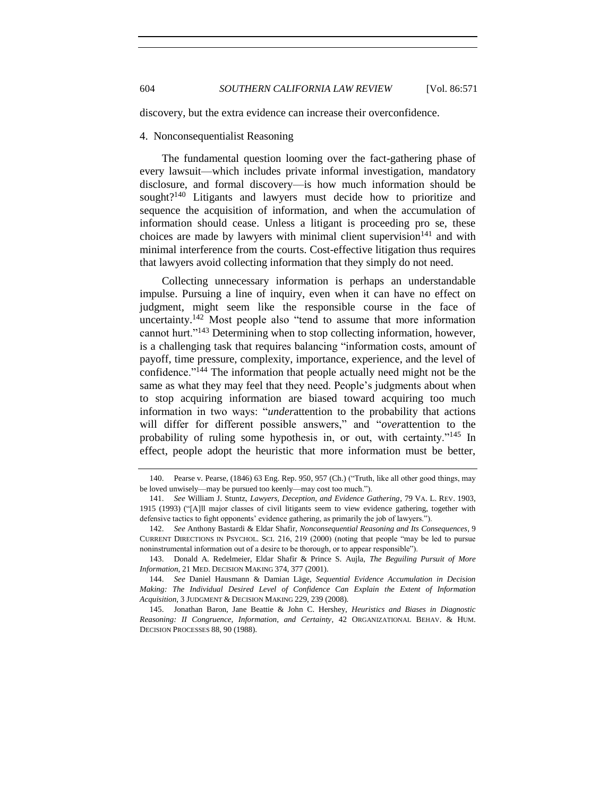<span id="page-33-0"></span>discovery, but the extra evidence can increase their overconfidence.

## 4. Nonconsequentialist Reasoning

The fundamental question looming over the fact-gathering phase of every lawsuit—which includes private informal investigation, mandatory disclosure, and formal discovery—is how much information should be sought?<sup>140</sup> Litigants and lawyers must decide how to prioritize and sequence the acquisition of information, and when the accumulation of information should cease. Unless a litigant is proceeding pro se, these choices are made by lawyers with minimal client supervision $141$  and with minimal interference from the courts. Cost-effective litigation thus requires that lawyers avoid collecting information that they simply do not need.

<span id="page-33-1"></span>Collecting unnecessary information is perhaps an understandable impulse. Pursuing a line of inquiry, even when it can have no effect on judgment, might seem like the responsible course in the face of uncertainty.<sup>142</sup> Most people also "tend to assume that more information cannot hurt."<sup>143</sup> Determining when to stop collecting information, however, is a challenging task that requires balancing "information costs, amount of payoff, time pressure, complexity, importance, experience, and the level of confidence."<sup>144</sup> The information that people actually need might not be the same as what they may feel that they need. People's judgments about when to stop acquiring information are biased toward acquiring too much information in two ways: "*under*attention to the probability that actions will differ for different possible answers," and "*over*attention to the probability of ruling some hypothesis in, or out, with certainty."<sup>145</sup> In effect, people adopt the heuristic that more information must be better,

<sup>140.</sup> Pearse v. Pearse, (1846) 63 Eng. Rep. 950, 957 (Ch.) ("Truth, like all other good things, may be loved unwisely—may be pursued too keenly—may cost too much.").

<sup>141.</sup> *See* William J. Stuntz, *Lawyers, Deception, and Evidence Gathering*, 79 VA. L. REV. 1903, 1915 (1993) ("[A]ll major classes of civil litigants seem to view evidence gathering, together with defensive tactics to fight opponents' evidence gathering, as primarily the job of lawyers.").

<sup>142.</sup> *See* Anthony Bastardi & Eldar Shafir, *Nonconsequential Reasoning and Its Consequences*, 9 CURRENT DIRECTIONS IN PSYCHOL. SCI. 216, 219 (2000) (noting that people "may be led to pursue noninstrumental information out of a desire to be thorough, or to appear responsible").

<sup>143.</sup> Donald A. Redelmeier, Eldar Shafir & Prince S. Aujla, *The Beguiling Pursuit of More Information*, 21 MED. DECISION MAKING 374, 377 (2001).

<sup>144.</sup> *See* Daniel Hausmann & Damian Läge, *Sequential Evidence Accumulation in Decision Making: The Individual Desired Level of Confidence Can Explain the Extent of Information Acquisition*, 3 JUDGMENT & DECISION MAKING 229, 239 (2008).

<sup>145.</sup> Jonathan Baron, Jane Beattie & John C. Hershey, *Heuristics and Biases in Diagnostic Reasoning: II Congruence, Information, and Certainty*, 42 ORGANIZATIONAL BEHAV. & HUM. DECISION PROCESSES 88, 90 (1988).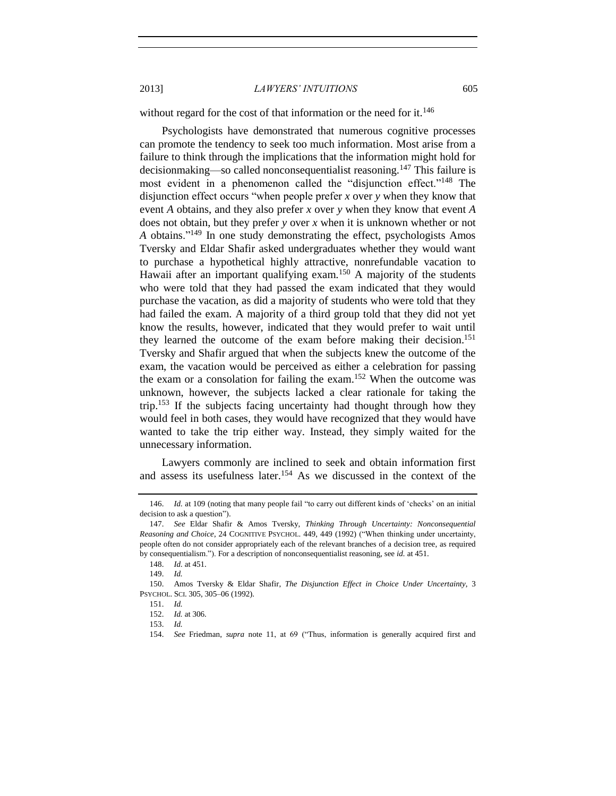without regard for the cost of that information or the need for it. $146$ 

Psychologists have demonstrated that numerous cognitive processes can promote the tendency to seek too much information. Most arise from a failure to think through the implications that the information might hold for decisionmaking—so called nonconsequentialist reasoning.<sup>147</sup> This failure is most evident in a phenomenon called the "disjunction effect."<sup>148</sup> The disjunction effect occurs "when people prefer *x* over *y* when they know that event *A* obtains, and they also prefer *x* over *y* when they know that event *A* does not obtain, but they prefer *y* over *x* when it is unknown whether or not *A* obtains."<sup>149</sup> In one study demonstrating the effect, psychologists Amos Tversky and Eldar Shafir asked undergraduates whether they would want to purchase a hypothetical highly attractive, nonrefundable vacation to Hawaii after an important qualifying exam.<sup>150</sup> A majority of the students who were told that they had passed the exam indicated that they would purchase the vacation, as did a majority of students who were told that they had failed the exam. A majority of a third group told that they did not yet know the results, however, indicated that they would prefer to wait until they learned the outcome of the exam before making their decision. 151 Tversky and Shafir argued that when the subjects knew the outcome of the exam, the vacation would be perceived as either a celebration for passing the exam or a consolation for failing the exam. <sup>152</sup> When the outcome was unknown, however, the subjects lacked a clear rationale for taking the trip.<sup>153</sup> If the subjects facing uncertainty had thought through how they would feel in both cases, they would have recognized that they would have wanted to take the trip either way. Instead, they simply waited for the unnecessary information.

Lawyers commonly are inclined to seek and obtain information first and assess its usefulness later.<sup>154</sup> As we discussed in the context of the

<sup>146.</sup> *Id.* at 109 (noting that many people fail "to carry out different kinds of 'checks' on an initial decision to ask a question").

<sup>147.</sup> *See* Eldar Shafir & Amos Tversky, *Thinking Through Uncertainty: Nonconsequential Reasoning and Choice*, 24 COGNITIVE PSYCHOL. 449, 449 (1992) ("When thinking under uncertainty, people often do not consider appropriately each of the relevant branches of a decision tree, as required by consequentialism."). For a description of nonconsequentialist reasoning, see *id.* at 451.

<sup>148.</sup> *Id.* at 451.

<sup>149.</sup> *Id.*

<sup>150.</sup> Amos Tversky & Eldar Shafir, *The Disjunction Effect in Choice Under Uncertainty*, 3 PSYCHOL. SCI. 305, 305–06 (1992).

<sup>151.</sup> *Id.*

<sup>152.</sup> *Id.* at 306.

<sup>153.</sup> *Id.*

<sup>154.</sup> *See* Friedman, *supra* note [11,](#page-3-1) at 69 ("Thus, information is generally acquired first and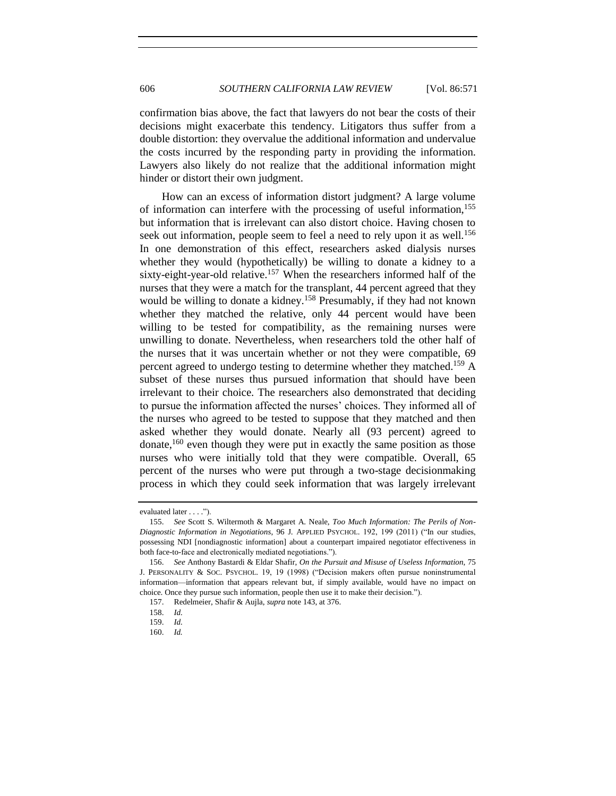confirmation bias above, the fact that lawyers do not bear the costs of their decisions might exacerbate this tendency. Litigators thus suffer from a double distortion: they overvalue the additional information and undervalue the costs incurred by the responding party in providing the information. Lawyers also likely do not realize that the additional information might hinder or distort their own judgment.

<span id="page-35-0"></span>How can an excess of information distort judgment? A large volume of information can interfere with the processing of useful information,<sup>155</sup> but information that is irrelevant can also distort choice. Having chosen to seek out information, people seem to feel a need to rely upon it as well.<sup>156</sup> In one demonstration of this effect, researchers asked dialysis nurses whether they would (hypothetically) be willing to donate a kidney to a sixty-eight-year-old relative.<sup>157</sup> When the researchers informed half of the nurses that they were a match for the transplant, 44 percent agreed that they would be willing to donate a kidney.<sup>158</sup> Presumably, if they had not known whether they matched the relative, only 44 percent would have been willing to be tested for compatibility, as the remaining nurses were unwilling to donate. Nevertheless, when researchers told the other half of the nurses that it was uncertain whether or not they were compatible, 69 percent agreed to undergo testing to determine whether they matched.<sup>159</sup> A subset of these nurses thus pursued information that should have been irrelevant to their choice. The researchers also demonstrated that deciding to pursue the information affected the nurses' choices. They informed all of the nurses who agreed to be tested to suppose that they matched and then asked whether they would donate. Nearly all (93 percent) agreed to donate,<sup>160</sup> even though they were put in exactly the same position as those nurses who were initially told that they were compatible. Overall, 65 percent of the nurses who were put through a two-stage decisionmaking process in which they could seek information that was largely irrelevant

evaluated later . . . .").

<sup>155.</sup> *See* Scott S. Wiltermoth & Margaret A. Neale, *Too Much Information: The Perils of Non-Diagnostic Information in Negotiations*, 96 J. APPLIED PSYCHOL. 192, 199 (2011) ("In our studies, possessing NDI [nondiagnostic information] about a counterpart impaired negotiator effectiveness in both face-to-face and electronically mediated negotiations.").

<sup>156.</sup> *See* Anthony Bastardi & Eldar Shafir, *On the Pursuit and Misuse of Useless Information*, 75 J. PERSONALITY & SOC. PSYCHOL. 19, 19 (1998) ("Decision makers often pursue noninstrumental information—information that appears relevant but, if simply available, would have no impact on choice. Once they pursue such information, people then use it to make their decision.").

<sup>157.</sup> Redelmeier, Shafir & Aujla, *supra* not[e 143,](#page-33-1) at 376.

<sup>158.</sup> *Id.*

<sup>159.</sup> *Id.*

<sup>160.</sup> *Id.*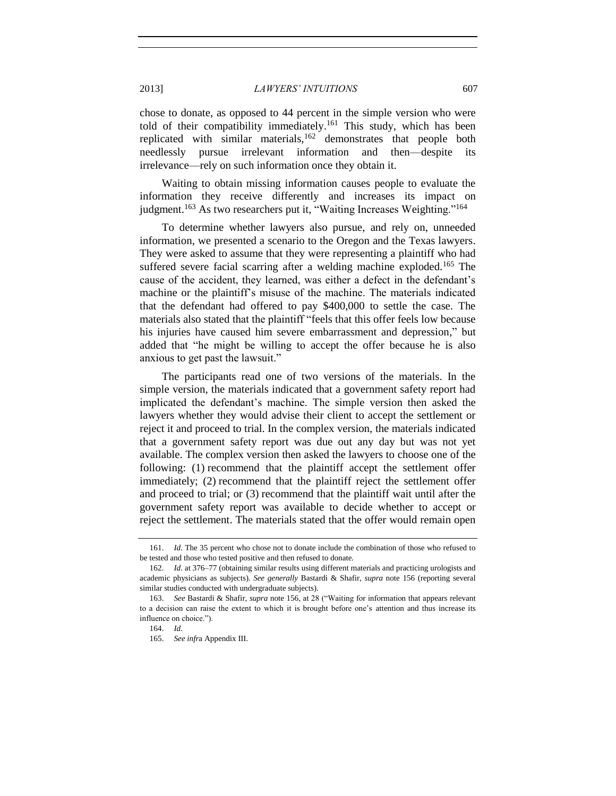chose to donate, as opposed to 44 percent in the simple version who were told of their compatibility immediately.<sup>161</sup> This study, which has been replicated with similar materials,  $162$  demonstrates that people both needlessly pursue irrelevant information and then—despite its irrelevance—rely on such information once they obtain it.

Waiting to obtain missing information causes people to evaluate the information they receive differently and increases its impact on judgment.<sup>163</sup> As two researchers put it, "Waiting Increases Weighting."<sup>164</sup>

To determine whether lawyers also pursue, and rely on, unneeded information, we presented a scenario to the Oregon and the Texas lawyers. They were asked to assume that they were representing a plaintiff who had suffered severe facial scarring after a welding machine exploded.<sup>165</sup> The cause of the accident, they learned, was either a defect in the defendant's machine or the plaintiff's misuse of the machine. The materials indicated that the defendant had offered to pay \$400,000 to settle the case. The materials also stated that the plaintiff "feels that this offer feels low because his injuries have caused him severe embarrassment and depression," but added that "he might be willing to accept the offer because he is also anxious to get past the lawsuit."

The participants read one of two versions of the materials. In the simple version, the materials indicated that a government safety report had implicated the defendant's machine. The simple version then asked the lawyers whether they would advise their client to accept the settlement or reject it and proceed to trial. In the complex version, the materials indicated that a government safety report was due out any day but was not yet available. The complex version then asked the lawyers to choose one of the following: (1) recommend that the plaintiff accept the settlement offer immediately; (2) recommend that the plaintiff reject the settlement offer and proceed to trial; or (3) recommend that the plaintiff wait until after the government safety report was available to decide whether to accept or reject the settlement. The materials stated that the offer would remain open

<sup>161.</sup> *Id.* The 35 percent who chose not to donate include the combination of those who refused to be tested and those who tested positive and then refused to donate.

<sup>162.</sup> *Id.* at 376–77 (obtaining similar results using different materials and practicing urologists and academic physicians as subjects). *See generally* Bastardi & Shafir, *supra* note [156](#page-35-0) (reporting several similar studies conducted with undergraduate subjects).

<sup>163.</sup> *See* Bastardi & Shafir, *supra* note [156,](#page-35-0) at 28 ("Waiting for information that appears relevant to a decision can raise the extent to which it is brought before one's attention and thus increase its influence on choice.").

<sup>164.</sup> *Id.*

<sup>165.</sup> *See infr*a Appendix III.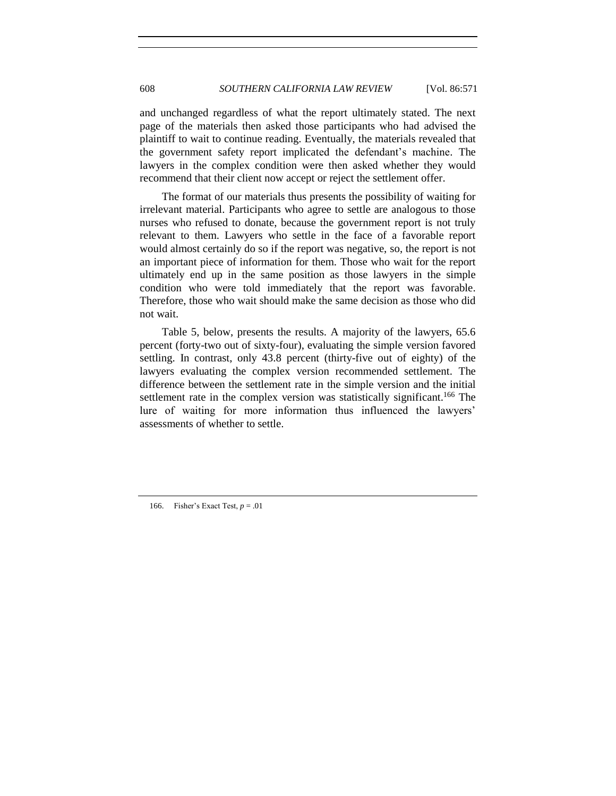and unchanged regardless of what the report ultimately stated. The next page of the materials then asked those participants who had advised the plaintiff to wait to continue reading. Eventually, the materials revealed that the government safety report implicated the defendant's machine. The lawyers in the complex condition were then asked whether they would recommend that their client now accept or reject the settlement offer.

The format of our materials thus presents the possibility of waiting for irrelevant material. Participants who agree to settle are analogous to those nurses who refused to donate, because the government report is not truly relevant to them. Lawyers who settle in the face of a favorable report would almost certainly do so if the report was negative, so, the report is not an important piece of information for them. Those who wait for the report ultimately end up in the same position as those lawyers in the simple condition who were told immediately that the report was favorable. Therefore, those who wait should make the same decision as those who did not wait.

Table 5, below, presents the results. A majority of the lawyers, 65.6 percent (forty-two out of sixty-four), evaluating the simple version favored settling. In contrast, only 43.8 percent (thirty-five out of eighty) of the lawyers evaluating the complex version recommended settlement. The difference between the settlement rate in the simple version and the initial settlement rate in the complex version was statistically significant.<sup>166</sup> The lure of waiting for more information thus influenced the lawyers' assessments of whether to settle.

166. Fisher's Exact Test, *p* = .01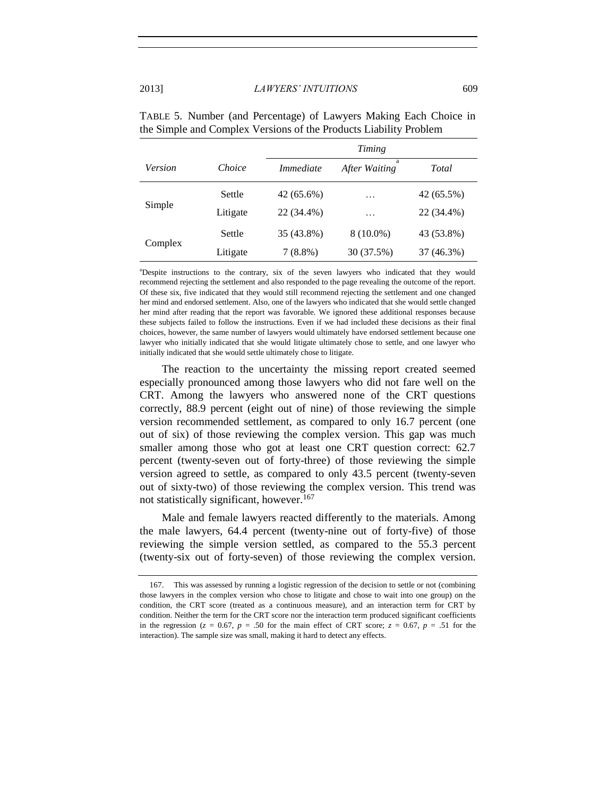|         |          | Timing           |                    |            |
|---------|----------|------------------|--------------------|------------|
| Version | Choice   | <i>Immediate</i> | a<br>After Waiting | Total      |
| Simple  | Settle   | 42 (65.6%)       | .                  | 42 (65.5%) |
|         | Litigate | 22 (34.4%)       | .                  | 22 (34.4%) |
| Complex | Settle   | 35 (43.8%)       | $8(10.0\%)$        | 43 (53.8%) |
|         | Litigate | $7(8.8\%)$       | 30 (37.5%)         | 37 (46.3%) |

TABLE 5. Number (and Percentage) of Lawyers Making Each Choice in the Simple and Complex Versions of the Products Liability Problem

<sup>a</sup>Despite instructions to the contrary, six of the seven lawyers who indicated that they would recommend rejecting the settlement and also responded to the page revealing the outcome of the report. Of these six, five indicated that they would still recommend rejecting the settlement and one changed her mind and endorsed settlement. Also, one of the lawyers who indicated that she would settle changed her mind after reading that the report was favorable. We ignored these additional responses because these subjects failed to follow the instructions. Even if we had included these decisions as their final choices, however, the same number of lawyers would ultimately have endorsed settlement because one lawyer who initially indicated that she would litigate ultimately chose to settle, and one lawyer who initially indicated that she would settle ultimately chose to litigate.

The reaction to the uncertainty the missing report created seemed especially pronounced among those lawyers who did not fare well on the CRT. Among the lawyers who answered none of the CRT questions correctly, 88.9 percent (eight out of nine) of those reviewing the simple version recommended settlement, as compared to only 16.7 percent (one out of six) of those reviewing the complex version. This gap was much smaller among those who got at least one CRT question correct: 62.7 percent (twenty-seven out of forty-three) of those reviewing the simple version agreed to settle, as compared to only 43.5 percent (twenty-seven out of sixty-two) of those reviewing the complex version. This trend was not statistically significant, however.<sup>167</sup>

Male and female lawyers reacted differently to the materials. Among the male lawyers, 64.4 percent (twenty-nine out of forty-five) of those reviewing the simple version settled, as compared to the 55.3 percent (twenty-six out of forty-seven) of those reviewing the complex version.

<sup>167.</sup> This was assessed by running a logistic regression of the decision to settle or not (combining those lawyers in the complex version who chose to litigate and chose to wait into one group) on the condition, the CRT score (treated as a continuous measure), and an interaction term for CRT by condition. Neither the term for the CRT score nor the interaction term produced significant coefficients in the regression ( $z = 0.67$ ,  $p = .50$  for the main effect of CRT score;  $z = 0.67$ ,  $p = .51$  for the interaction). The sample size was small, making it hard to detect any effects.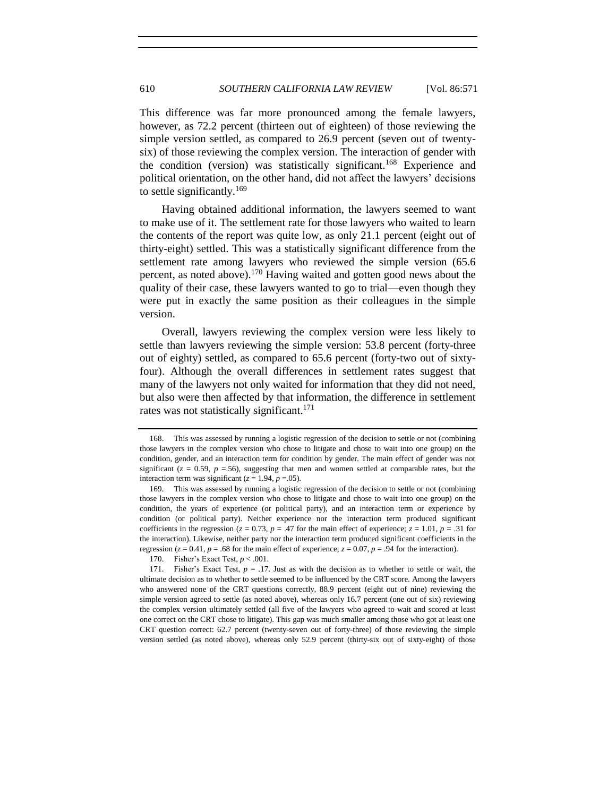This difference was far more pronounced among the female lawyers, however, as 72.2 percent (thirteen out of eighteen) of those reviewing the simple version settled, as compared to 26.9 percent (seven out of twentysix) of those reviewing the complex version. The interaction of gender with the condition (version) was statistically significant.<sup>168</sup> Experience and political orientation, on the other hand, did not affect the lawyers' decisions to settle significantly.<sup>169</sup>

Having obtained additional information, the lawyers seemed to want to make use of it. The settlement rate for those lawyers who waited to learn the contents of the report was quite low, as only 21.1 percent (eight out of thirty-eight) settled. This was a statistically significant difference from the settlement rate among lawyers who reviewed the simple version (65.6 percent, as noted above).<sup>170</sup> Having waited and gotten good news about the quality of their case, these lawyers wanted to go to trial—even though they were put in exactly the same position as their colleagues in the simple version.

Overall, lawyers reviewing the complex version were less likely to settle than lawyers reviewing the simple version: 53.8 percent (forty-three out of eighty) settled, as compared to 65.6 percent (forty-two out of sixtyfour). Although the overall differences in settlement rates suggest that many of the lawyers not only waited for information that they did not need, but also were then affected by that information, the difference in settlement rates was not statistically significant.<sup>171</sup>

<sup>168.</sup> This was assessed by running a logistic regression of the decision to settle or not (combining those lawyers in the complex version who chose to litigate and chose to wait into one group) on the condition, gender, and an interaction term for condition by gender. The main effect of gender was not significant ( $z = 0.59$ ,  $p = .56$ ), suggesting that men and women settled at comparable rates, but the interaction term was significant ( $z = 1.94$ ,  $p = .05$ ).

<sup>169.</sup> This was assessed by running a logistic regression of the decision to settle or not (combining those lawyers in the complex version who chose to litigate and chose to wait into one group) on the condition, the years of experience (or political party), and an interaction term or experience by condition (or political party). Neither experience nor the interaction term produced significant coefficients in the regression ( $z = 0.73$ ,  $p = .47$  for the main effect of experience;  $z = 1.01$ ,  $p = .31$  for the interaction). Likewise, neither party nor the interaction term produced significant coefficients in the regression ( $z = 0.41$ ,  $p = .68$  for the main effect of experience;  $z = 0.07$ ,  $p = .94$  for the interaction).

<sup>170.</sup> Fisher's Exact Test, *p* < .001.

<sup>171.</sup> Fisher's Exact Test, *p* = .17. Just as with the decision as to whether to settle or wait, the ultimate decision as to whether to settle seemed to be influenced by the CRT score. Among the lawyers who answered none of the CRT questions correctly, 88.9 percent (eight out of nine) reviewing the simple version agreed to settle (as noted above), whereas only 16.7 percent (one out of six) reviewing the complex version ultimately settled (all five of the lawyers who agreed to wait and scored at least one correct on the CRT chose to litigate). This gap was much smaller among those who got at least one CRT question correct: 62.7 percent (twenty-seven out of forty-three) of those reviewing the simple version settled (as noted above), whereas only 52.9 percent (thirty-six out of sixty-eight) of those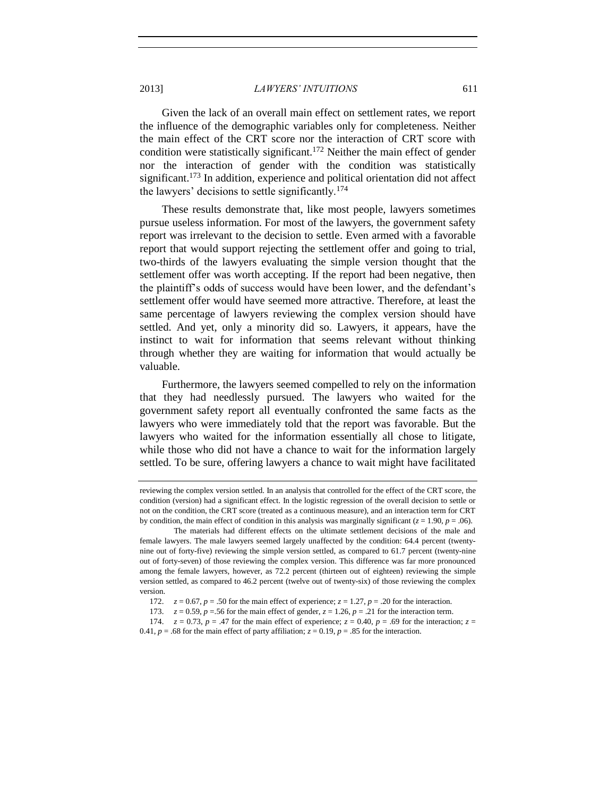Given the lack of an overall main effect on settlement rates, we report the influence of the demographic variables only for completeness. Neither the main effect of the CRT score nor the interaction of CRT score with condition were statistically significant.<sup>172</sup> Neither the main effect of gender nor the interaction of gender with the condition was statistically significant.<sup>173</sup> In addition, experience and political orientation did not affect the lawyers' decisions to settle significantly.<sup>174</sup>

These results demonstrate that, like most people, lawyers sometimes pursue useless information. For most of the lawyers, the government safety report was irrelevant to the decision to settle. Even armed with a favorable report that would support rejecting the settlement offer and going to trial, two-thirds of the lawyers evaluating the simple version thought that the settlement offer was worth accepting. If the report had been negative, then the plaintiff's odds of success would have been lower, and the defendant's settlement offer would have seemed more attractive. Therefore, at least the same percentage of lawyers reviewing the complex version should have settled. And yet, only a minority did so. Lawyers, it appears, have the instinct to wait for information that seems relevant without thinking through whether they are waiting for information that would actually be valuable.

Furthermore, the lawyers seemed compelled to rely on the information that they had needlessly pursued. The lawyers who waited for the government safety report all eventually confronted the same facts as the lawyers who were immediately told that the report was favorable. But the lawyers who waited for the information essentially all chose to litigate, while those who did not have a chance to wait for the information largely settled. To be sure, offering lawyers a chance to wait might have facilitated

reviewing the complex version settled. In an analysis that controlled for the effect of the CRT score, the condition (version) had a significant effect. In the logistic regression of the overall decision to settle or not on the condition, the CRT score (treated as a continuous measure), and an interaction term for CRT by condition, the main effect of condition in this analysis was marginally significant ( $z = 1.90$ ,  $p = .06$ ).

The materials had different effects on the ultimate settlement decisions of the male and female lawyers. The male lawyers seemed largely unaffected by the condition: 64.4 percent (twentynine out of forty-five) reviewing the simple version settled, as compared to 61.7 percent (twenty-nine out of forty-seven) of those reviewing the complex version. This difference was far more pronounced among the female lawyers, however, as 72.2 percent (thirteen out of eighteen) reviewing the simple version settled, as compared to 46.2 percent (twelve out of twenty-six) of those reviewing the complex version.

<sup>172.</sup>  $z = 0.67$ ,  $p = .50$  for the main effect of experience;  $z = 1.27$ ,  $p = .20$  for the interaction.

<sup>173.</sup>  $z = 0.59$ ,  $p = .56$  for the main effect of gender,  $z = 1.26$ ,  $p = .21$  for the interaction term.

<sup>174.</sup> *z* = 0.73, *p* = .47 for the main effect of experience; *z* = 0.40, *p* = .69 for the interaction; *z* = 0.41,  $p = .68$  for the main effect of party affiliation;  $z = 0.19$ ,  $p = .85$  for the interaction.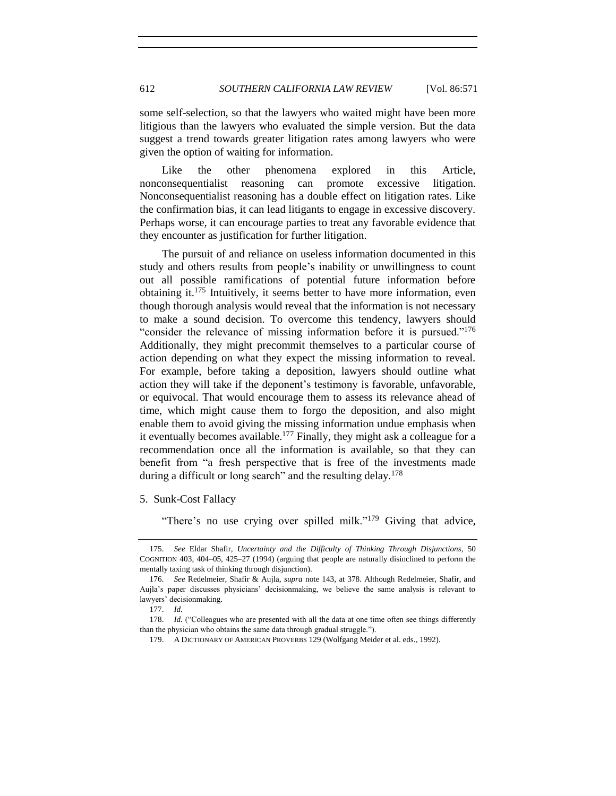some self-selection, so that the lawyers who waited might have been more litigious than the lawyers who evaluated the simple version. But the data suggest a trend towards greater litigation rates among lawyers who were given the option of waiting for information.

Like the other phenomena explored in this Article, nonconsequentialist reasoning can promote excessive litigation. Nonconsequentialist reasoning has a double effect on litigation rates. Like the confirmation bias, it can lead litigants to engage in excessive discovery. Perhaps worse, it can encourage parties to treat any favorable evidence that they encounter as justification for further litigation.

The pursuit of and reliance on useless information documented in this study and others results from people's inability or unwillingness to count out all possible ramifications of potential future information before obtaining it.<sup>175</sup> Intuitively, it seems better to have more information, even though thorough analysis would reveal that the information is not necessary to make a sound decision. To overcome this tendency, lawyers should "consider the relevance of missing information before it is pursued."<sup>176</sup> Additionally, they might precommit themselves to a particular course of action depending on what they expect the missing information to reveal. For example, before taking a deposition, lawyers should outline what action they will take if the deponent's testimony is favorable, unfavorable, or equivocal. That would encourage them to assess its relevance ahead of time, which might cause them to forgo the deposition, and also might enable them to avoid giving the missing information undue emphasis when it eventually becomes available.<sup>177</sup> Finally, they might ask a colleague for a recommendation once all the information is available, so that they can benefit from "a fresh perspective that is free of the investments made during a difficult or long search" and the resulting delay.<sup>178</sup>

<span id="page-41-0"></span>5. Sunk-Cost Fallacy

"There's no use crying over spilled milk."<sup>179</sup> Giving that advice,

178. *Id.* ("Colleagues who are presented with all the data at one time often see things differently than the physician who obtains the same data through gradual struggle.").

<sup>175.</sup> *See* Eldar Shafir, *Uncertainty and the Difficulty of Thinking Through Disjunctions*, 50 COGNITION 403, 404–05, 425–27 (1994) (arguing that people are naturally disinclined to perform the mentally taxing task of thinking through disjunction).

<sup>176.</sup> *See* Redelmeier, Shafir & Aujla, *supra* note [143,](#page-33-1) at 378. Although Redelmeier, Shafir, and Aujla's paper discusses physicians' decisionmaking, we believe the same analysis is relevant to lawyers' decisionmaking.

<sup>177.</sup> *Id.*

<sup>179.</sup> A DICTIONARY OF AMERICAN PROVERBS 129 (Wolfgang Meider et al. eds., 1992).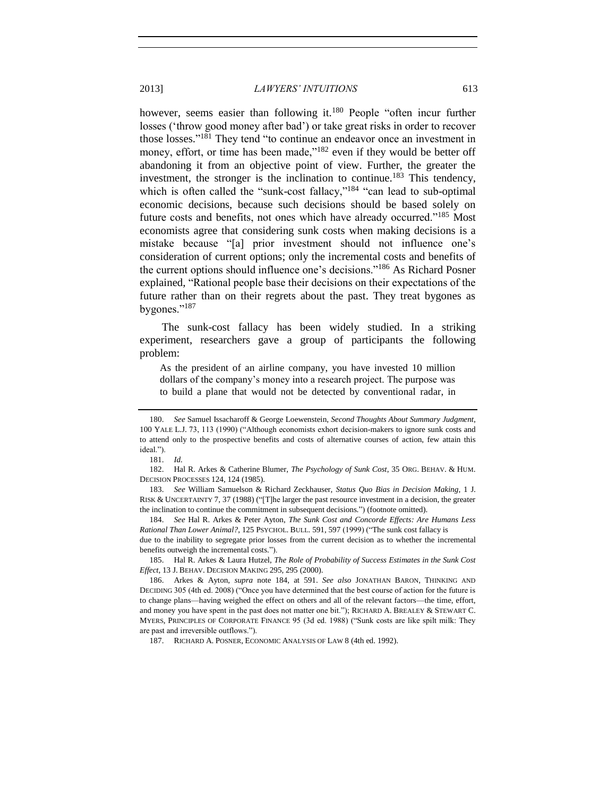<span id="page-42-3"></span><span id="page-42-2"></span><span id="page-42-1"></span><span id="page-42-0"></span>however, seems easier than following it.<sup>180</sup> People "often incur further losses ('throw good money after bad') or take great risks in order to recover those losses." <sup>181</sup> They tend "to continue an endeavor once an investment in money, effort, or time has been made,"<sup>182</sup> even if they would be better off abandoning it from an objective point of view. Further, the greater the investment, the stronger is the inclination to continue.<sup>183</sup> This tendency, which is often called the "sunk-cost fallacy,"<sup>184</sup> "can lead to sub-optimal economic decisions, because such decisions should be based solely on future costs and benefits, not ones which have already occurred."<sup>185</sup> Most economists agree that considering sunk costs when making decisions is a mistake because "[a] prior investment should not influence one's consideration of current options; only the incremental costs and benefits of the current options should influence one's decisions."<sup>186</sup> As Richard Posner explained, "Rational people base their decisions on their expectations of the future rather than on their regrets about the past. They treat bygones as bygones."<sup>187</sup>

The sunk-cost fallacy has been widely studied. In a striking experiment, researchers gave a group of participants the following problem:

As the president of an airline company, you have invested 10 million dollars of the company's money into a research project. The purpose was to build a plane that would not be detected by conventional radar, in

183. *See* William Samuelson & Richard Zeckhauser, *Status Quo Bias in Decision Making*, 1 J. RISK & UNCERTAINTY 7, 37 (1988) ("[T]he larger the past resource investment in a decision, the greater the inclination to continue the commitment in subsequent decisions.") (footnote omitted).

184. *See* Hal R. Arkes & Peter Ayton, *The Sunk Cost and Concorde Effects: Are Humans Less Rational Than Lower Animal?*, 125 PSYCHOL. BULL. 591, 597 (1999) ("The sunk cost fallacy is

due to the inability to segregate prior losses from the current decision as to whether the incremental benefits outweigh the incremental costs.").

185. Hal R. Arkes & Laura Hutzel, *The Role of Probability of Success Estimates in the Sunk Cost Effect*, 13 J. BEHAV. DECISION MAKING 295, 295 (2000).

187. RICHARD A. POSNER, ECONOMIC ANALYSIS OF LAW 8 (4th ed. 1992).

<span id="page-42-4"></span>

<sup>180.</sup> *See* Samuel Issacharoff & George Loewenstein, *Second Thoughts About Summary Judgment*, 100 YALE L.J. 73, 113 (1990) ("Although economists exhort decision-makers to ignore sunk costs and to attend only to the prospective benefits and costs of alternative courses of action, few attain this ideal.").

<sup>181.</sup> *Id.*

<sup>182.</sup> Hal R. Arkes & Catherine Blumer, *The Psychology of Sunk Cost*, 35 ORG. BEHAV. & HUM. DECISION PROCESSES 124, 124 (1985).

<sup>186.</sup> Arkes & Ayton, *supra* note [184,](#page-42-0) at 591. *See also* JONATHAN BARON, THINKING AND DECIDING 305 (4th ed. 2008) ("Once you have determined that the best course of action for the future is to change plans—having weighed the effect on others and all of the relevant factors—the time, effort, and money you have spent in the past does not matter one bit."); RICHARD A. BREALEY & STEWART C. MYERS, PRINCIPLES OF CORPORATE FINANCE 95 (3d ed. 1988) ("Sunk costs are like spilt milk: They are past and irreversible outflows.").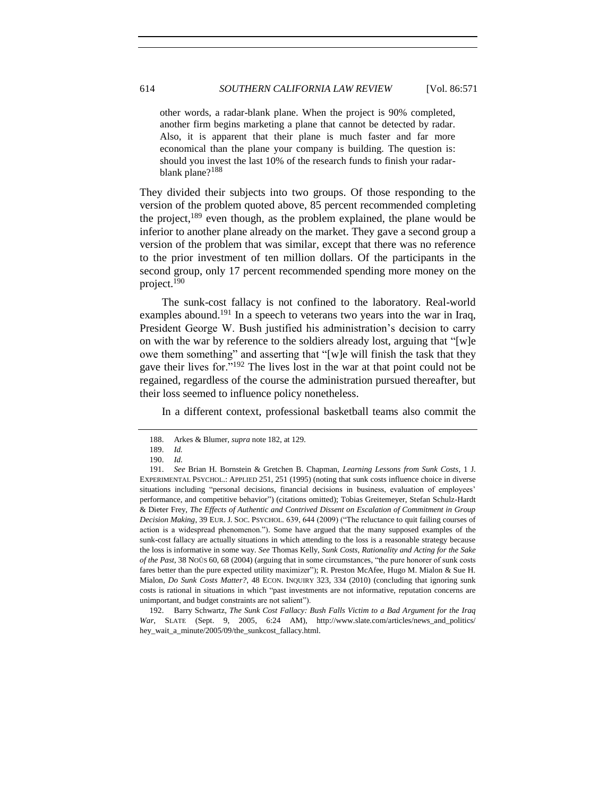other words, a radar-blank plane. When the project is 90% completed, another firm begins marketing a plane that cannot be detected by radar. Also, it is apparent that their plane is much faster and far more economical than the plane your company is building. The question is: should you invest the last 10% of the research funds to finish your radarblank plane?<sup>188</sup>

They divided their subjects into two groups. Of those responding to the version of the problem quoted above, 85 percent recommended completing the project, $189$  even though, as the problem explained, the plane would be inferior to another plane already on the market. They gave a second group a version of the problem that was similar, except that there was no reference to the prior investment of ten million dollars. Of the participants in the second group, only 17 percent recommended spending more money on the project.<sup>190</sup>

<span id="page-43-0"></span>The sunk-cost fallacy is not confined to the laboratory. Real-world examples abound.<sup>191</sup> In a speech to veterans two years into the war in Iraq, President George W. Bush justified his administration's decision to carry on with the war by reference to the soldiers already lost, arguing that "[w]e owe them something" and asserting that "[w]e will finish the task that they gave their lives for."<sup>192</sup> The lives lost in the war at that point could not be regained, regardless of the course the administration pursued thereafter, but their loss seemed to influence policy nonetheless.

In a different context, professional basketball teams also commit the

<sup>188.</sup> Arkes & Blumer, *supra* not[e 182,](#page-42-1) at 129.

<sup>189.</sup> *Id.*

<sup>190.</sup> *Id.*

<sup>191.</sup> *See* Brian H. Bornstein & Gretchen B. Chapman, *Learning Lessons from Sunk Costs*, 1 J. EXPERIMENTAL PSYCHOL.: APPLIED 251, 251 (1995) (noting that sunk costs influence choice in diverse situations including "personal decisions, financial decisions in business, evaluation of employees' performance, and competitive behavior") (citations omitted); Tobias Greitemeyer, Stefan Schulz-Hardt & Dieter Frey, *The Effects of Authentic and Contrived Dissent on Escalation of Commitment in Group Decision Making*, 39 EUR. J. SOC. PSYCHOL. 639, 644 (2009) ("The reluctance to quit failing courses of action is a widespread phenomenon."). Some have argued that the many supposed examples of the sunk-cost fallacy are actually situations in which attending to the loss is a reasonable strategy because the loss is informative in some way. *See* Thomas Kelly, *Sunk Costs, Rationality and Acting for the Sake of the Past*, 38 NOÛS 60, 68 (2004) (arguing that in some circumstances, "the pure honorer of sunk costs fares better than the pure expected utility maximizer"); R. Preston McAfee, Hugo M. Mialon & Sue H. Mialon, *Do Sunk Costs Matter?*, 48 ECON. INQUIRY 323, 334 (2010) (concluding that ignoring sunk costs is rational in situations in which "past investments are not informative, reputation concerns are unimportant, and budget constraints are not salient").

<sup>192.</sup> Barry Schwartz, *The Sunk Cost Fallacy: Bush Falls Victim to a Bad Argument for the Iraq War*, SLATE (Sept. 9, 2005, 6:24 AM), http://www.slate.com/articles/news\_and\_politics/ hey\_wait\_a\_minute/2005/09/the\_sunkcost\_fallacy.html.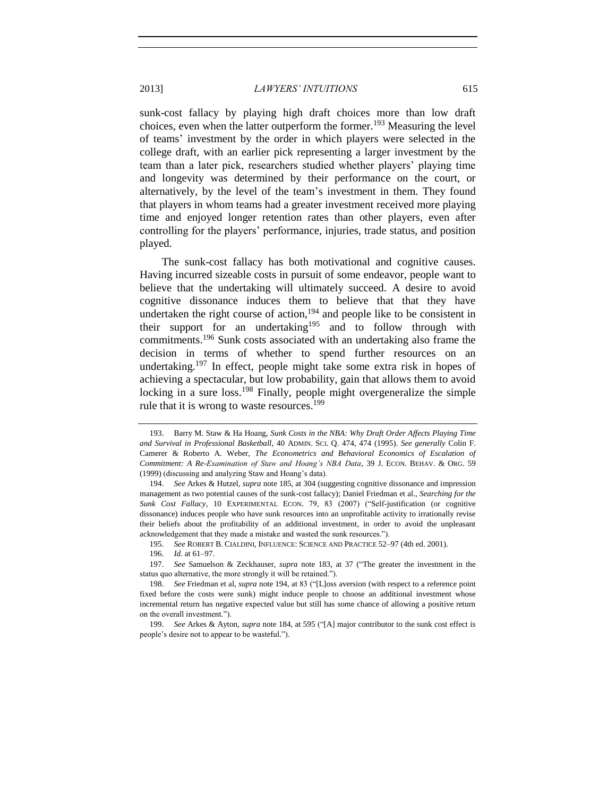<span id="page-44-1"></span>sunk-cost fallacy by playing high draft choices more than low draft choices, even when the latter outperform the former.<sup>193</sup> Measuring the level of teams' investment by the order in which players were selected in the college draft, with an earlier pick representing a larger investment by the team than a later pick, researchers studied whether players' playing time and longevity was determined by their performance on the court, or alternatively, by the level of the team's investment in them. They found that players in whom teams had a greater investment received more playing time and enjoyed longer retention rates than other players, even after controlling for the players' performance, injuries, trade status, and position played.

<span id="page-44-0"></span>The sunk-cost fallacy has both motivational and cognitive causes. Having incurred sizeable costs in pursuit of some endeavor, people want to believe that the undertaking will ultimately succeed. A desire to avoid cognitive dissonance induces them to believe that that they have undertaken the right course of action,<sup>194</sup> and people like to be consistent in their support for an undertaking<sup>195</sup> and to follow through with commitments.<sup>196</sup> Sunk costs associated with an undertaking also frame the decision in terms of whether to spend further resources on an undertaking.<sup>197</sup> In effect, people might take some extra risk in hopes of achieving a spectacular, but low probability, gain that allows them to avoid locking in a sure loss.<sup>198</sup> Finally, people might overgeneralize the simple rule that it is wrong to waste resources.<sup>199</sup>

<sup>193.</sup> Barry M. Staw & Ha Hoang, *Sunk Costs in the NBA: Why Draft Order Affects Playing Time and Survival in Professional Basketball*, 40 ADMIN. SCI. Q. 474, 474 (1995). *See generally* Colin F. Camerer & Roberto A. Weber, *The Econometrics and Behavioral Economics of Escalation of Commitment: A Re-Examination of Staw and Hoang's NBA Data*, 39 J. ECON. BEHAV. & ORG. 59 (1999) (discussing and analyzing Staw and Hoang's data).

<sup>194.</sup> *See* Arkes & Hutzel, *supra* not[e 185,](#page-42-2) at 304 (suggesting cognitive dissonance and impression management as two potential causes of the sunk-cost fallacy); Daniel Friedman et al., *Searching for the Sunk Cost Fallacy*, 10 EXPERIMENTAL ECON. 79, 83 (2007) ("Self-justification (or cognitive dissonance) induces people who have sunk resources into an unprofitable activity to irrationally revise their beliefs about the profitability of an additional investment, in order to avoid the unpleasant acknowledgement that they made a mistake and wasted the sunk resources.").

<sup>195.</sup> *See* ROBERT B. CIALDINI, INFLUENCE: SCIENCE AND PRACTICE 52–97 (4th ed. 2001).

<sup>196.</sup> *Id.* at 61–97.

<sup>197.</sup> *See* Samuelson & Zeckhauser, *supra* note [183,](#page-42-3) at 37 ("The greater the investment in the status quo alternative, the more strongly it will be retained.").

<sup>198.</sup> *See* Friedman et al, *supra* not[e 194,](#page-44-0) at 83 ("[L]oss aversion (with respect to a reference point fixed before the costs were sunk) might induce people to choose an additional investment whose incremental return has negative expected value but still has some chance of allowing a positive return on the overall investment.").

<sup>199.</sup> *See* Arkes & Ayton, *supra* note [184,](#page-42-0) at 595 ("[A] major contributor to the sunk cost effect is people's desire not to appear to be wasteful.").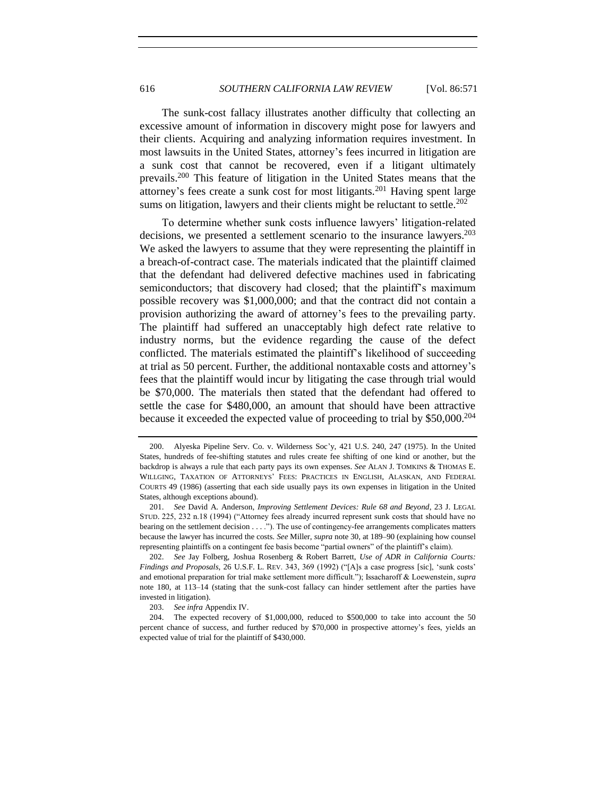The sunk-cost fallacy illustrates another difficulty that collecting an excessive amount of information in discovery might pose for lawyers and their clients. Acquiring and analyzing information requires investment. In most lawsuits in the United States, attorney's fees incurred in litigation are a sunk cost that cannot be recovered, even if a litigant ultimately prevails.<sup>200</sup> This feature of litigation in the United States means that the attorney's fees create a sunk cost for most litigants.<sup>201</sup> Having spent large sums on litigation, lawyers and their clients might be reluctant to settle.<sup>202</sup>

To determine whether sunk costs influence lawyers' litigation-related decisions, we presented a settlement scenario to the insurance lawyers.<sup>203</sup> We asked the lawyers to assume that they were representing the plaintiff in a breach-of-contract case. The materials indicated that the plaintiff claimed that the defendant had delivered defective machines used in fabricating semiconductors; that discovery had closed; that the plaintiff's maximum possible recovery was \$1,000,000; and that the contract did not contain a provision authorizing the award of attorney's fees to the prevailing party. The plaintiff had suffered an unacceptably high defect rate relative to industry norms, but the evidence regarding the cause of the defect conflicted. The materials estimated the plaintiff's likelihood of succeeding at trial as 50 percent. Further, the additional nontaxable costs and attorney's fees that the plaintiff would incur by litigating the case through trial would be \$70,000. The materials then stated that the defendant had offered to settle the case for \$480,000, an amount that should have been attractive because it exceeded the expected value of proceeding to trial by \$50,000.<sup>204</sup>

<sup>200.</sup> Alyeska Pipeline Serv. Co. v. Wilderness Soc'y, 421 U.S. 240, 247 (1975). In the United States, hundreds of fee-shifting statutes and rules create fee shifting of one kind or another, but the backdrop is always a rule that each party pays its own expenses. *See* ALAN J. TOMKINS & THOMAS E. WILLGING, TAXATION OF ATTORNEYS' FEES: PRACTICES IN ENGLISH, ALASKAN, AND FEDERAL COURTS 49 (1986) (asserting that each side usually pays its own expenses in litigation in the United States, although exceptions abound).

<sup>201.</sup> *See* David A. Anderson, *Improving Settlement Devices: Rule 68 and Beyond*, 23 J. LEGAL STUD. 225, 232 n.18 (1994) ("Attorney fees already incurred represent sunk costs that should have no bearing on the settlement decision . . . ."). The use of contingency-fee arrangements complicates matters because the lawyer has incurred the costs. *See* Miller, *supra* not[e 30,](#page-7-0) at 189–90 (explaining how counsel representing plaintiffs on a contingent fee basis become "partial owners" of the plaintiff's claim).

<sup>202.</sup> *See* Jay Folberg, Joshua Rosenberg & Robert Barrett, *Use of ADR in California Courts: Findings and Proposals*, 26 U.S.F. L. REV. 343, 369 (1992) ("[A]s a case progress [sic], 'sunk costs' and emotional preparation for trial make settlement more difficult."); Issacharoff & Loewenstein, *supra*  note [180,](#page-42-4) at 113–14 (stating that the sunk-cost fallacy can hinder settlement after the parties have invested in litigation).

<sup>203.</sup> *See infra* Appendix IV.

<sup>204.</sup> The expected recovery of \$1,000,000, reduced to \$500,000 to take into account the 50 percent chance of success, and further reduced by \$70,000 in prospective attorney's fees, yields an expected value of trial for the plaintiff of \$430,000.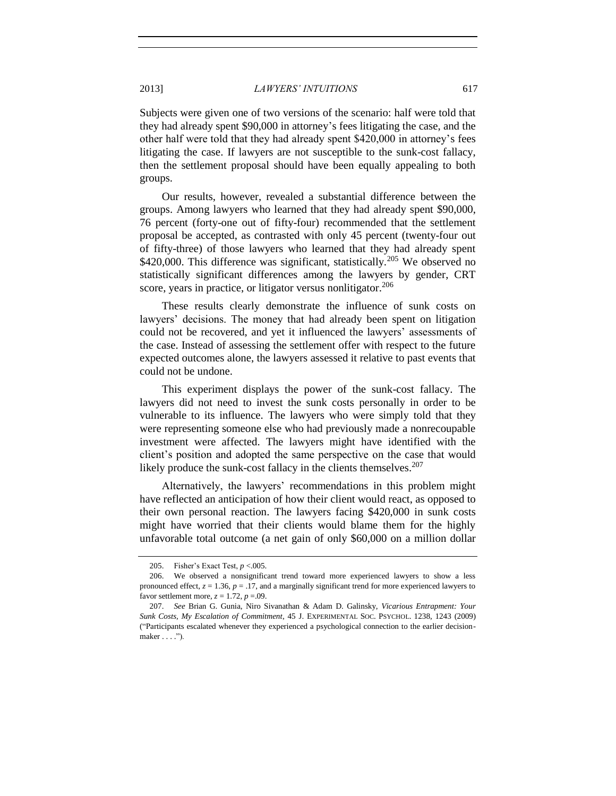Subjects were given one of two versions of the scenario: half were told that they had already spent \$90,000 in attorney's fees litigating the case, and the other half were told that they had already spent \$420,000 in attorney's fees litigating the case. If lawyers are not susceptible to the sunk-cost fallacy, then the settlement proposal should have been equally appealing to both groups.

Our results, however, revealed a substantial difference between the groups. Among lawyers who learned that they had already spent \$90,000, 76 percent (forty-one out of fifty-four) recommended that the settlement proposal be accepted, as contrasted with only 45 percent (twenty-four out of fifty-three) of those lawyers who learned that they had already spent \$420,000. This difference was significant, statistically.<sup>205</sup> We observed no statistically significant differences among the lawyers by gender, CRT score, years in practice, or litigator versus nonlitigator.<sup>206</sup>

These results clearly demonstrate the influence of sunk costs on lawyers' decisions. The money that had already been spent on litigation could not be recovered, and yet it influenced the lawyers' assessments of the case. Instead of assessing the settlement offer with respect to the future expected outcomes alone, the lawyers assessed it relative to past events that could not be undone.

This experiment displays the power of the sunk-cost fallacy. The lawyers did not need to invest the sunk costs personally in order to be vulnerable to its influence. The lawyers who were simply told that they were representing someone else who had previously made a nonrecoupable investment were affected. The lawyers might have identified with the client's position and adopted the same perspective on the case that would likely produce the sunk-cost fallacy in the clients themselves. $207$ 

<span id="page-46-0"></span>Alternatively, the lawyers' recommendations in this problem might have reflected an anticipation of how their client would react, as opposed to their own personal reaction. The lawyers facing \$420,000 in sunk costs might have worried that their clients would blame them for the highly unfavorable total outcome (a net gain of only \$60,000 on a million dollar

<sup>205.</sup> Fisher's Exact Test, *p* <.005.

<sup>206.</sup> We observed a nonsignificant trend toward more experienced lawyers to show a less pronounced effect,  $z = 1.36$ ,  $p = .17$ , and a marginally significant trend for more experienced lawyers to favor settlement more,  $z = 1.72$ ,  $p = .09$ .

<sup>207.</sup> *See* Brian G. Gunia, Niro Sivanathan & Adam D. Galinsky, *Vicarious Entrapment: Your Sunk Costs, My Escalation of Commitment*, 45 J. EXPERIMENTAL SOC. PSYCHOL. 1238, 1243 (2009) ("Participants escalated whenever they experienced a psychological connection to the earlier decisionmaker . . . .").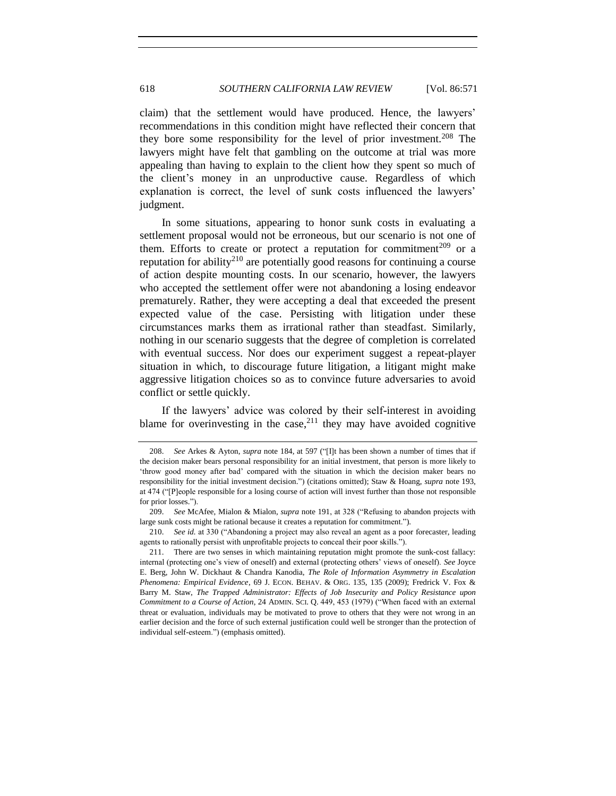claim) that the settlement would have produced. Hence, the lawyers' recommendations in this condition might have reflected their concern that they bore some responsibility for the level of prior investment.<sup>208</sup> The lawyers might have felt that gambling on the outcome at trial was more appealing than having to explain to the client how they spent so much of the client's money in an unproductive cause. Regardless of which explanation is correct, the level of sunk costs influenced the lawyers' judgment.

In some situations, appearing to honor sunk costs in evaluating a settlement proposal would not be erroneous, but our scenario is not one of them. Efforts to create or protect a reputation for commitment<sup>209</sup> or a reputation for ability<sup>210</sup> are potentially good reasons for continuing a course of action despite mounting costs. In our scenario, however, the lawyers who accepted the settlement offer were not abandoning a losing endeavor prematurely. Rather, they were accepting a deal that exceeded the present expected value of the case. Persisting with litigation under these circumstances marks them as irrational rather than steadfast. Similarly, nothing in our scenario suggests that the degree of completion is correlated with eventual success. Nor does our experiment suggest a repeat-player situation in which, to discourage future litigation, a litigant might make aggressive litigation choices so as to convince future adversaries to avoid conflict or settle quickly.

If the lawyers' advice was colored by their self-interest in avoiding blame for overinvesting in the case, $2^{11}$  they may have avoided cognitive

<sup>208.</sup> *See* Arkes & Ayton, *supra* not[e 184,](#page-42-0) at 597 ("[I]t has been shown a number of times that if the decision maker bears personal responsibility for an initial investment, that person is more likely to 'throw good money after bad' compared with the situation in which the decision maker bears no responsibility for the initial investment decision.") (citations omitted); Staw & Hoang, *supra* note [193,](#page-44-1) at 474 ("[P]eople responsible for a losing course of action will invest further than those not responsible for prior losses.").

<sup>209.</sup> *See* McAfee, Mialon & Mialon, *supra* note [191,](#page-43-0) at 328 ("Refusing to abandon projects with large sunk costs might be rational because it creates a reputation for commitment.").

<sup>210.</sup> *See id.* at 330 ("Abandoning a project may also reveal an agent as a poor forecaster, leading agents to rationally persist with unprofitable projects to conceal their poor skills.").

<sup>211.</sup> There are two senses in which maintaining reputation might promote the sunk-cost fallacy: internal (protecting one's view of oneself) and external (protecting others' views of oneself). *See* Joyce E. Berg, John W. Dickhaut & Chandra Kanodia, *The Role of Information Asymmetry in Escalation Phenomena: Empirical Evidence*, 69 J. ECON. BEHAV. & ORG. 135, 135 (2009); Fredrick V. Fox & Barry M. Staw, *The Trapped Administrator: Effects of Job Insecurity and Policy Resistance upon Commitment to a Course of Action*, 24 ADMIN. SCI. Q. 449, 453 (1979) ("When faced with an external threat or evaluation, individuals may be motivated to prove to others that they were not wrong in an earlier decision and the force of such external justification could well be stronger than the protection of individual self-esteem.") (emphasis omitted).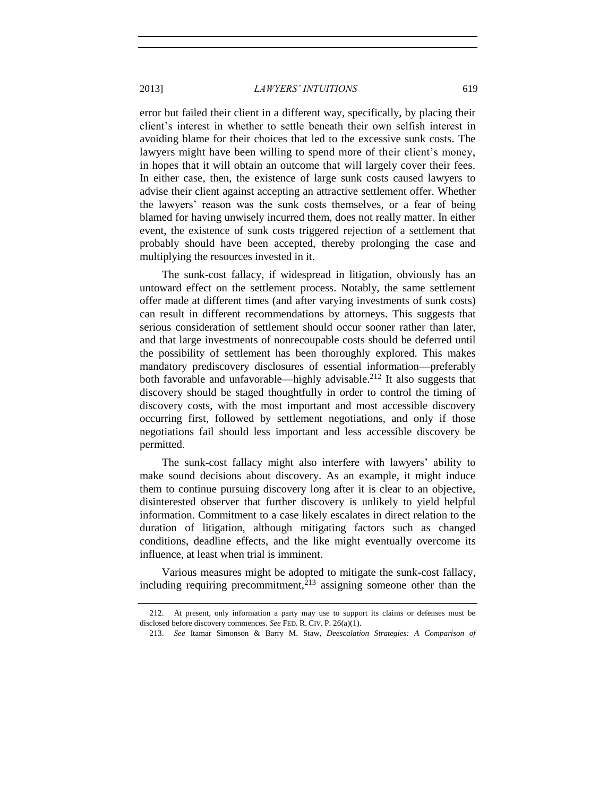error but failed their client in a different way, specifically, by placing their client's interest in whether to settle beneath their own selfish interest in avoiding blame for their choices that led to the excessive sunk costs. The lawyers might have been willing to spend more of their client's money, in hopes that it will obtain an outcome that will largely cover their fees. In either case, then, the existence of large sunk costs caused lawyers to advise their client against accepting an attractive settlement offer. Whether the lawyers' reason was the sunk costs themselves, or a fear of being blamed for having unwisely incurred them, does not really matter. In either event, the existence of sunk costs triggered rejection of a settlement that probably should have been accepted, thereby prolonging the case and multiplying the resources invested in it.

The sunk-cost fallacy, if widespread in litigation, obviously has an untoward effect on the settlement process. Notably, the same settlement offer made at different times (and after varying investments of sunk costs) can result in different recommendations by attorneys. This suggests that serious consideration of settlement should occur sooner rather than later, and that large investments of nonrecoupable costs should be deferred until the possibility of settlement has been thoroughly explored. This makes mandatory prediscovery disclosures of essential information—preferably both favorable and unfavorable—highly advisable.<sup>212</sup> It also suggests that discovery should be staged thoughtfully in order to control the timing of discovery costs, with the most important and most accessible discovery occurring first, followed by settlement negotiations, and only if those negotiations fail should less important and less accessible discovery be permitted.

The sunk-cost fallacy might also interfere with lawyers' ability to make sound decisions about discovery. As an example, it might induce them to continue pursuing discovery long after it is clear to an objective, disinterested observer that further discovery is unlikely to yield helpful information. Commitment to a case likely escalates in direct relation to the duration of litigation, although mitigating factors such as changed conditions, deadline effects, and the like might eventually overcome its influence, at least when trial is imminent.

Various measures might be adopted to mitigate the sunk-cost fallacy, including requiring precommitment,<sup>213</sup> assigning someone other than the

<sup>212.</sup> At present, only information a party may use to support its claims or defenses must be disclosed before discovery commences. *See* FED. R. CIV. P. 26(a)(1).

<sup>213.</sup> *See* Itamar Simonson & Barry M. Staw, *Deescalation Strategies: A Comparison of*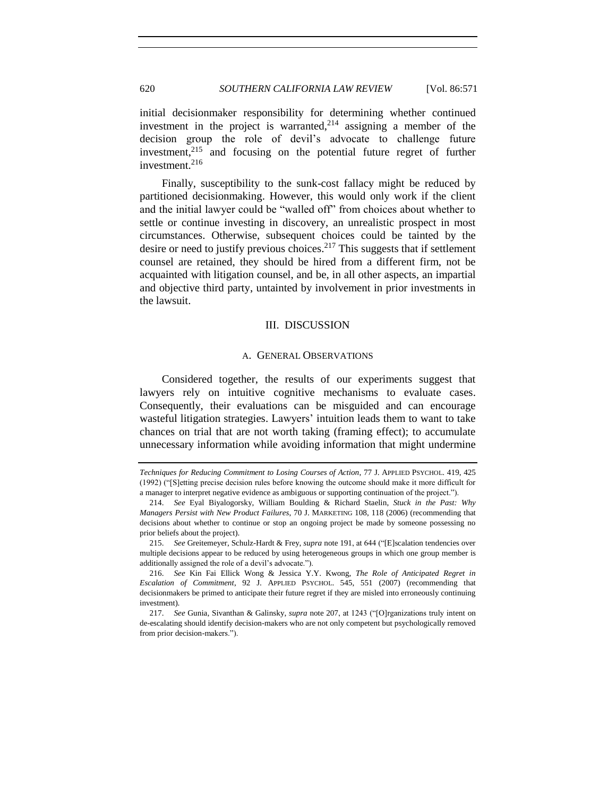# 620 *SOUTHERN CALIFORNIA LAW REVIEW* [Vol. 86:571

initial decisionmaker responsibility for determining whether continued investment in the project is warranted,  $2^{14}$  assigning a member of the decision group the role of devil's advocate to challenge future investment,<sup>215</sup> and focusing on the potential future regret of further investment. $216$ 

Finally, susceptibility to the sunk-cost fallacy might be reduced by partitioned decisionmaking. However, this would only work if the client and the initial lawyer could be "walled off" from choices about whether to settle or continue investing in discovery, an unrealistic prospect in most circumstances. Otherwise, subsequent choices could be tainted by the desire or need to justify previous choices.<sup>217</sup> This suggests that if settlement counsel are retained, they should be hired from a different firm, not be acquainted with litigation counsel, and be, in all other aspects, an impartial and objective third party, untainted by involvement in prior investments in the lawsuit.

## III. DISCUSSION

#### A. GENERAL OBSERVATIONS

<span id="page-49-1"></span><span id="page-49-0"></span>Considered together, the results of our experiments suggest that lawyers rely on intuitive cognitive mechanisms to evaluate cases. Consequently, their evaluations can be misguided and can encourage wasteful litigation strategies. Lawyers' intuition leads them to want to take chances on trial that are not worth taking (framing effect); to accumulate unnecessary information while avoiding information that might undermine

*Techniques for Reducing Commitment to Losing Courses of Action*, 77 J. APPLIED PSYCHOL. 419, 425 (1992) ("[S]etting precise decision rules before knowing the outcome should make it more difficult for a manager to interpret negative evidence as ambiguous or supporting continuation of the project.").

<sup>214.</sup> *See* Eyal Biyalogorsky, William Boulding & Richard Staelin, *Stuck in the Past: Why Managers Persist with New Product Failures*, 70 J. MARKETING 108, 118 (2006) (recommending that decisions about whether to continue or stop an ongoing project be made by someone possessing no prior beliefs about the project).

<sup>215.</sup> *See* Greitemeyer, Schulz-Hardt & Frey, *supra* not[e 191,](#page-43-0) at 644 ("[E]scalation tendencies over multiple decisions appear to be reduced by using heterogeneous groups in which one group member is additionally assigned the role of a devil's advocate.").

<sup>216.</sup> *See* Kin Fai Ellick Wong & Jessica Y.Y. Kwong, *The Role of Anticipated Regret in Escalation of Commitment*, 92 J. APPLIED PSYCHOL. 545, 551 (2007) (recommending that decisionmakers be primed to anticipate their future regret if they are misled into erroneously continuing investment).

<sup>217.</sup> *See* Gunia, Sivanthan & Galinsky, *supra* note [207,](#page-46-0) at 1243 ("[O]rganizations truly intent on de-escalating should identify decision-makers who are not only competent but psychologically removed from prior decision-makers.").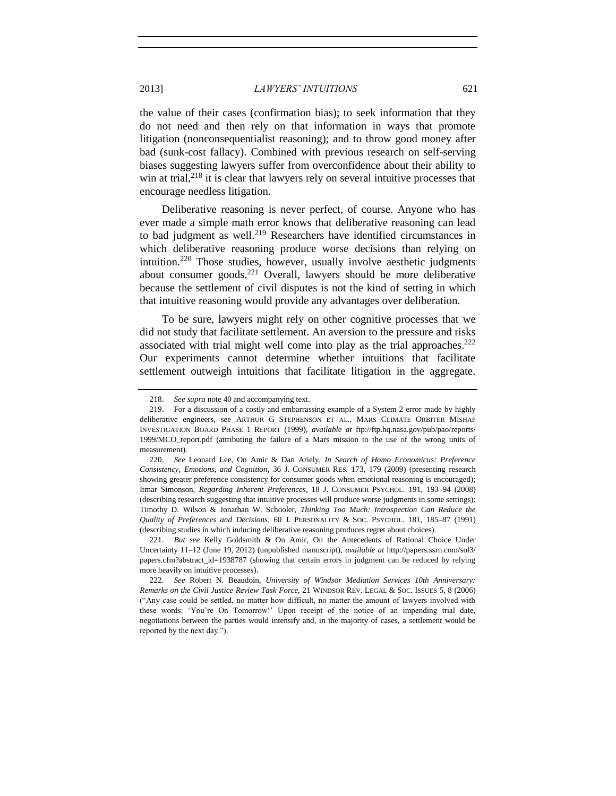the value of their cases (confirmation bias); to seek information that they do not need and then rely on that information in ways that promote litigation (nonconsequentialist reasoning); and to throw good money after bad (sunk-cost fallacy). Combined with previous research on self-serving biases suggesting lawyers suffer from overconfidence about their ability to win at trial, $2^{18}$  it is clear that lawyers rely on several intuitive processes that encourage needless litigation.

Deliberative reasoning is never perfect, of course. Anyone who has ever made a simple math error knows that deliberative reasoning can lead to bad judgment as well.<sup>219</sup> Researchers have identified circumstances in which deliberative reasoning produce worse decisions than relying on intuition.<sup>220</sup> Those studies, however, usually involve aesthetic judgments about consumer goods. $^{221}$  Overall, lawyers should be more deliberative because the settlement of civil disputes is not the kind of setting in which that intuitive reasoning would provide any advantages over deliberation.

To be sure, lawyers might rely on other cognitive processes that we did not study that facilitate settlement. An aversion to the pressure and risks associated with trial might well come into play as the trial approaches.<sup>222</sup> Our experiments cannot determine whether intuitions that facilitate settlement outweigh intuitions that facilitate litigation in the aggregate.

221. *But see* Kelly Goldsmith & On Amir, On the Antecedents of Rational Choice Under Uncertainty 11–12 (June 19, 2012) (unpublished manuscript), *available at* http://papers.ssrn.com/sol3/ papers.cfm?abstract\_id=1938787 (showing that certain errors in judgment can be reduced by relying more heavily on intuitive processes).

<sup>218.</sup> *See supra* not[e 40](#page-8-2) and accompanying text.

<sup>219.</sup> For a discussion of a costly and embarrassing example of a System 2 error made by highly deliberative engineers, see ARTHUR G STEPHENSON ET AL., MARS CLIMATE ORBITER MISHAP INVESTIGATION BOARD PHASE 1 REPORT (1999), *available at* ftp://ftp.hq.nasa.gov/pub/pao/reports/ 1999/MCO\_report.pdf (attributing the failure of a Mars mission to the use of the wrong units of measurement).

<sup>220.</sup> *See* Leonard Lee, On Amir & Dan Ariely, *In Search of Homo Economicus: Preference Consistency, Emotions, and Cognition*, 36 J. CONSUMER RES. 173, 179 (2009) (presenting research showing greater preference consistency for consumer goods when emotional reasoning is encouraged); Itmar Simonson, *Regarding Inherent Preferences*, 18 J. CONSUMER PSYCHOL. 191, 193–94 (2008) (describing research suggesting that intuitive processes will produce worse judgments in some settings); Timothy D. Wilson & Jonathan W. Schooler, *Thinking Too Much: Introspection Can Reduce the Quality of Preferences and Decisions*, 60 J. PERSONALITY & SOC. PSYCHOL. 181, 185–87 (1991) (describing studies in which inducing deliberative reasoning produces regret about choices).

<sup>222.</sup> *See* Robert N. Beaudoin, *University of Windsor Mediation Services 10th Anniversary: Remarks on the Civil Justice Review Task Force*, 21 WINDSOR REV. LEGAL & SOC. ISSUES 5, 8 (2006) ("Any case could be settled, no matter how difficult, no matter the amount of lawyers involved with these words: 'You're On Tomorrow!' Upon receipt of the notice of an impending trial date, negotiations between the parties would intensify and, in the majority of cases, a settlement would be reported by the next day.").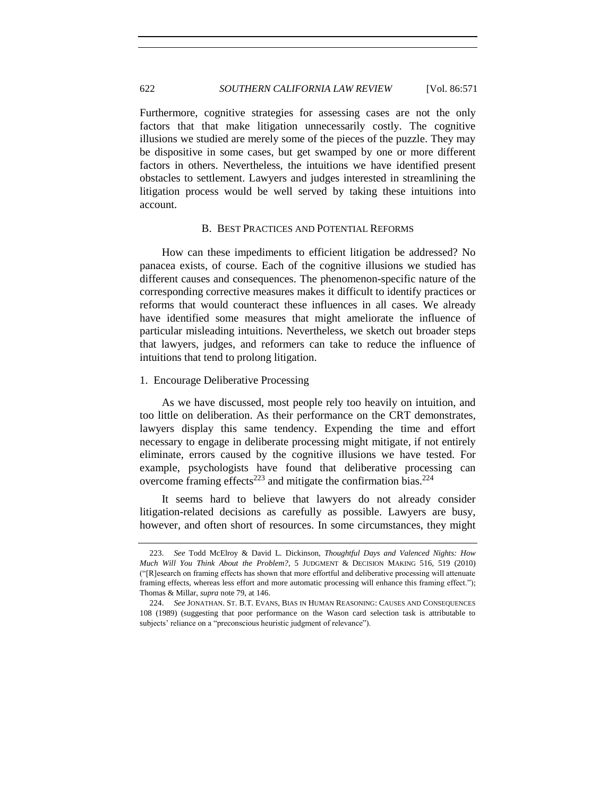622 *SOUTHERN CALIFORNIA LAW REVIEW* [Vol. 86:571

Furthermore, cognitive strategies for assessing cases are not the only factors that that make litigation unnecessarily costly. The cognitive illusions we studied are merely some of the pieces of the puzzle. They may be dispositive in some cases, but get swamped by one or more different factors in others. Nevertheless, the intuitions we have identified present obstacles to settlement. Lawyers and judges interested in streamlining the litigation process would be well served by taking these intuitions into account.

## B. BEST PRACTICES AND POTENTIAL REFORMS

<span id="page-51-0"></span>How can these impediments to efficient litigation be addressed? No panacea exists, of course. Each of the cognitive illusions we studied has different causes and consequences. The phenomenon-specific nature of the corresponding corrective measures makes it difficult to identify practices or reforms that would counteract these influences in all cases. We already have identified some measures that might ameliorate the influence of particular misleading intuitions. Nevertheless, we sketch out broader steps that lawyers, judges, and reformers can take to reduce the influence of intuitions that tend to prolong litigation.

## <span id="page-51-1"></span>1. Encourage Deliberative Processing

As we have discussed, most people rely too heavily on intuition, and too little on deliberation. As their performance on the CRT demonstrates, lawyers display this same tendency. Expending the time and effort necessary to engage in deliberate processing might mitigate, if not entirely eliminate, errors caused by the cognitive illusions we have tested. For example, psychologists have found that deliberative processing can overcome framing effects<sup>223</sup> and mitigate the confirmation bias.<sup>224</sup>

It seems hard to believe that lawyers do not already consider litigation-related decisions as carefully as possible. Lawyers are busy, however, and often short of resources. In some circumstances, they might

<sup>223.</sup> *See* Todd McElroy & David L. Dickinson, *Thoughtful Days and Valenced Nights: How Much Will You Think About the Problem?*, 5 JUDGMENT & DECISION MAKING 516, 519 (2010) ("[R]esearch on framing effects has shown that more effortful and deliberative processing will attenuate framing effects, whereas less effort and more automatic processing will enhance this framing effect."); Thomas & Millar, *supra* not[e 79,](#page-19-0) at 146.

<sup>224.</sup> *See* JONATHAN. ST. B.T. EVANS, BIAS IN HUMAN REASONING: CAUSES AND CONSEQUENCES 108 (1989) (suggesting that poor performance on the Wason card selection task is attributable to subjects' reliance on a "preconscious heuristic judgment of relevance").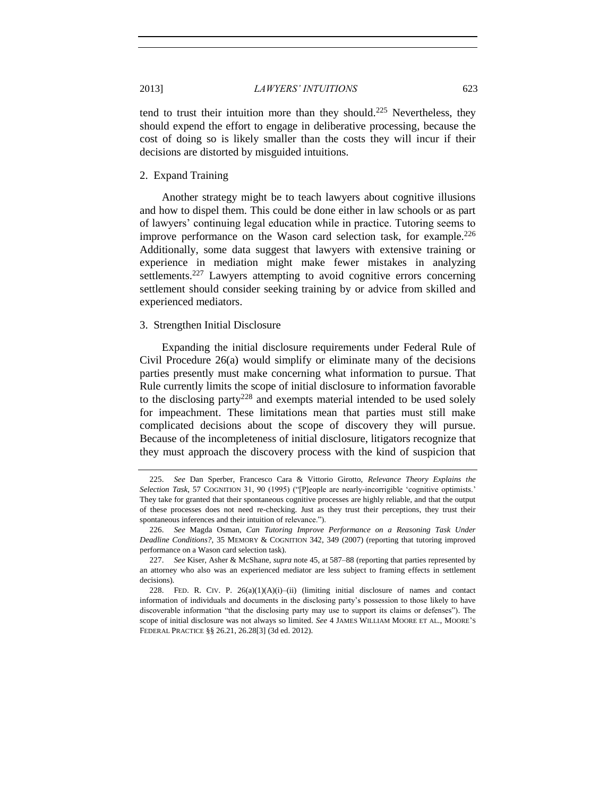tend to trust their intuition more than they should.<sup>225</sup> Nevertheless, they should expend the effort to engage in deliberative processing, because the cost of doing so is likely smaller than the costs they will incur if their decisions are distorted by misguided intuitions.

#### <span id="page-52-0"></span>2. Expand Training

Another strategy might be to teach lawyers about cognitive illusions and how to dispel them. This could be done either in law schools or as part of lawyers' continuing legal education while in practice. Tutoring seems to improve performance on the Wason card selection task, for example.<sup>226</sup> Additionally, some data suggest that lawyers with extensive training or experience in mediation might make fewer mistakes in analyzing settlements.<sup>227</sup> Lawyers attempting to avoid cognitive errors concerning settlement should consider seeking training by or advice from skilled and experienced mediators.

## <span id="page-52-1"></span>3. Strengthen Initial Disclosure

Expanding the initial disclosure requirements under Federal Rule of Civil Procedure 26(a) would simplify or eliminate many of the decisions parties presently must make concerning what information to pursue. That Rule currently limits the scope of initial disclosure to information favorable to the disclosing party<sup>228</sup> and exempts material intended to be used solely for impeachment. These limitations mean that parties must still make complicated decisions about the scope of discovery they will pursue. Because of the incompleteness of initial disclosure, litigators recognize that they must approach the discovery process with the kind of suspicion that

<sup>225.</sup> *See* Dan Sperber, Francesco Cara & Vittorio Girotto, *Relevance Theory Explains the Selection Task*, 57 COGNITION 31, 90 (1995) ("[P]eople are nearly-incorrigible 'cognitive optimists.' They take for granted that their spontaneous cognitive processes are highly reliable, and that the output of these processes does not need re-checking. Just as they trust their perceptions, they trust their spontaneous inferences and their intuition of relevance.").

<sup>226.</sup> *See* Magda Osman, *Can Tutoring Improve Performance on a Reasoning Task Under Deadline Conditions?*, 35 MEMORY & COGNITION 342, 349 (2007) (reporting that tutoring improved performance on a Wason card selection task).

<sup>227.</sup> *See* Kiser, Asher & McShane, *supra* note [45,](#page-9-0) at 587–88 (reporting that parties represented by an attorney who also was an experienced mediator are less subject to framing effects in settlement decisions).

<sup>228.</sup> FED. R. CIV. P. 26(a)(1)(A)(i)–(ii) (limiting initial disclosure of names and contact information of individuals and documents in the disclosing party's possession to those likely to have discoverable information "that the disclosing party may use to support its claims or defenses"). The scope of initial disclosure was not always so limited. *See* 4 JAMES WILLIAM MOORE ET AL., MOORE'S FEDERAL PRACTICE §§ 26.21, 26.28[3] (3d ed. 2012).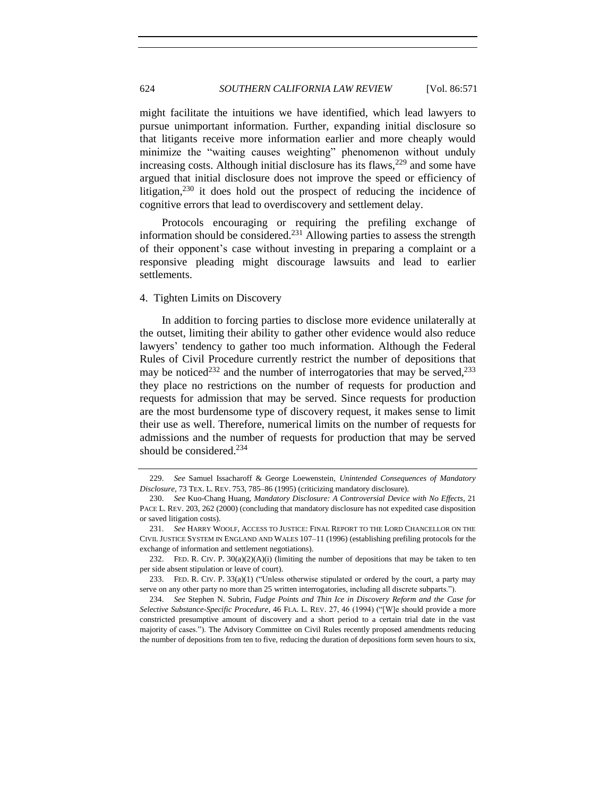might facilitate the intuitions we have identified, which lead lawyers to pursue unimportant information. Further, expanding initial disclosure so that litigants receive more information earlier and more cheaply would minimize the "waiting causes weighting" phenomenon without unduly increasing costs. Although initial disclosure has its flaws, $229$  and some have argued that initial disclosure does not improve the speed or efficiency of litigation, $230$  it does hold out the prospect of reducing the incidence of cognitive errors that lead to overdiscovery and settlement delay.

Protocols encouraging or requiring the prefiling exchange of information should be considered.<sup>231</sup> Allowing parties to assess the strength of their opponent's case without investing in preparing a complaint or a responsive pleading might discourage lawsuits and lead to earlier settlements.

## <span id="page-53-0"></span>4. Tighten Limits on Discovery

In addition to forcing parties to disclose more evidence unilaterally at the outset, limiting their ability to gather other evidence would also reduce lawyers' tendency to gather too much information. Although the Federal Rules of Civil Procedure currently restrict the number of depositions that may be noticed<sup>232</sup> and the number of interrogatories that may be served,<sup>233</sup> they place no restrictions on the number of requests for production and requests for admission that may be served. Since requests for production are the most burdensome type of discovery request, it makes sense to limit their use as well. Therefore, numerical limits on the number of requests for admissions and the number of requests for production that may be served should be considered.<sup>234</sup>

<sup>229.</sup> *See* Samuel Issacharoff & George Loewenstein, *Unintended Consequences of Mandatory Disclosure*, 73 TEX. L. REV. 753, 785–86 (1995) (criticizing mandatory disclosure).

<sup>230.</sup> *See* Kuo-Chang Huang, *Mandatory Disclosure: A Controversial Device with No Effects*, 21 PACE L. REV. 203, 262 (2000) (concluding that mandatory disclosure has not expedited case disposition or saved litigation costs).

<sup>231.</sup> *See* HARRY WOOLF, ACCESS TO JUSTICE: FINAL REPORT TO THE LORD CHANCELLOR ON THE CIVIL JUSTICE SYSTEM IN ENGLAND AND WALES 107–11 (1996) (establishing prefiling protocols for the exchange of information and settlement negotiations).

<sup>232.</sup> FED. R. CIV. P.  $30(a)(2)(A)(i)$  (limiting the number of depositions that may be taken to ten per side absent stipulation or leave of court).

<sup>233.</sup> FED. R. CIV. P. 33(a)(1) ("Unless otherwise stipulated or ordered by the court, a party may serve on any other party no more than 25 written interrogatories, including all discrete subparts.").

<sup>234.</sup> *See* Stephen N. Subrin, *Fudge Points and Thin Ice in Discovery Reform and the Case for Selective Substance-Specific Procedure*, 46 FLA. L. REV. 27, 46 (1994) ("[W]e should provide a more constricted presumptive amount of discovery and a short period to a certain trial date in the vast majority of cases."). The Advisory Committee on Civil Rules recently proposed amendments reducing the number of depositions from ten to five, reducing the duration of depositions form seven hours to six,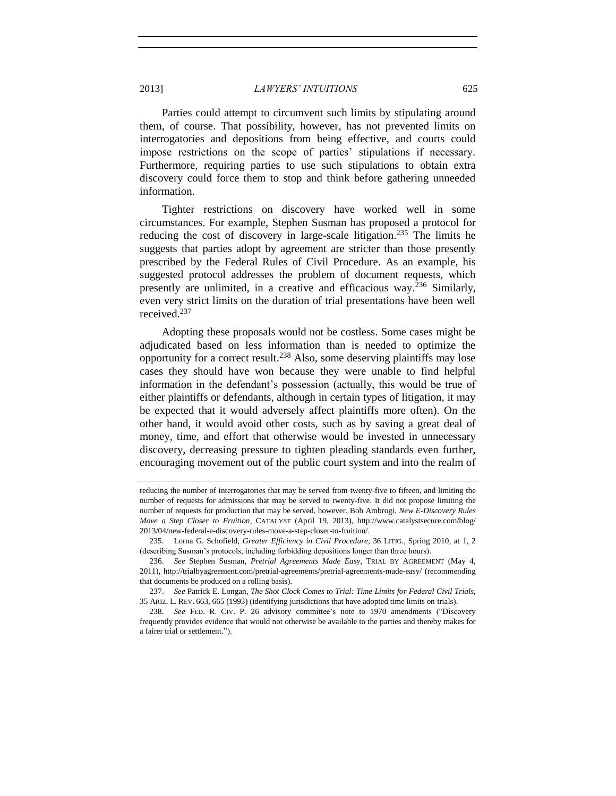Parties could attempt to circumvent such limits by stipulating around them, of course. That possibility, however, has not prevented limits on interrogatories and depositions from being effective, and courts could impose restrictions on the scope of parties' stipulations if necessary. Furthermore, requiring parties to use such stipulations to obtain extra discovery could force them to stop and think before gathering unneeded information.

Tighter restrictions on discovery have worked well in some circumstances. For example, Stephen Susman has proposed a protocol for reducing the cost of discovery in large-scale litigation.<sup>235</sup> The limits he suggests that parties adopt by agreement are stricter than those presently prescribed by the Federal Rules of Civil Procedure. As an example, his suggested protocol addresses the problem of document requests, which presently are unlimited, in a creative and efficacious way.<sup>236</sup> Similarly, even very strict limits on the duration of trial presentations have been well received.<sup>237</sup>

Adopting these proposals would not be costless. Some cases might be adjudicated based on less information than is needed to optimize the opportunity for a correct result.<sup>238</sup> Also, some deserving plaintiffs may lose cases they should have won because they were unable to find helpful information in the defendant's possession (actually, this would be true of either plaintiffs or defendants, although in certain types of litigation, it may be expected that it would adversely affect plaintiffs more often). On the other hand, it would avoid other costs, such as by saving a great deal of money, time, and effort that otherwise would be invested in unnecessary discovery, decreasing pressure to tighten pleading standards even further, encouraging movement out of the public court system and into the realm of

reducing the number of interrogatories that may be served from twenty-five to fifteen, and limiting the number of requests for admissions that may be served to twenty-five. It did not propose limiting the number of requests for production that may be served, however. Bob Ambrogi, *New E-Discovery Rules Move a Step Closer to Fruition*, CATALYST (April 19, 2013), http://www.catalystsecure.com/blog/ 2013/04/new-federal-e-discovery-rules-move-a-step-closer-to-fruition/.

<sup>235.</sup> Lorna G. Schofield, *Greater Efficiency in Civil Procedure*, 36 LITIG., Spring 2010, at 1, 2 (describing Susman's protocols, including forbidding depositions longer than three hours).

<sup>236.</sup> *See* Stephen Susman, *Pretrial Agreements Made Easy*, TRIAL BY AGREEMENT (May 4, 2011), http://trialbyagreement.com/pretrial-agreements/pretrial-agreements-made-easy/ (recommending that documents be produced on a rolling basis).

<sup>237.</sup> *See* Patrick E. Longan, *The Shot Clock Comes to Trial: Time Limits for Federal Civil Trials*, 35 ARIZ. L. REV. 663, 665 (1993) (identifying jurisdictions that have adopted time limits on trials).

<sup>238.</sup> *See* FED. R. CIV. P. 26 advisory committee's note to 1970 amendments ("Discovery frequently provides evidence that would not otherwise be available to the parties and thereby makes for a fairer trial or settlement.").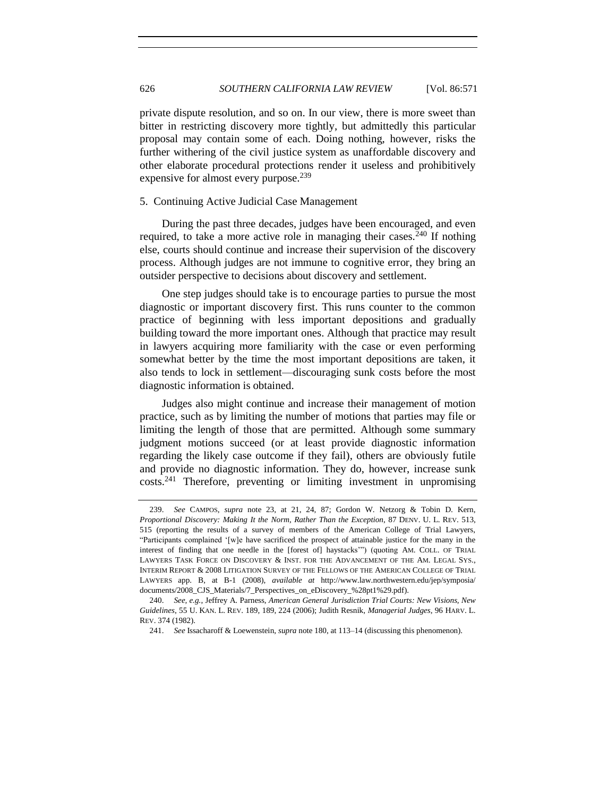private dispute resolution, and so on. In our view, there is more sweet than bitter in restricting discovery more tightly, but admittedly this particular proposal may contain some of each. Doing nothing, however, risks the further withering of the civil justice system as unaffordable discovery and other elaborate procedural protections render it useless and prohibitively expensive for almost every purpose.<sup>239</sup>

## <span id="page-55-0"></span>5. Continuing Active Judicial Case Management

During the past three decades, judges have been encouraged, and even required, to take a more active role in managing their cases.<sup>240</sup> If nothing else, courts should continue and increase their supervision of the discovery process. Although judges are not immune to cognitive error, they bring an outsider perspective to decisions about discovery and settlement.

One step judges should take is to encourage parties to pursue the most diagnostic or important discovery first. This runs counter to the common practice of beginning with less important depositions and gradually building toward the more important ones. Although that practice may result in lawyers acquiring more familiarity with the case or even performing somewhat better by the time the most important depositions are taken, it also tends to lock in settlement—discouraging sunk costs before the most diagnostic information is obtained.

Judges also might continue and increase their management of motion practice, such as by limiting the number of motions that parties may file or limiting the length of those that are permitted. Although some summary judgment motions succeed (or at least provide diagnostic information regarding the likely case outcome if they fail), others are obviously futile and provide no diagnostic information. They do, however, increase sunk costs.<sup>241</sup> Therefore, preventing or limiting investment in unpromising

<sup>239.</sup> *See* CAMPOS, *supra* note [23,](#page-6-1) at 21, 24, 87; Gordon W. Netzorg & Tobin D. Kern, *Proportional Discovery: Making It the Norm, Rather Than the Exception*, 87 DENV. U. L. REV. 513, 515 (reporting the results of a survey of members of the American College of Trial Lawyers, "Participants complained '[w]e have sacrificed the prospect of attainable justice for the many in the interest of finding that one needle in the [forest of] haystacks'") (quoting AM. COLL. OF TRIAL LAWYERS TASK FORCE ON DISCOVERY & INST. FOR THE ADVANCEMENT OF THE AM. LEGAL SYS., INTERIM REPORT & 2008 LITIGATION SURVEY OF THE FELLOWS OF THE AMERICAN COLLEGE OF TRIAL LAWYERS app. B, at B-1 (2008), *available at* http://www.law.northwestern.edu/jep/symposia/ documents/2008\_CJS\_Materials/7\_Perspectives\_on\_eDiscovery\_%28pt1%29.pdf).

<sup>240.</sup> *See, e.g.*, Jeffrey A. Parness, *American General Jurisdiction Trial Courts: New Visions, New Guidelines*, 55 U. KAN. L. REV. 189, 189, 224 (2006); Judith Resnik, *Managerial Judges*, 96 HARV. L. REV. 374 (1982).

<sup>241.</sup> *See* Issacharoff & Loewenstein, *supra* note [180,](#page-42-4) at 113–14 (discussing this phenomenon).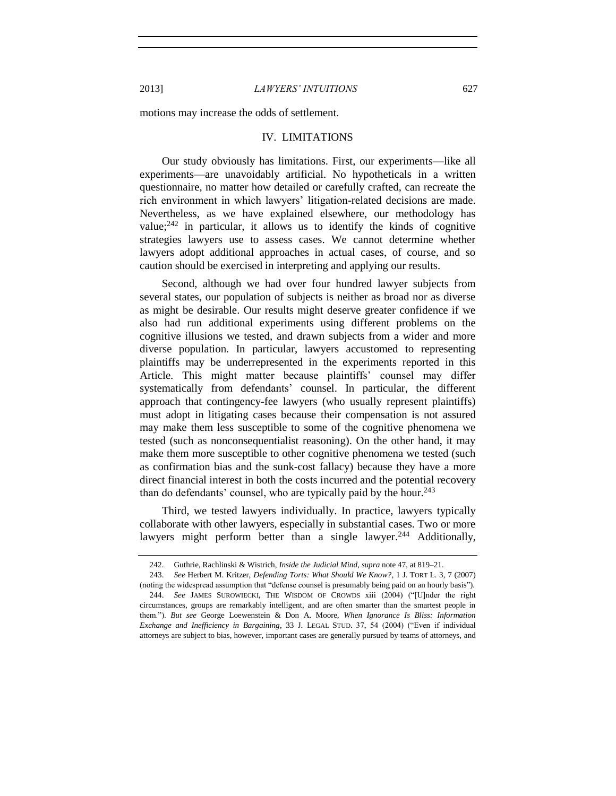<span id="page-56-0"></span>motions may increase the odds of settlement.

## IV. LIMITATIONS

Our study obviously has limitations. First, our experiments—like all experiments—are unavoidably artificial. No hypotheticals in a written questionnaire, no matter how detailed or carefully crafted, can recreate the rich environment in which lawyers' litigation-related decisions are made. Nevertheless, as we have explained elsewhere, our methodology has value; $242$  in particular, it allows us to identify the kinds of cognitive strategies lawyers use to assess cases. We cannot determine whether lawyers adopt additional approaches in actual cases, of course, and so caution should be exercised in interpreting and applying our results.

Second, although we had over four hundred lawyer subjects from several states, our population of subjects is neither as broad nor as diverse as might be desirable. Our results might deserve greater confidence if we also had run additional experiments using different problems on the cognitive illusions we tested, and drawn subjects from a wider and more diverse population. In particular, lawyers accustomed to representing plaintiffs may be underrepresented in the experiments reported in this Article. This might matter because plaintiffs' counsel may differ systematically from defendants' counsel. In particular, the different approach that contingency-fee lawyers (who usually represent plaintiffs) must adopt in litigating cases because their compensation is not assured may make them less susceptible to some of the cognitive phenomena we tested (such as nonconsequentialist reasoning). On the other hand, it may make them more susceptible to other cognitive phenomena we tested (such as confirmation bias and the sunk-cost fallacy) because they have a more direct financial interest in both the costs incurred and the potential recovery than do defendants' counsel, who are typically paid by the hour.<sup>243</sup>

Third, we tested lawyers individually. In practice, lawyers typically collaborate with other lawyers, especially in substantial cases. Two or more lawyers might perform better than a single lawyer.<sup>244</sup> Additionally,

<sup>242.</sup> Guthrie, Rachlinski & Wistrich, *Inside the Judicial Mind*, *supra* not[e 47,](#page-10-2) at 819–21.

<sup>243.</sup> *See* Herbert M. Kritzer, *Defending Torts: What Should We Know?*, 1 J. TORT L. 3, 7 (2007) (noting the widespread assumption that "defense counsel is presumably being paid on an hourly basis").

<sup>244.</sup> *See* JAMES SUROWIECKI, THE WISDOM OF CROWDS xiii (2004) ("[U]nder the right circumstances, groups are remarkably intelligent, and are often smarter than the smartest people in them."). *But see* George Loewenstein & Don A. Moore, *When Ignorance Is Bliss: Information Exchange and Inefficiency in Bargaining*, 33 J. LEGAL STUD. 37, 54 (2004) ("Even if individual attorneys are subject to bias, however, important cases are generally pursued by teams of attorneys, and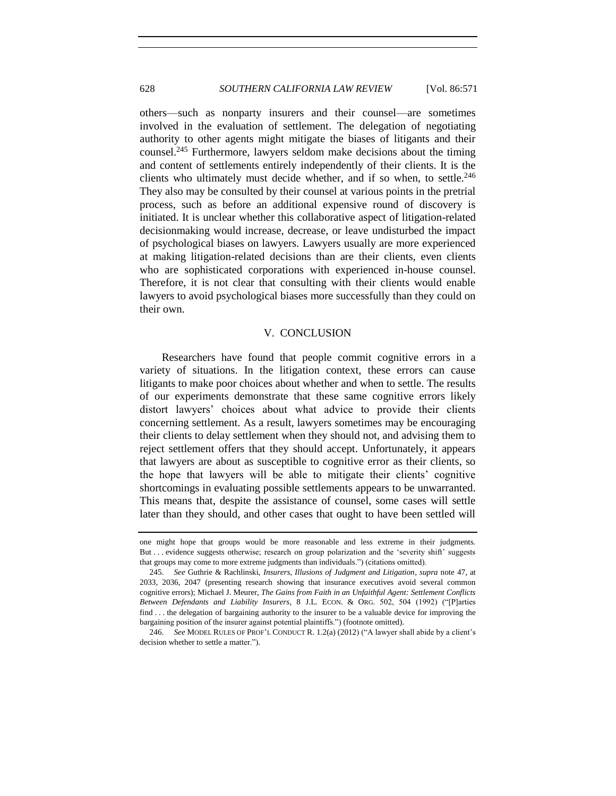others—such as nonparty insurers and their counsel—are sometimes involved in the evaluation of settlement. The delegation of negotiating authority to other agents might mitigate the biases of litigants and their counsel.<sup>245</sup> Furthermore, lawyers seldom make decisions about the timing and content of settlements entirely independently of their clients. It is the clients who ultimately must decide whether, and if so when, to settle. $246$ They also may be consulted by their counsel at various points in the pretrial process, such as before an additional expensive round of discovery is initiated. It is unclear whether this collaborative aspect of litigation-related decisionmaking would increase, decrease, or leave undisturbed the impact of psychological biases on lawyers. Lawyers usually are more experienced at making litigation-related decisions than are their clients, even clients who are sophisticated corporations with experienced in-house counsel. Therefore, it is not clear that consulting with their clients would enable lawyers to avoid psychological biases more successfully than they could on their own.

# V. CONCLUSION

<span id="page-57-0"></span>Researchers have found that people commit cognitive errors in a variety of situations. In the litigation context, these errors can cause litigants to make poor choices about whether and when to settle. The results of our experiments demonstrate that these same cognitive errors likely distort lawyers' choices about what advice to provide their clients concerning settlement. As a result, lawyers sometimes may be encouraging their clients to delay settlement when they should not, and advising them to reject settlement offers that they should accept. Unfortunately, it appears that lawyers are about as susceptible to cognitive error as their clients, so the hope that lawyers will be able to mitigate their clients' cognitive shortcomings in evaluating possible settlements appears to be unwarranted. This means that, despite the assistance of counsel, some cases will settle later than they should, and other cases that ought to have been settled will

one might hope that groups would be more reasonable and less extreme in their judgments. But . . . evidence suggests otherwise; research on group polarization and the 'severity shift' suggests that groups may come to more extreme judgments than individuals.") (citations omitted).

<sup>245.</sup> *See* Guthrie & Rachlinski, *Insurers, Illusions of Judgment and Litigation*, *supra* note [47,](#page-10-2) at 2033, 2036, 2047 (presenting research showing that insurance executives avoid several common cognitive errors); Michael J. Meurer, *The Gains from Faith in an Unfaithful Agent: Settlement Conflicts Between Defendants and Liability Insurers*, 8 J.L. ECON. & ORG. 502, 504 (1992) ("[P]arties find . . . the delegation of bargaining authority to the insurer to be a valuable device for improving the bargaining position of the insurer against potential plaintiffs.") (footnote omitted).

<sup>246.</sup> *See* MODEL RULES OF PROF'L CONDUCT R. 1.2(a) (2012) ("A lawyer shall abide by a client's decision whether to settle a matter.").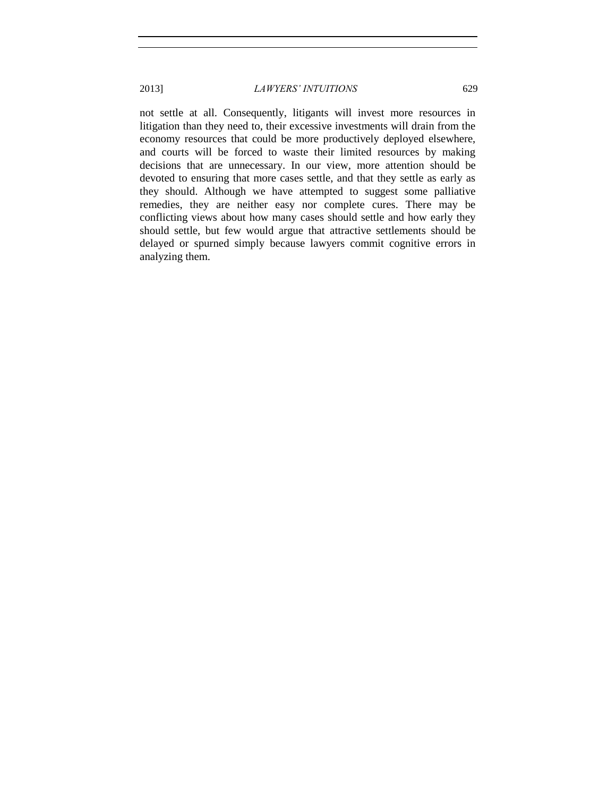not settle at all. Consequently, litigants will invest more resources in litigation than they need to, their excessive investments will drain from the economy resources that could be more productively deployed elsewhere, and courts will be forced to waste their limited resources by making decisions that are unnecessary. In our view, more attention should be devoted to ensuring that more cases settle, and that they settle as early as they should. Although we have attempted to suggest some palliative remedies, they are neither easy nor complete cures. There may be conflicting views about how many cases should settle and how early they should settle, but few would argue that attractive settlements should be delayed or spurned simply because lawyers commit cognitive errors in analyzing them.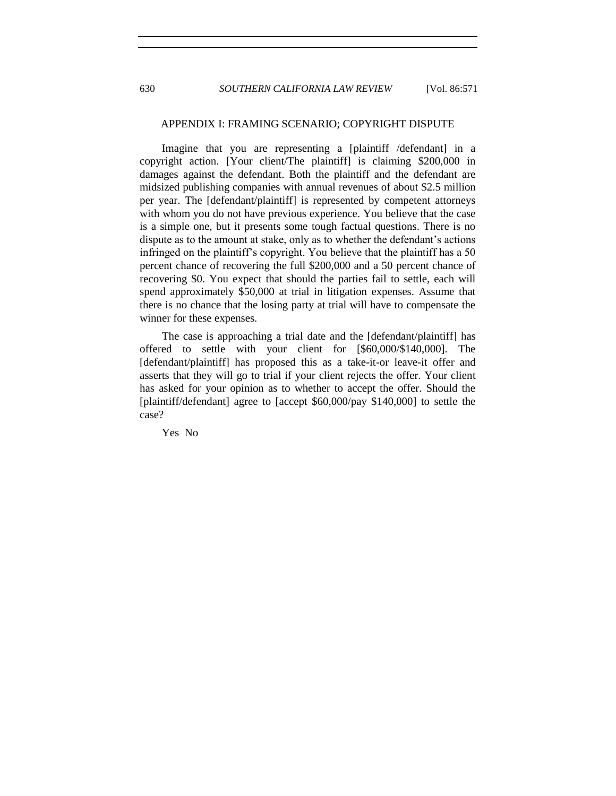## APPENDIX I: FRAMING SCENARIO; COPYRIGHT DISPUTE

Imagine that you are representing a [plaintiff /defendant] in a copyright action. [Your client/The plaintiff] is claiming \$200,000 in damages against the defendant. Both the plaintiff and the defendant are midsized publishing companies with annual revenues of about \$2.5 million per year. The [defendant/plaintiff] is represented by competent attorneys with whom you do not have previous experience. You believe that the case is a simple one, but it presents some tough factual questions. There is no dispute as to the amount at stake, only as to whether the defendant's actions infringed on the plaintiff's copyright. You believe that the plaintiff has a 50 percent chance of recovering the full \$200,000 and a 50 percent chance of recovering \$0. You expect that should the parties fail to settle, each will spend approximately \$50,000 at trial in litigation expenses. Assume that there is no chance that the losing party at trial will have to compensate the winner for these expenses.

The case is approaching a trial date and the [defendant/plaintiff] has offered to settle with your client for [\$60,000/\$140,000]. The [defendant/plaintiff] has proposed this as a take-it-or leave-it offer and asserts that they will go to trial if your client rejects the offer. Your client has asked for your opinion as to whether to accept the offer. Should the [plaintiff/defendant] agree to [accept \$60,000/pay \$140,000] to settle the case?

Yes No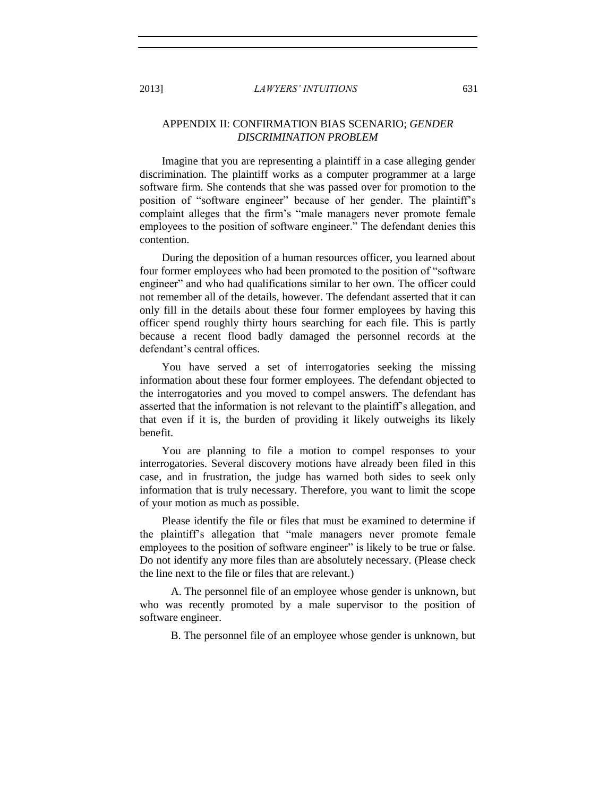# APPENDIX II: CONFIRMATION BIAS SCENARIO; *GENDER DISCRIMINATION PROBLEM*

Imagine that you are representing a plaintiff in a case alleging gender discrimination. The plaintiff works as a computer programmer at a large software firm. She contends that she was passed over for promotion to the position of "software engineer" because of her gender. The plaintiff's complaint alleges that the firm's "male managers never promote female employees to the position of software engineer." The defendant denies this contention.

During the deposition of a human resources officer, you learned about four former employees who had been promoted to the position of "software engineer" and who had qualifications similar to her own. The officer could not remember all of the details, however. The defendant asserted that it can only fill in the details about these four former employees by having this officer spend roughly thirty hours searching for each file. This is partly because a recent flood badly damaged the personnel records at the defendant's central offices.

You have served a set of interrogatories seeking the missing information about these four former employees. The defendant objected to the interrogatories and you moved to compel answers. The defendant has asserted that the information is not relevant to the plaintiff's allegation, and that even if it is, the burden of providing it likely outweighs its likely benefit.

You are planning to file a motion to compel responses to your interrogatories. Several discovery motions have already been filed in this case, and in frustration, the judge has warned both sides to seek only information that is truly necessary. Therefore, you want to limit the scope of your motion as much as possible.

Please identify the file or files that must be examined to determine if the plaintiff's allegation that "male managers never promote female employees to the position of software engineer" is likely to be true or false. Do not identify any more files than are absolutely necessary. (Please check the line next to the file or files that are relevant.)

A. The personnel file of an employee whose gender is unknown, but who was recently promoted by a male supervisor to the position of software engineer.

B. The personnel file of an employee whose gender is unknown, but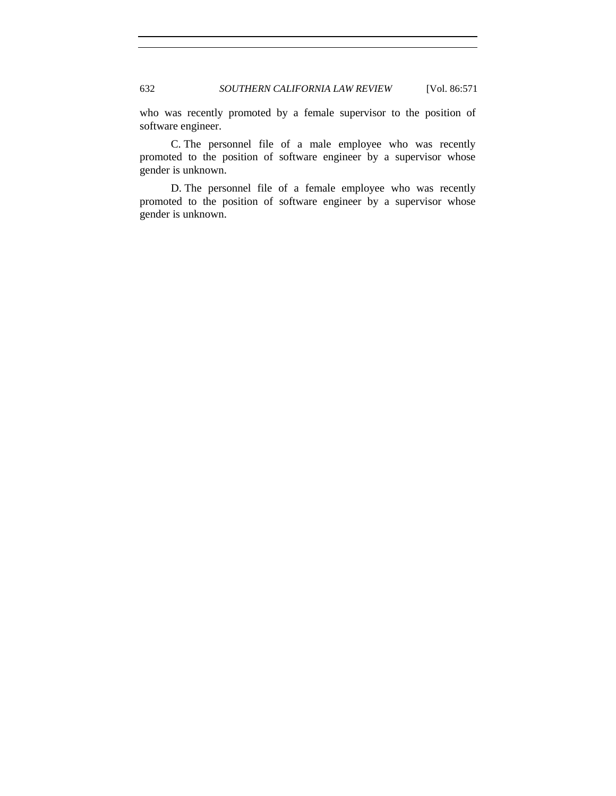who was recently promoted by a female supervisor to the position of software engineer.

C. The personnel file of a male employee who was recently promoted to the position of software engineer by a supervisor whose gender is unknown.

D. The personnel file of a female employee who was recently promoted to the position of software engineer by a supervisor whose gender is unknown.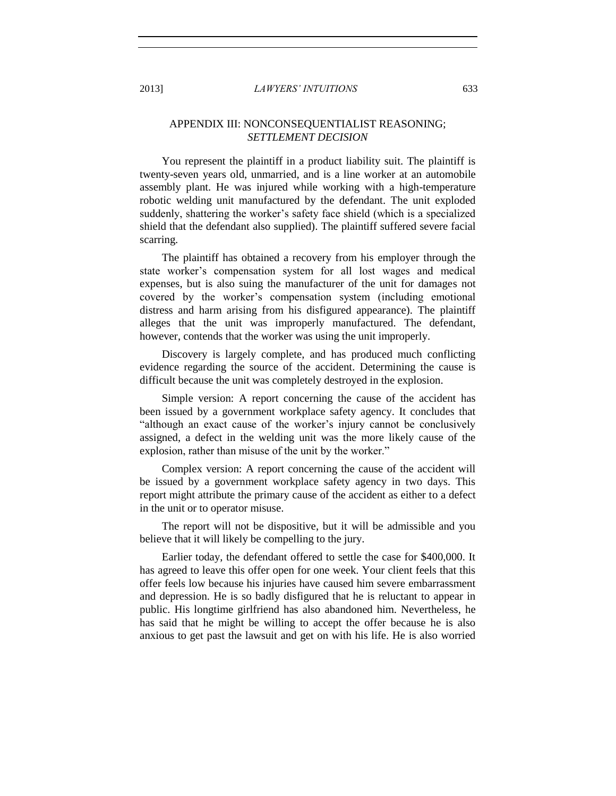# APPENDIX III: NONCONSEQUENTIALIST REASONING; *SETTLEMENT DECISION*

You represent the plaintiff in a product liability suit. The plaintiff is twenty-seven years old, unmarried, and is a line worker at an automobile assembly plant. He was injured while working with a high-temperature robotic welding unit manufactured by the defendant. The unit exploded suddenly, shattering the worker's safety face shield (which is a specialized shield that the defendant also supplied). The plaintiff suffered severe facial scarring.

The plaintiff has obtained a recovery from his employer through the state worker's compensation system for all lost wages and medical expenses, but is also suing the manufacturer of the unit for damages not covered by the worker's compensation system (including emotional distress and harm arising from his disfigured appearance). The plaintiff alleges that the unit was improperly manufactured. The defendant, however, contends that the worker was using the unit improperly.

Discovery is largely complete, and has produced much conflicting evidence regarding the source of the accident. Determining the cause is difficult because the unit was completely destroyed in the explosion.

Simple version: A report concerning the cause of the accident has been issued by a government workplace safety agency. It concludes that "although an exact cause of the worker's injury cannot be conclusively assigned, a defect in the welding unit was the more likely cause of the explosion, rather than misuse of the unit by the worker."

Complex version: A report concerning the cause of the accident will be issued by a government workplace safety agency in two days. This report might attribute the primary cause of the accident as either to a defect in the unit or to operator misuse.

The report will not be dispositive, but it will be admissible and you believe that it will likely be compelling to the jury.

Earlier today, the defendant offered to settle the case for \$400,000. It has agreed to leave this offer open for one week. Your client feels that this offer feels low because his injuries have caused him severe embarrassment and depression. He is so badly disfigured that he is reluctant to appear in public. His longtime girlfriend has also abandoned him. Nevertheless, he has said that he might be willing to accept the offer because he is also anxious to get past the lawsuit and get on with his life. He is also worried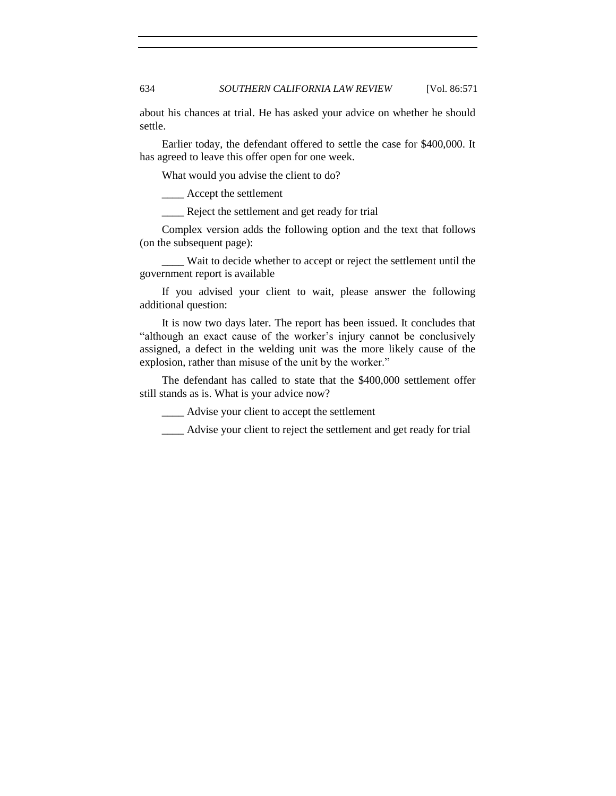about his chances at trial. He has asked your advice on whether he should settle.

Earlier today, the defendant offered to settle the case for \$400,000. It has agreed to leave this offer open for one week.

What would you advise the client to do?

\_\_\_\_ Accept the settlement

\_\_\_\_ Reject the settlement and get ready for trial

Complex version adds the following option and the text that follows (on the subsequent page):

\_\_\_\_ Wait to decide whether to accept or reject the settlement until the government report is available

If you advised your client to wait, please answer the following additional question:

It is now two days later. The report has been issued. It concludes that "although an exact cause of the worker's injury cannot be conclusively assigned, a defect in the welding unit was the more likely cause of the explosion, rather than misuse of the unit by the worker."

The defendant has called to state that the \$400,000 settlement offer still stands as is. What is your advice now?

\_\_\_\_ Advise your client to accept the settlement

\_\_\_\_ Advise your client to reject the settlement and get ready for trial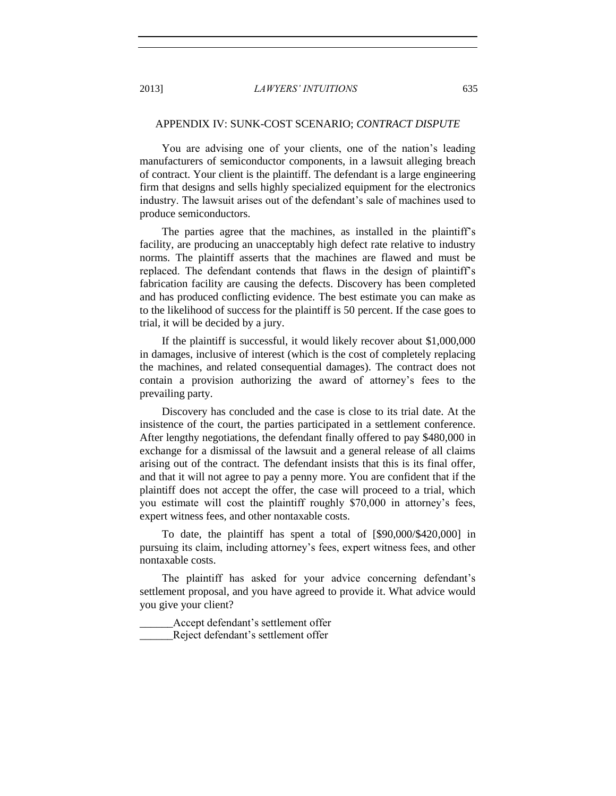## APPENDIX IV: SUNK-COST SCENARIO; *CONTRACT DISPUTE*

You are advising one of your clients, one of the nation's leading manufacturers of semiconductor components, in a lawsuit alleging breach of contract. Your client is the plaintiff. The defendant is a large engineering firm that designs and sells highly specialized equipment for the electronics industry. The lawsuit arises out of the defendant's sale of machines used to produce semiconductors.

The parties agree that the machines, as installed in the plaintiff's facility, are producing an unacceptably high defect rate relative to industry norms. The plaintiff asserts that the machines are flawed and must be replaced. The defendant contends that flaws in the design of plaintiff's fabrication facility are causing the defects. Discovery has been completed and has produced conflicting evidence. The best estimate you can make as to the likelihood of success for the plaintiff is 50 percent. If the case goes to trial, it will be decided by a jury.

If the plaintiff is successful, it would likely recover about \$1,000,000 in damages, inclusive of interest (which is the cost of completely replacing the machines, and related consequential damages). The contract does not contain a provision authorizing the award of attorney's fees to the prevailing party.

Discovery has concluded and the case is close to its trial date. At the insistence of the court, the parties participated in a settlement conference. After lengthy negotiations, the defendant finally offered to pay \$480,000 in exchange for a dismissal of the lawsuit and a general release of all claims arising out of the contract. The defendant insists that this is its final offer, and that it will not agree to pay a penny more. You are confident that if the plaintiff does not accept the offer, the case will proceed to a trial, which you estimate will cost the plaintiff roughly \$70,000 in attorney's fees, expert witness fees, and other nontaxable costs.

To date, the plaintiff has spent a total of [\$90,000/\$420,000] in pursuing its claim, including attorney's fees, expert witness fees, and other nontaxable costs.

The plaintiff has asked for your advice concerning defendant's settlement proposal, and you have agreed to provide it. What advice would you give your client?

Accept defendant's settlement offer \_\_\_\_\_\_Reject defendant's settlement offer